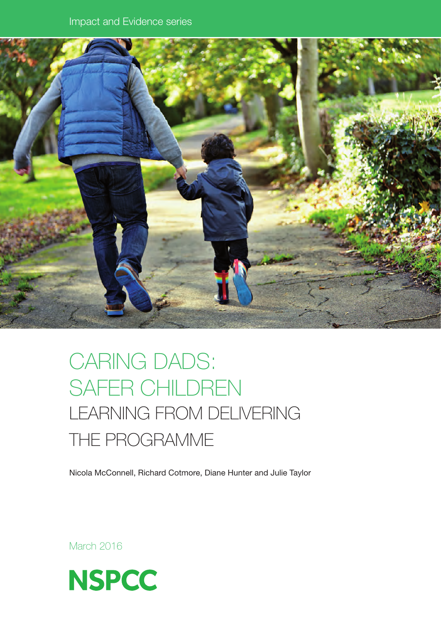

# CARING DADS: SAFER CHILDREN LEARNING FROM DELIVERING the programme

Nicola McConnell, Richard Cotmore, Diane Hunter and Julie Taylor

March 2016

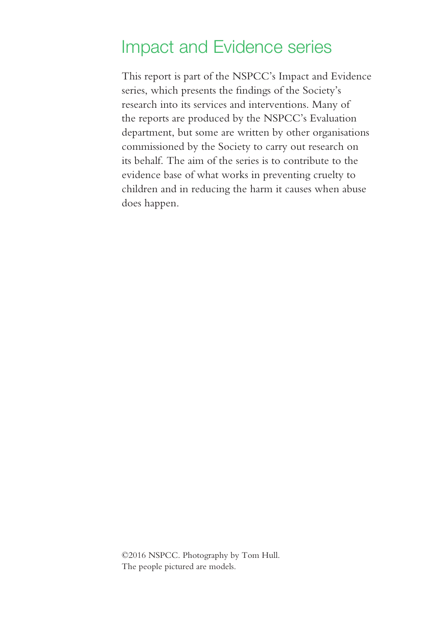# Impact and Evidence series

This report is part of the NSPCC's Impact and Evidence series, which presents the findings of the Society's research into its services and interventions. Many of the reports are produced by the NSPCC's Evaluation department, but some are written by other organisations commissioned by the Society to carry out research on its behalf. The aim of the series is to contribute to the evidence base of what works in preventing cruelty to children and in reducing the harm it causes when abuse does happen.

©2016 NSPCC. Photography by Tom Hull. The people pictured are models.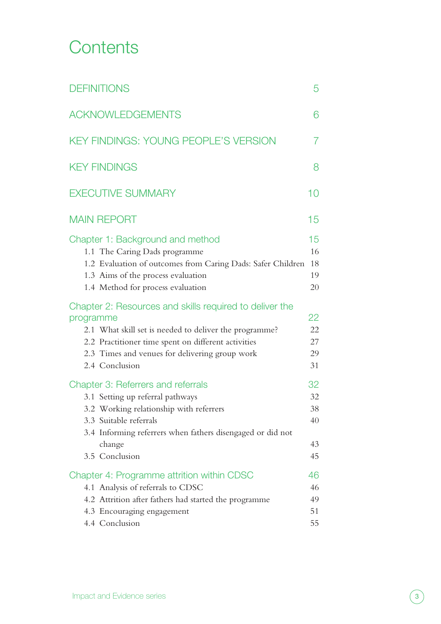# **Contents**

| <b>DEFINITIONS</b>                                                                                                                                                                                                                                        | 5                                |
|-----------------------------------------------------------------------------------------------------------------------------------------------------------------------------------------------------------------------------------------------------------|----------------------------------|
| <b>ACKNOWLEDGEMENTS</b>                                                                                                                                                                                                                                   | 6                                |
| <b>KEY FINDINGS: YOUNG PEOPLE'S VERSION</b>                                                                                                                                                                                                               | 7                                |
| <b>KEY FINDINGS</b>                                                                                                                                                                                                                                       | 8                                |
| <b>EXECUTIVE SUMMARY</b>                                                                                                                                                                                                                                  | 10                               |
| <b>MAIN REPORT</b>                                                                                                                                                                                                                                        | 15                               |
| Chapter 1: Background and method<br>1.1 The Caring Dads programme<br>1.2 Evaluation of outcomes from Caring Dads: Safer Children<br>1.3 Aims of the process evaluation<br>1.4 Method for process evaluation                                               | 15<br>16<br>18<br>19<br>20       |
| Chapter 2: Resources and skills required to deliver the<br>programme<br>2.1 What skill set is needed to deliver the programme?<br>2.2 Practitioner time spent on different activities<br>2.3 Times and venues for delivering group work<br>2.4 Conclusion | 22<br>22<br>27<br>29<br>31       |
| <b>Chapter 3: Referrers and referrals</b><br>3.1 Setting up referral pathways<br>3.2 Working relationship with referrers<br>3.3 Suitable referrals<br>3.4 Informing referrers when fathers disengaged or did not<br>change<br>3.5 Conclusion              | 32<br>32<br>38<br>40<br>43<br>45 |
| Chapter 4: Programme attrition within CDSC<br>4.1 Analysis of referrals to CDSC<br>4.2 Attrition after fathers had started the programme<br>4.3 Encouraging engagement<br>4.4 Conclusion                                                                  | 46<br>46<br>49<br>51<br>55       |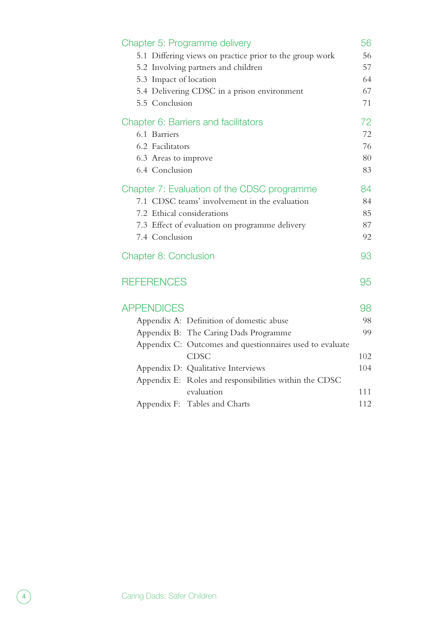| Chapter 5: Programme delivery<br>5.1 Differing views on practice prior to the group work<br>5.2 Involving partners and children<br>5.3 Impact of location<br>5.4 Delivering CDSC in a prison environment<br>5.5 Conclusion | 56<br>56<br>57<br>64<br>67<br>71 |
|----------------------------------------------------------------------------------------------------------------------------------------------------------------------------------------------------------------------------|----------------------------------|
| Chapter 6: Barriers and facilitators<br>6.1 Barriers<br>6.2 Facilitators<br>6.3 Areas to improve<br>6.4 Conclusion                                                                                                         | 72<br>72<br>76<br>80<br>83       |
| Chapter 7: Evaluation of the CDSC programme<br>7.1 CDSC teams' involvement in the evaluation<br>7.2 Ethical considerations<br>7.3 Effect of evaluation on programme delivery<br>7.4 Conclusion                             | 84<br>84<br>85<br>87<br>92       |
| <b>Chapter 8: Conclusion</b>                                                                                                                                                                                               | 93                               |
| <b>REFERENCES</b>                                                                                                                                                                                                          | 95                               |
| <b>APPENDICES</b>                                                                                                                                                                                                          | 98                               |
| Appendix A: Definition of domestic abuse                                                                                                                                                                                   | 98                               |
| Appendix B: The Caring Dads Programme                                                                                                                                                                                      | 99                               |
| Appendix C: Outcomes and questionnaires used to evaluate                                                                                                                                                                   |                                  |
| <b>CDSC</b>                                                                                                                                                                                                                | 102                              |
| Appendix D: Qualitative Interviews<br>Appendix E: Roles and responsibilities within the CDSC                                                                                                                               | 104                              |
| evaluation                                                                                                                                                                                                                 | 111                              |
| Appendix F: Tables and Charts                                                                                                                                                                                              | 112                              |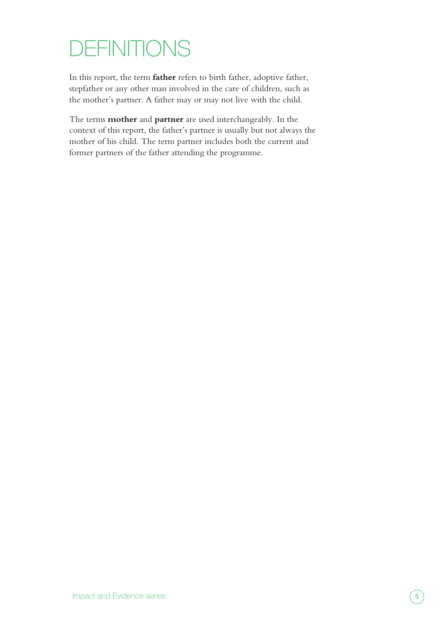# <span id="page-4-0"></span>**DEFINITIONS**

In this report, the term **father** refers to birth father, adoptive father, stepfather or any other man involved in the care of children, such as the mother's partner. A father may or may not live with the child.

The terms **mother** and **partner** are used interchangeably. In the context of this report, the father's partner is usually but not always the mother of his child. The term partner includes both the current and former partners of the father attending the programme.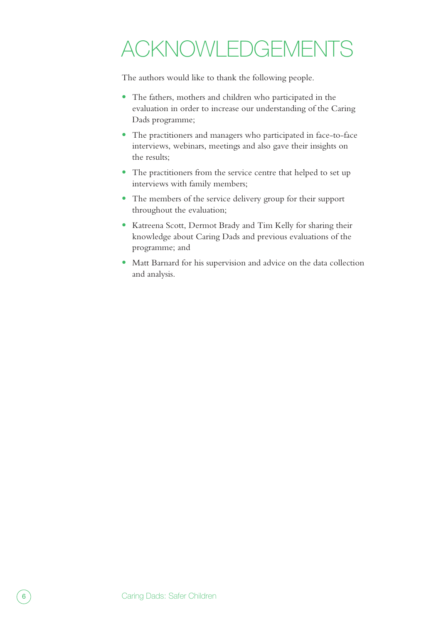# <span id="page-5-0"></span>Acknowledgements

The authors would like to thank the following people.

- **•** The fathers, mothers and children who participated in the evaluation in order to increase our understanding of the Caring Dads programme;
- **•** The practitioners and managers who participated in face-to-face interviews, webinars, meetings and also gave their insights on the results;
- **•** The practitioners from the service centre that helped to set up interviews with family members;
- **•** The members of the service delivery group for their support throughout the evaluation;
- **•** Katreena Scott, Dermot Brady and Tim Kelly for sharing their knowledge about Caring Dads and previous evaluations of the programme; and
- **•** Matt Barnard for his supervision and advice on the data collection and analysis.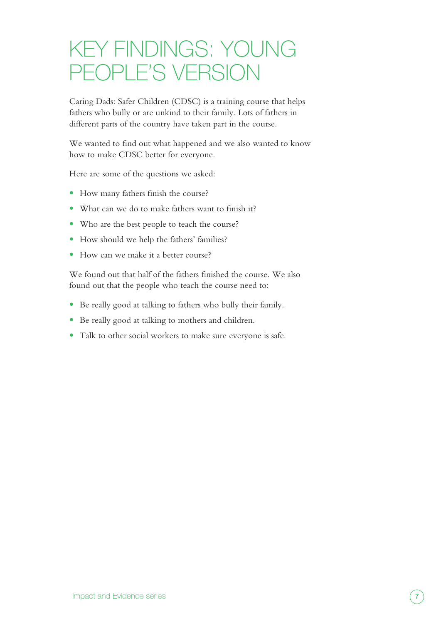# <span id="page-6-0"></span>KEY FINDINGS: YOUNG PEOPLE'S VERSION

Caring Dads: Safer Children (CDSC) is a training course that helps fathers who bully or are unkind to their family. Lots of fathers in different parts of the country have taken part in the course.

We wanted to find out what happened and we also wanted to know how to make CDSC better for everyone.

Here are some of the questions we asked:

- **•** How many fathers finish the course?
- **•** What can we do to make fathers want to finish it?
- **•** Who are the best people to teach the course?
- **•** How should we help the fathers' families?
- **•** How can we make it a better course?

We found out that half of the fathers finished the course. We also found out that the people who teach the course need to:

- **•** Be really good at talking to fathers who bully their family.
- **•** Be really good at talking to mothers and children.
- **•** Talk to other social workers to make sure everyone is safe.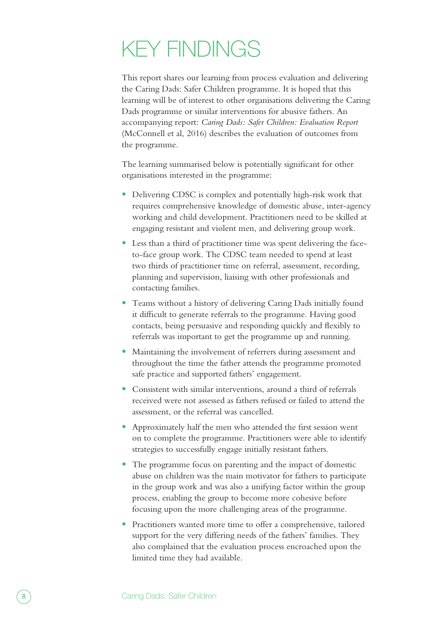# <span id="page-7-0"></span>KEY FINDINGS

This report shares our learning from process evaluation and delivering the Caring Dads: Safer Children programme. It is hoped that this learning will be of interest to other organisations delivering the Caring Dads programme or similar interventions for abusive fathers. An accompanying report: *Caring Dads: Safer Children: Evaluation Report* (McConnell et al, 2016) describes the evaluation of outcomes from the programme.

The learning summarised below is potentially significant for other organisations interested in the programme:

- **•** Delivering CDSC is complex and potentially high-risk work that requires comprehensive knowledge of domestic abuse, inter-agency working and child development. Practitioners need to be skilled at engaging resistant and violent men, and delivering group work.
- **•** Less than a third of practitioner time was spent delivering the faceto-face group work. The CDSC team needed to spend at least two thirds of practitioner time on referral, assessment, recording, planning and supervision, liaising with other professionals and contacting families.
- **•** Teams without a history of delivering Caring Dads initially found it difficult to generate referrals to the programme. Having good contacts, being persuasive and responding quickly and flexibly to referrals was important to get the programme up and running.
- **•** Maintaining the involvement of referrers during assessment and throughout the time the father attends the programme promoted safe practice and supported fathers' engagement.
- **•** Consistent with similar interventions, around a third of referrals received were not assessed as fathers refused or failed to attend the assessment, or the referral was cancelled.
- **•** Approximately half the men who attended the first session went on to complete the programme. Practitioners were able to identify strategies to successfully engage initially resistant fathers.
- **•** The programme focus on parenting and the impact of domestic abuse on children was the main motivator for fathers to participate in the group work and was also a unifying factor within the group process, enabling the group to become more cohesive before focusing upon the more challenging areas of the programme.
- **•** Practitioners wanted more time to offer a comprehensive, tailored support for the very differing needs of the fathers' families. They also complained that the evaluation process encroached upon the limited time they had available.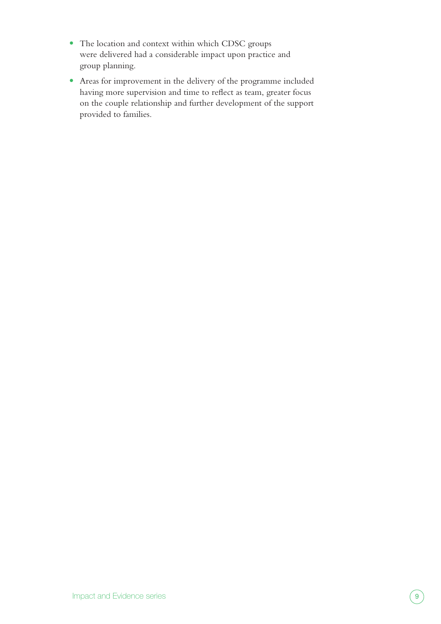- **•** The location and context within which CDSC groups were delivered had a considerable impact upon practice and group planning.
- **•** Areas for improvement in the delivery of the programme included having more supervision and time to reflect as team, greater focus on the couple relationship and further development of the support provided to families.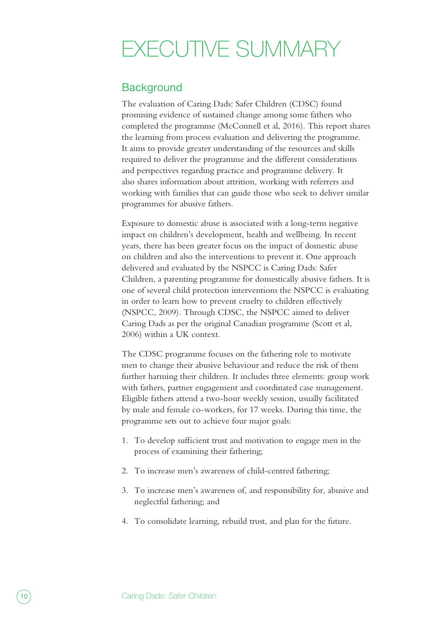# <span id="page-9-0"></span>EXECUTIVE SUMMARY

### **Background**

The evaluation of Caring Dads: Safer Children (CDSC) found promising evidence of sustained change among some fathers who completed the programme (McConnell et al, 2016). This report shares the learning from process evaluation and delivering the programme. It aims to provide greater understanding of the resources and skills required to deliver the programme and the different considerations and perspectives regarding practice and programme delivery. It also shares information about attrition, working with referrers and working with families that can guide those who seek to deliver similar programmes for abusive fathers.

Exposure to domestic abuse is associated with a long-term negative impact on children's development, health and wellbeing. In recent years, there has been greater focus on the impact of domestic abuse on children and also the interventions to prevent it. One approach delivered and evaluated by the NSPCC is Caring Dads: Safer Children, a parenting programme for domestically abusive fathers. It is one of several child protection interventions the NSPCC is evaluating in order to learn how to prevent cruelty to children effectively (NSPCC, 2009). Through CDSC, the NSPCC aimed to deliver Caring Dads as per the original Canadian programme (Scott et al, 2006) within a UK context.

The CDSC programme focuses on the fathering role to motivate men to change their abusive behaviour and reduce the risk of them further harming their children. It includes three elements: group work with fathers, partner engagement and coordinated case management. Eligible fathers attend a two-hour weekly session, usually facilitated by male and female co-workers, for 17 weeks. During this time, the programme sets out to achieve four major goals:

- 1. To develop sufficient trust and motivation to engage men in the process of examining their fathering;
- 2. To increase men's awareness of child-centred fathering;
- 3. To increase men's awareness of, and responsibility for, abusive and neglectful fathering; and
- 4. To consolidate learning, rebuild trust, and plan for the future.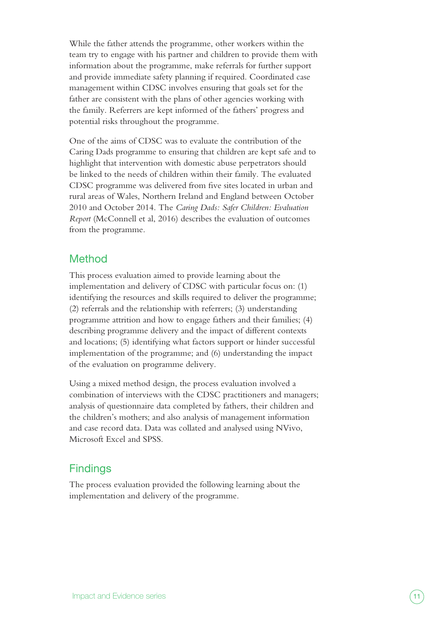While the father attends the programme, other workers within the team try to engage with his partner and children to provide them with information about the programme, make referrals for further support and provide immediate safety planning if required. Coordinated case management within CDSC involves ensuring that goals set for the father are consistent with the plans of other agencies working with the family. Referrers are kept informed of the fathers' progress and potential risks throughout the programme.

One of the aims of CDSC was to evaluate the contribution of the Caring Dads programme to ensuring that children are kept safe and to highlight that intervention with domestic abuse perpetrators should be linked to the needs of children within their family. The evaluated CDSC programme was delivered from five sites located in urban and rural areas of Wales, Northern Ireland and England between October 2010 and October 2014. The *Caring Dads: Safer Children: Evaluation Report* (McConnell et al, 2016) describes the evaluation of outcomes from the programme.

### Method

This process evaluation aimed to provide learning about the implementation and delivery of CDSC with particular focus on: (1) identifying the resources and skills required to deliver the programme; (2) referrals and the relationship with referrers; (3) understanding programme attrition and how to engage fathers and their families; (4) describing programme delivery and the impact of different contexts and locations; (5) identifying what factors support or hinder successful implementation of the programme; and (6) understanding the impact of the evaluation on programme delivery.

Using a mixed method design, the process evaluation involved a combination of interviews with the CDSC practitioners and managers; analysis of questionnaire data completed by fathers, their children and the children's mothers; and also analysis of management information and case record data. Data was collated and analysed using NVivo, Microsoft Excel and SPSS.

## **Findings**

The process evaluation provided the following learning about the implementation and delivery of the programme.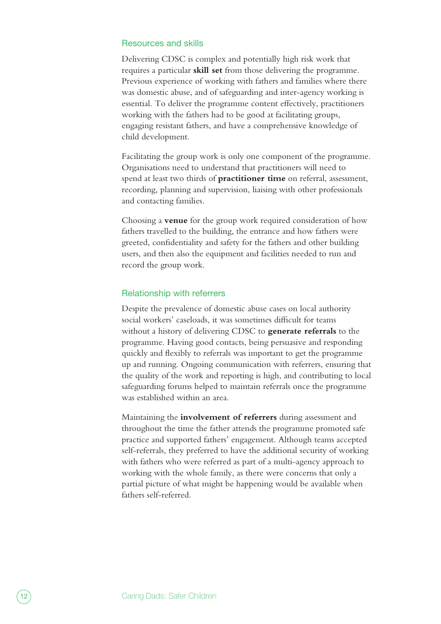#### Resources and skills

Delivering CDSC is complex and potentially high risk work that requires a particular **skill set** from those delivering the programme. Previous experience of working with fathers and families where there was domestic abuse, and of safeguarding and inter-agency working is essential. To deliver the programme content effectively, practitioners working with the fathers had to be good at facilitating groups, engaging resistant fathers, and have a comprehensive knowledge of child development.

Facilitating the group work is only one component of the programme. Organisations need to understand that practitioners will need to spend at least two thirds of **practitioner time** on referral, assessment, recording, planning and supervision, liaising with other professionals and contacting families.

Choosing a **venue** for the group work required consideration of how fathers travelled to the building, the entrance and how fathers were greeted, confidentiality and safety for the fathers and other building users, and then also the equipment and facilities needed to run and record the group work.

#### Relationship with referrers

Despite the prevalence of domestic abuse cases on local authority social workers' caseloads, it was sometimes difficult for teams without a history of delivering CDSC to **generate referrals** to the programme. Having good contacts, being persuasive and responding quickly and flexibly to referrals was important to get the programme up and running. Ongoing communication with referrers, ensuring that the quality of the work and reporting is high, and contributing to local safeguarding forums helped to maintain referrals once the programme was established within an area.

Maintaining the **involvement of referrers** during assessment and throughout the time the father attends the programme promoted safe practice and supported fathers' engagement. Although teams accepted self-referrals, they preferred to have the additional security of working with fathers who were referred as part of a multi-agency approach to working with the whole family, as there were concerns that only a partial picture of what might be happening would be available when fathers self-referred.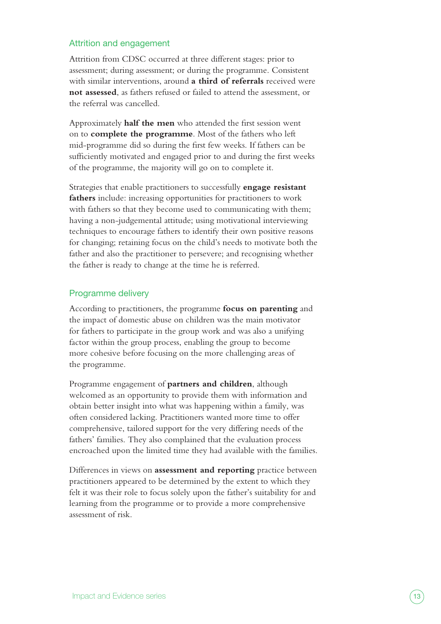#### Attrition and engagement

Attrition from CDSC occurred at three different stages: prior to assessment; during assessment; or during the programme. Consistent with similar interventions, around **a third of referrals** received were **not assessed**, as fathers refused or failed to attend the assessment, or the referral was cancelled.

Approximately **half the men** who attended the first session went on to **complete the programme**. Most of the fathers who left mid-programme did so during the first few weeks. If fathers can be sufficiently motivated and engaged prior to and during the first weeks of the programme, the majority will go on to complete it.

Strategies that enable practitioners to successfully **engage resistant fathers** include: increasing opportunities for practitioners to work with fathers so that they become used to communicating with them; having a non-judgemental attitude; using motivational interviewing techniques to encourage fathers to identify their own positive reasons for changing; retaining focus on the child's needs to motivate both the father and also the practitioner to persevere; and recognising whether the father is ready to change at the time he is referred.

#### Programme delivery

According to practitioners, the programme **focus on parenting** and the impact of domestic abuse on children was the main motivator for fathers to participate in the group work and was also a unifying factor within the group process, enabling the group to become more cohesive before focusing on the more challenging areas of the programme.

Programme engagement of **partners and children**, although welcomed as an opportunity to provide them with information and obtain better insight into what was happening within a family, was often considered lacking. Practitioners wanted more time to offer comprehensive, tailored support for the very differing needs of the fathers' families. They also complained that the evaluation process encroached upon the limited time they had available with the families.

Differences in views on **assessment and reporting** practice between practitioners appeared to be determined by the extent to which they felt it was their role to focus solely upon the father's suitability for and learning from the programme or to provide a more comprehensive assessment of risk.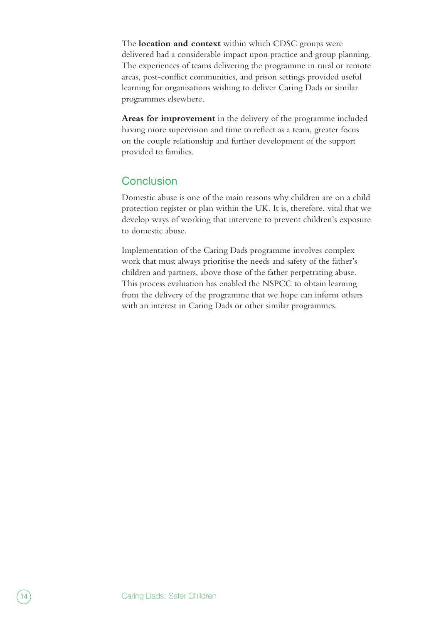The **location and context** within which CDSC groups were delivered had a considerable impact upon practice and group planning. The experiences of teams delivering the programme in rural or remote areas, post-conflict communities, and prison settings provided useful learning for organisations wishing to deliver Caring Dads or similar programmes elsewhere.

**Areas for improvement** in the delivery of the programme included having more supervision and time to reflect as a team, greater focus on the couple relationship and further development of the support provided to families.

## **Conclusion**

Domestic abuse is one of the main reasons why children are on a child protection register or plan within the UK. It is, therefore, vital that we develop ways of working that intervene to prevent children's exposure to domestic abuse.

Implementation of the Caring Dads programme involves complex work that must always prioritise the needs and safety of the father's children and partners, above those of the father perpetrating abuse. This process evaluation has enabled the NSPCC to obtain learning from the delivery of the programme that we hope can inform others with an interest in Caring Dads or other similar programmes.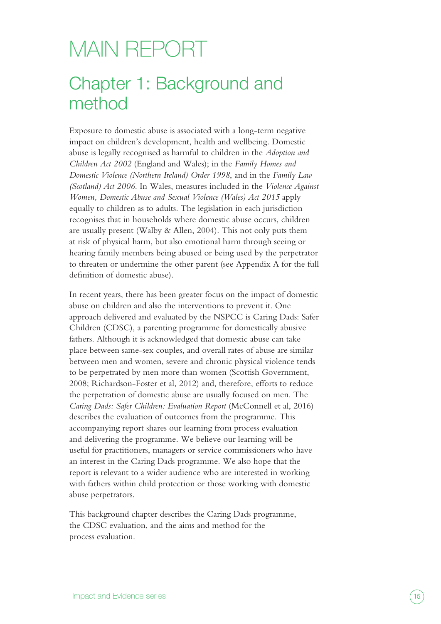# <span id="page-14-0"></span>MAIN REPORT

# Chapter 1: Background and method

Exposure to domestic abuse is associated with a long-term negative impact on children's development, health and wellbeing. Domestic abuse is legally recognised as harmful to children in the *Adoption and Children Act 2002* (England and Wales); in the *Family Homes and Domestic Violence (Northern Ireland) Order 1998*, and in the *Family Law (Scotland) Act 2006*. In Wales, measures included in the *Violence Against Women, Domestic Abuse and Sexual Violence (Wales) Act 2015* apply equally to children as to adults. The legislation in each jurisdiction recognises that in households where domestic abuse occurs, children are usually present (Walby & Allen, 2004). This not only puts them at risk of physical harm, but also emotional harm through seeing or hearing family members being abused or being used by the perpetrator to threaten or undermine the other parent (see Appendix A for the full definition of domestic abuse).

In recent years, there has been greater focus on the impact of domestic abuse on children and also the interventions to prevent it. One approach delivered and evaluated by the NSPCC is Caring Dads: Safer Children (CDSC), a parenting programme for domestically abusive fathers. Although it is acknowledged that domestic abuse can take place between same-sex couples, and overall rates of abuse are similar between men and women, severe and chronic physical violence tends to be perpetrated by men more than women (Scottish Government, 2008; Richardson-Foster et al, 2012) and, therefore, efforts to reduce the perpetration of domestic abuse are usually focused on men. The *Caring Dads: Safer Children: Evaluation Report* (McConnell et al, 2016) describes the evaluation of outcomes from the programme. This accompanying report shares our learning from process evaluation and delivering the programme. We believe our learning will be useful for practitioners, managers or service commissioners who have an interest in the Caring Dads programme. We also hope that the report is relevant to a wider audience who are interested in working with fathers within child protection or those working with domestic abuse perpetrators.

This background chapter describes the Caring Dads programme, the CDSC evaluation, and the aims and method for the process evaluation.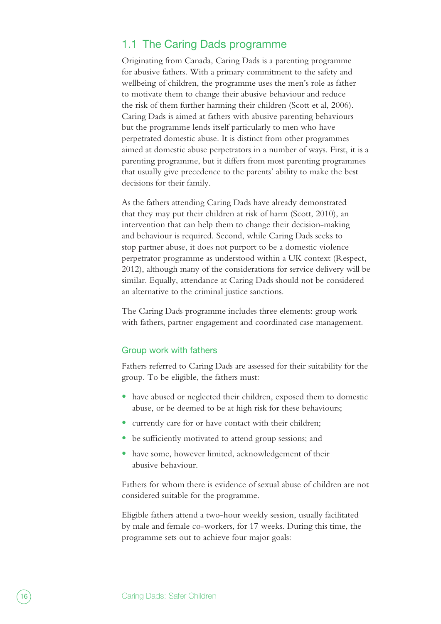### <span id="page-15-0"></span>1.1 The Caring Dads programme

Originating from Canada, Caring Dads is a parenting programme for abusive fathers. With a primary commitment to the safety and wellbeing of children, the programme uses the men's role as father to motivate them to change their abusive behaviour and reduce the risk of them further harming their children (Scott et al, 2006). Caring Dads is aimed at fathers with abusive parenting behaviours but the programme lends itself particularly to men who have perpetrated domestic abuse. It is distinct from other programmes aimed at domestic abuse perpetrators in a number of ways. First, it is a parenting programme, but it differs from most parenting programmes that usually give precedence to the parents' ability to make the best decisions for their family.

As the fathers attending Caring Dads have already demonstrated that they may put their children at risk of harm (Scott, 2010), an intervention that can help them to change their decision-making and behaviour is required. Second, while Caring Dads seeks to stop partner abuse, it does not purport to be a domestic violence perpetrator programme as understood within a UK context (Respect, 2012), although many of the considerations for service delivery will be similar. Equally, attendance at Caring Dads should not be considered an alternative to the criminal justice sanctions.

The Caring Dads programme includes three elements: group work with fathers, partner engagement and coordinated case management.

#### Group work with fathers

Fathers referred to Caring Dads are assessed for their suitability for the group. To be eligible, the fathers must:

- have abused or neglected their children, exposed them to domestic abuse, or be deemed to be at high risk for these behaviours;
- **•** currently care for or have contact with their children;
- be sufficiently motivated to attend group sessions; and
- **•** have some, however limited, acknowledgement of their abusive behaviour.

Fathers for whom there is evidence of sexual abuse of children are not considered suitable for the programme.

Eligible fathers attend a two-hour weekly session, usually facilitated by male and female co-workers, for 17 weeks. During this time, the programme sets out to achieve four major goals: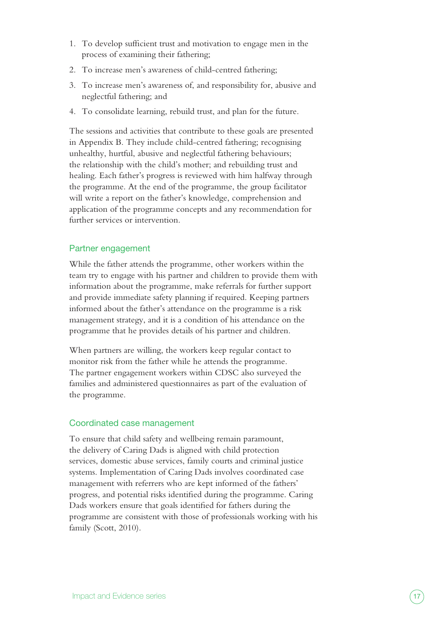- 1. To develop sufficient trust and motivation to engage men in the process of examining their fathering;
- 2. To increase men's awareness of child-centred fathering;
- 3. To increase men's awareness of, and responsibility for, abusive and neglectful fathering; and
- 4. To consolidate learning, rebuild trust, and plan for the future.

The sessions and activities that contribute to these goals are presented in Appendix B. They include child-centred fathering; recognising unhealthy, hurtful, abusive and neglectful fathering behaviours; the relationship with the child's mother; and rebuilding trust and healing. Each father's progress is reviewed with him halfway through the programme. At the end of the programme, the group facilitator will write a report on the father's knowledge, comprehension and application of the programme concepts and any recommendation for further services or intervention.

#### Partner engagement

While the father attends the programme, other workers within the team try to engage with his partner and children to provide them with information about the programme, make referrals for further support and provide immediate safety planning if required. Keeping partners informed about the father's attendance on the programme is a risk management strategy, and it is a condition of his attendance on the programme that he provides details of his partner and children.

When partners are willing, the workers keep regular contact to monitor risk from the father while he attends the programme. The partner engagement workers within CDSC also surveyed the families and administered questionnaires as part of the evaluation of the programme.

#### Coordinated case management

To ensure that child safety and wellbeing remain paramount, the delivery of Caring Dads is aligned with child protection services, domestic abuse services, family courts and criminal justice systems. Implementation of Caring Dads involves coordinated case management with referrers who are kept informed of the fathers' progress, and potential risks identified during the programme. Caring Dads workers ensure that goals identified for fathers during the programme are consistent with those of professionals working with his family (Scott, 2010).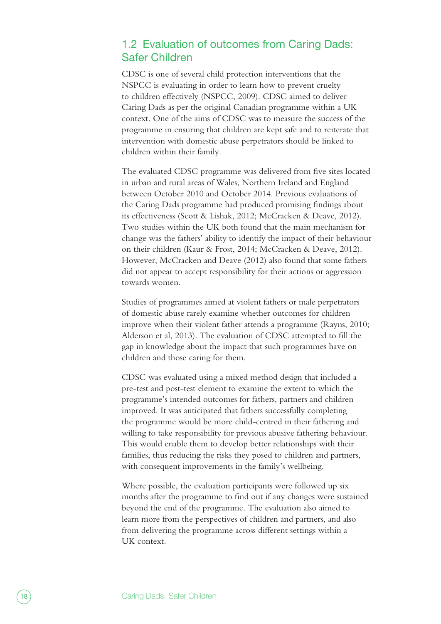## <span id="page-17-0"></span>1.2 Evaluation of outcomes from Caring Dads: Safer Children

CDSC is one of several child protection interventions that the NSPCC is evaluating in order to learn how to prevent cruelty to children effectively (NSPCC, 2009). CDSC aimed to deliver Caring Dads as per the original Canadian programme within a UK context. One of the aims of CDSC was to measure the success of the programme in ensuring that children are kept safe and to reiterate that intervention with domestic abuse perpetrators should be linked to children within their family.

The evaluated CDSC programme was delivered from five sites located in urban and rural areas of Wales, Northern Ireland and England between October 2010 and October 2014. Previous evaluations of the Caring Dads programme had produced promising findings about its effectiveness (Scott & Lishak, 2012; McCracken & Deave, 2012). Two studies within the UK both found that the main mechanism for change was the fathers' ability to identify the impact of their behaviour on their children (Kaur & Frost, 2014; McCracken & Deave, 2012). However, McCracken and Deave (2012) also found that some fathers did not appear to accept responsibility for their actions or aggression towards women.

Studies of programmes aimed at violent fathers or male perpetrators of domestic abuse rarely examine whether outcomes for children improve when their violent father attends a programme (Rayns, 2010; Alderson et al, 2013). The evaluation of CDSC attempted to fill the gap in knowledge about the impact that such programmes have on children and those caring for them.

CDSC was evaluated using a mixed method design that included a pre-test and post-test element to examine the extent to which the programme's intended outcomes for fathers, partners and children improved. It was anticipated that fathers successfully completing the programme would be more child-centred in their fathering and willing to take responsibility for previous abusive fathering behaviour. This would enable them to develop better relationships with their families, thus reducing the risks they posed to children and partners, with consequent improvements in the family's wellbeing.

Where possible, the evaluation participants were followed up six months after the programme to find out if any changes were sustained beyond the end of the programme. The evaluation also aimed to learn more from the perspectives of children and partners, and also from delivering the programme across different settings within a UK context.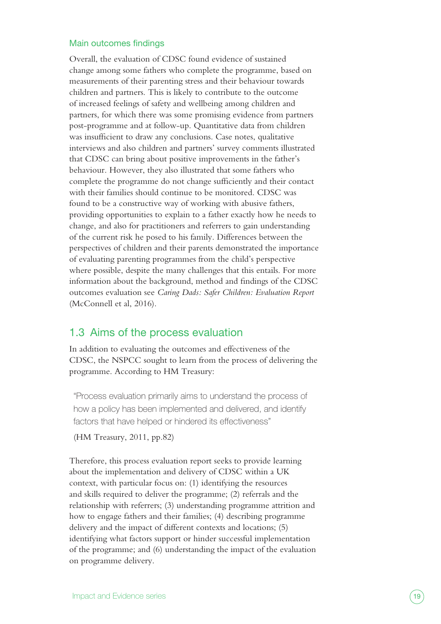#### <span id="page-18-0"></span>Main outcomes findings

Overall, the evaluation of CDSC found evidence of sustained change among some fathers who complete the programme, based on measurements of their parenting stress and their behaviour towards children and partners. This is likely to contribute to the outcome of increased feelings of safety and wellbeing among children and partners, for which there was some promising evidence from partners post-programme and at follow-up. Quantitative data from children was insufficient to draw any conclusions. Case notes, qualitative interviews and also children and partners' survey comments illustrated that CDSC can bring about positive improvements in the father's behaviour. However, they also illustrated that some fathers who complete the programme do not change sufficiently and their contact with their families should continue to be monitored. CDSC was found to be a constructive way of working with abusive fathers, providing opportunities to explain to a father exactly how he needs to change, and also for practitioners and referrers to gain understanding of the current risk he posed to his family. Differences between the perspectives of children and their parents demonstrated the importance of evaluating parenting programmes from the child's perspective where possible, despite the many challenges that this entails. For more information about the background, method and findings of the CDSC outcomes evaluation see *Caring Dads: Safer Children: Evaluation Report*  (McConnell et al, 2016).

### 1.3 Aims of the process evaluation

In addition to evaluating the outcomes and effectiveness of the CDSC, the NSPCC sought to learn from the process of delivering the programme. According to HM Treasury:

"Process evaluation primarily aims to understand the process of how a policy has been implemented and delivered, and identify factors that have helped or hindered its effectiveness"

(HM Treasury, 2011, pp.82)

Therefore, this process evaluation report seeks to provide learning about the implementation and delivery of CDSC within a UK context, with particular focus on: (1) identifying the resources and skills required to deliver the programme; (2) referrals and the relationship with referrers; (3) understanding programme attrition and how to engage fathers and their families; (4) describing programme delivery and the impact of different contexts and locations; (5) identifying what factors support or hinder successful implementation of the programme; and (6) understanding the impact of the evaluation on programme delivery.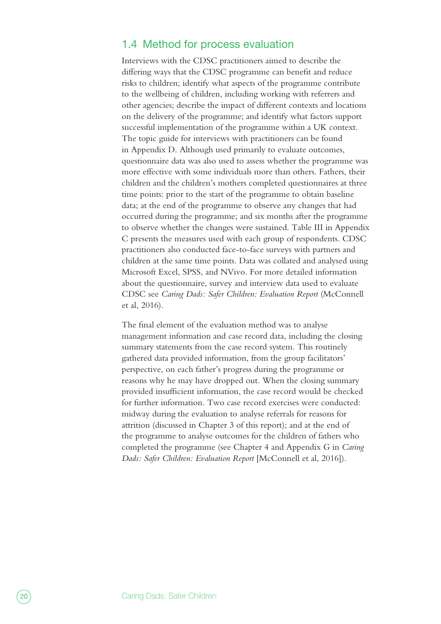### <span id="page-19-0"></span>1.4 Method for process evaluation

Interviews with the CDSC practitioners aimed to describe the differing ways that the CDSC programme can benefit and reduce risks to children; identify what aspects of the programme contribute to the wellbeing of children, including working with referrers and other agencies; describe the impact of different contexts and locations on the delivery of the programme; and identify what factors support successful implementation of the programme within a UK context. The topic guide for interviews with practitioners can be found in Appendix D. Although used primarily to evaluate outcomes, questionnaire data was also used to assess whether the programme was more effective with some individuals more than others. Fathers, their children and the children's mothers completed questionnaires at three time points: prior to the start of the programme to obtain baseline data; at the end of the programme to observe any changes that had occurred during the programme; and six months after the programme to observe whether the changes were sustained. Table III in Appendix C presents the measures used with each group of respondents. CDSC practitioners also conducted face-to-face surveys with partners and children at the same time points. Data was collated and analysed using Microsoft Excel, SPSS, and NVivo. For more detailed information about the questionnaire, survey and interview data used to evaluate CDSC see *Caring Dads: Safer Children: Evaluation Report* (McConnell et al, 2016).

The final element of the evaluation method was to analyse management information and case record data, including the closing summary statements from the case record system. This routinely gathered data provided information, from the group facilitators' perspective, on each father's progress during the programme or reasons why he may have dropped out. When the closing summary provided insufficient information, the case record would be checked for further information. Two case record exercises were conducted: midway during the evaluation to analyse referrals for reasons for attrition (discussed in Chapter 3 of this report); and at the end of the programme to analyse outcomes for the children of fathers who completed the programme (see Chapter 4 and Appendix G in *Caring Dads: Safer Children: Evaluation Report* [McConnell et al, 2016]).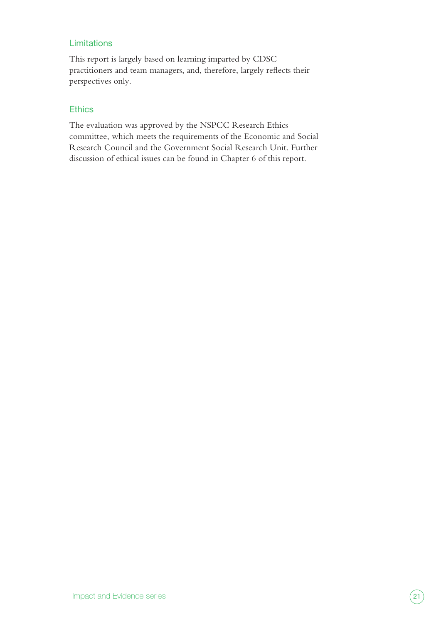#### **Limitations**

This report is largely based on learning imparted by CDSC practitioners and team managers, and, therefore, largely reflects their perspectives only.

#### **Ethics**

The evaluation was approved by the NSPCC Research Ethics committee, which meets the requirements of the Economic and Social Research Council and the Government Social Research Unit. Further discussion of ethical issues can be found in Chapter 6 of this report.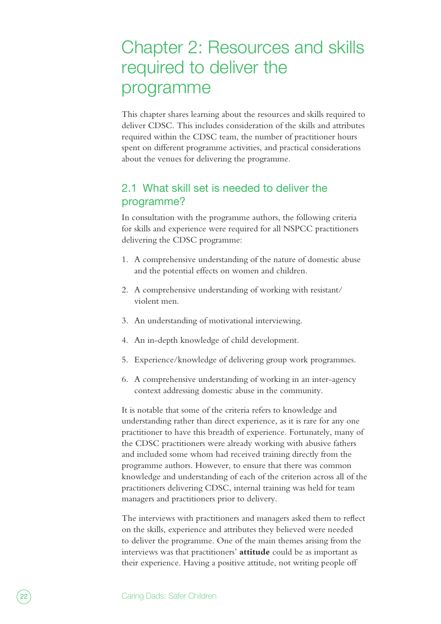# <span id="page-21-0"></span>Chapter 2: Resources and skills required to deliver the programme

This chapter shares learning about the resources and skills required to deliver CDSC. This includes consideration of the skills and attributes required within the CDSC team, the number of practitioner hours spent on different programme activities, and practical considerations about the venues for delivering the programme.

# 2.1 What skill set is needed to deliver the programme?

In consultation with the programme authors, the following criteria for skills and experience were required for all NSPCC practitioners delivering the CDSC programme:

- 1. A comprehensive understanding of the nature of domestic abuse and the potential effects on women and children.
- 2. A comprehensive understanding of working with resistant/ violent men.
- 3. An understanding of motivational interviewing.
- 4. An in-depth knowledge of child development.
- 5. Experience/knowledge of delivering group work programmes.
- 6. A comprehensive understanding of working in an inter-agency context addressing domestic abuse in the community.

It is notable that some of the criteria refers to knowledge and understanding rather than direct experience, as it is rare for any one practitioner to have this breadth of experience. Fortunately, many of the CDSC practitioners were already working with abusive fathers and included some whom had received training directly from the programme authors. However, to ensure that there was common knowledge and understanding of each of the criterion across all of the practitioners delivering CDSC, internal training was held for team managers and practitioners prior to delivery.

The interviews with practitioners and managers asked them to reflect on the skills, experience and attributes they believed were needed to deliver the programme. One of the main themes arising from the interviews was that practitioners' **attitude** could be as important as their experience. Having a positive attitude, not writing people off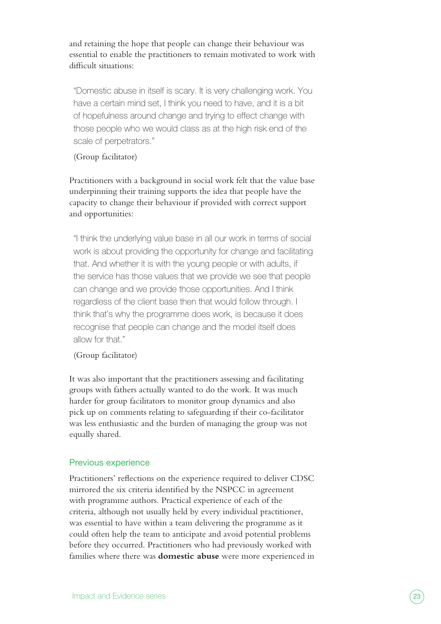and retaining the hope that people can change their behaviour was essential to enable the practitioners to remain motivated to work with difficult situations:

"Domestic abuse in itself is scary. It is very challenging work. You have a certain mind set, I think you need to have, and it is a bit of hopefulness around change and trying to effect change with those people who we would class as at the high risk end of the scale of perpetrators."

#### (Group facilitator)

Practitioners with a background in social work felt that the value base underpinning their training supports the idea that people have the capacity to change their behaviour if provided with correct support and opportunities:

"I think the underlying value base in all our work in terms of social work is about providing the opportunity for change and facilitating that. And whether it is with the young people or with adults, if the service has those values that we provide we see that people can change and we provide those opportunities. And I think regardless of the client base then that would follow through. I think that's why the programme does work, is because it does recognise that people can change and the model itself does allow for that."

#### (Group facilitator)

It was also important that the practitioners assessing and facilitating groups with fathers actually wanted to do the work. It was much harder for group facilitators to monitor group dynamics and also pick up on comments relating to safeguarding if their co-facilitator was less enthusiastic and the burden of managing the group was not equally shared.

#### Previous experience

Practitioners' reflections on the experience required to deliver CDSC mirrored the six criteria identified by the NSPCC in agreement with programme authors. Practical experience of each of the criteria, although not usually held by every individual practitioner, was essential to have within a team delivering the programme as it could often help the team to anticipate and avoid potential problems before they occurred. Practitioners who had previously worked with families where there was **domestic abuse** were more experienced in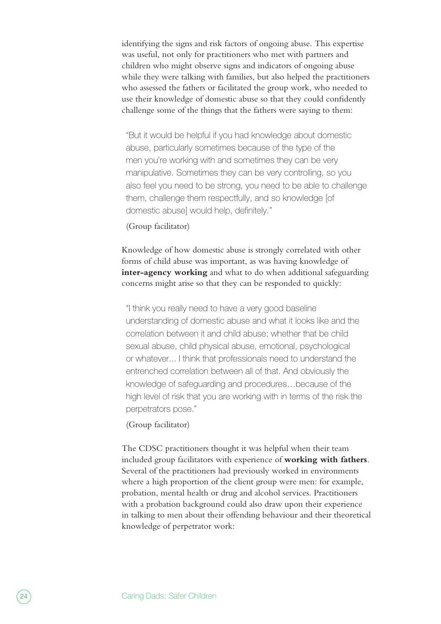identifying the signs and risk factors of ongoing abuse. This expertise was useful, not only for practitioners who met with partners and children who might observe signs and indicators of ongoing abuse while they were talking with families, but also helped the practitioners who assessed the fathers or facilitated the group work, who needed to use their knowledge of domestic abuse so that they could confidently challenge some of the things that the fathers were saying to them:

"But it would be helpful if you had knowledge about domestic abuse, particularly sometimes because of the type of the men you're working with and sometimes they can be very manipulative. Sometimes they can be very controlling, so you also feel you need to be strong, you need to be able to challenge them, challenge them respectfully, and so knowledge [of domestic abuse] would help, definitely."

#### (Group facilitator)

Knowledge of how domestic abuse is strongly correlated with other forms of child abuse was important, as was having knowledge of **inter-agency working** and what to do when additional safeguarding concerns might arise so that they can be responded to quickly:

"I think you really need to have a very good baseline understanding of domestic abuse and what it looks like and the correlation between it and child abuse; whether that be child sexual abuse, child physical abuse, emotional, psychological or whatever... I think that professionals need to understand the entrenched correlation between all of that. And obviously the knowledge of safeguarding and procedures…because of the high level of risk that you are working with in terms of the risk the perpetrators pose."

#### (Group facilitator)

The CDSC practitioners thought it was helpful when their team included group facilitators with experience of **working with fathers**. Several of the practitioners had previously worked in environments where a high proportion of the client group were men: for example, probation, mental health or drug and alcohol services. Practitioners with a probation background could also draw upon their experience in talking to men about their offending behaviour and their theoretical knowledge of perpetrator work: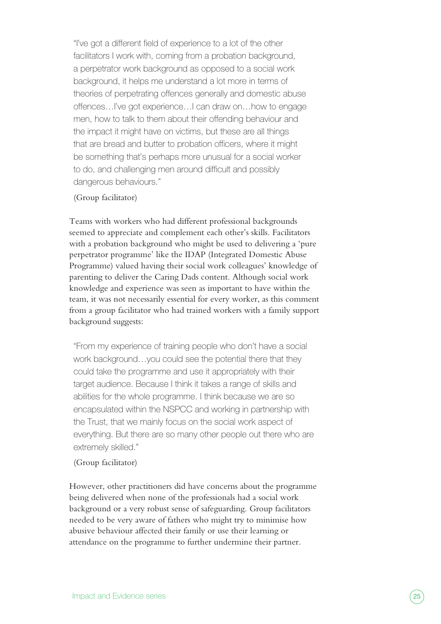"I've got a different field of experience to a lot of the other facilitators I work with, coming from a probation background, a perpetrator work background as opposed to a social work background, it helps me understand a lot more in terms of theories of perpetrating offences generally and domestic abuse offences…I've got experience…I can draw on…how to engage men, how to talk to them about their offending behaviour and the impact it might have on victims, but these are all things that are bread and butter to probation officers, where it might be something that's perhaps more unusual for a social worker to do, and challenging men around difficult and possibly dangerous behaviours."

#### (Group facilitator)

Teams with workers who had different professional backgrounds seemed to appreciate and complement each other's skills. Facilitators with a probation background who might be used to delivering a 'pure perpetrator programme' like the IDAP (Integrated Domestic Abuse Programme) valued having their social work colleagues' knowledge of parenting to deliver the Caring Dads content. Although social work knowledge and experience was seen as important to have within the team, it was not necessarily essential for every worker, as this comment from a group facilitator who had trained workers with a family support background suggests:

"From my experience of training people who don't have a social work background…you could see the potential there that they could take the programme and use it appropriately with their target audience. Because I think it takes a range of skills and abilities for the whole programme. I think because we are so encapsulated within the NSPCC and working in partnership with the Trust, that we mainly focus on the social work aspect of everything. But there are so many other people out there who are extremely skilled."

#### (Group facilitator)

However, other practitioners did have concerns about the programme being delivered when none of the professionals had a social work background or a very robust sense of safeguarding. Group facilitators needed to be very aware of fathers who might try to minimise how abusive behaviour affected their family or use their learning or attendance on the programme to further undermine their partner.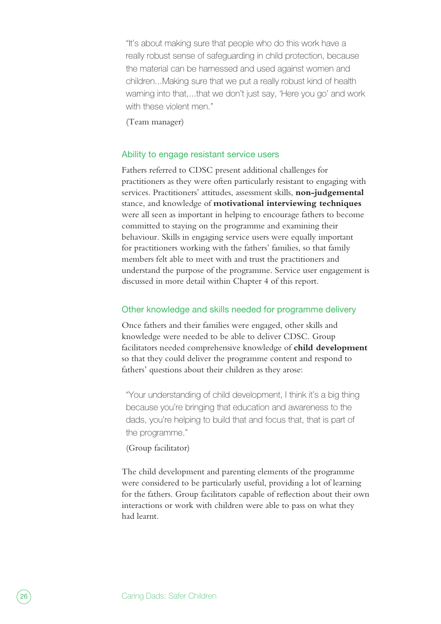"It's about making sure that people who do this work have a really robust sense of safeguarding in child protection, because the material can be harnessed and used against women and children...Making sure that we put a really robust kind of health warning into that,...that we don't just say, 'Here you go' and work with these violent men."

(Team manager)

#### Ability to engage resistant service users

Fathers referred to CDSC present additional challenges for practitioners as they were often particularly resistant to engaging with services. Practitioners' attitudes, assessment skills, **non-judgemental** stance, and knowledge of **motivational interviewing techniques** were all seen as important in helping to encourage fathers to become committed to staying on the programme and examining their behaviour. Skills in engaging service users were equally important for practitioners working with the fathers' families, so that family members felt able to meet with and trust the practitioners and understand the purpose of the programme. Service user engagement is discussed in more detail within Chapter 4 of this report.

#### Other knowledge and skills needed for programme delivery

Once fathers and their families were engaged, other skills and knowledge were needed to be able to deliver CDSC. Group facilitators needed comprehensive knowledge of **child development** so that they could deliver the programme content and respond to fathers' questions about their children as they arose:

"Your understanding of child development, I think it's a big thing because you're bringing that education and awareness to the dads, you're helping to build that and focus that, that is part of the programme."

#### (Group facilitator)

The child development and parenting elements of the programme were considered to be particularly useful, providing a lot of learning for the fathers. Group facilitators capable of reflection about their own interactions or work with children were able to pass on what they had learnt.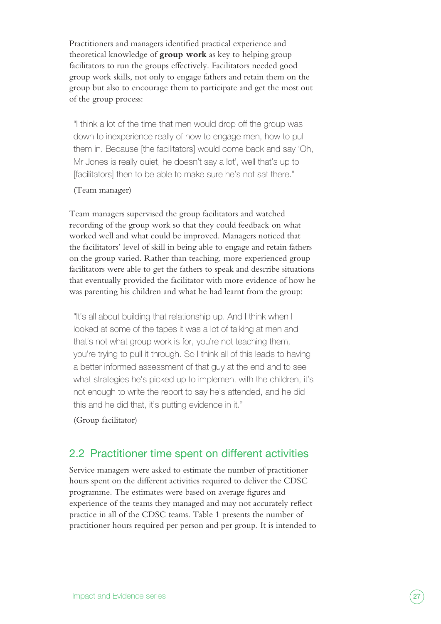<span id="page-26-0"></span>Practitioners and managers identified practical experience and theoretical knowledge of **group work** as key to helping group facilitators to run the groups effectively. Facilitators needed good group work skills, not only to engage fathers and retain them on the group but also to encourage them to participate and get the most out of the group process:

"I think a lot of the time that men would drop off the group was down to inexperience really of how to engage men, how to pull them in. Because [the facilitators] would come back and say 'Oh, Mr Jones is really quiet, he doesn't say a lot', well that's up to [facilitators] then to be able to make sure he's not sat there."

#### (Team manager)

Team managers supervised the group facilitators and watched recording of the group work so that they could feedback on what worked well and what could be improved. Managers noticed that the facilitators' level of skill in being able to engage and retain fathers on the group varied. Rather than teaching, more experienced group facilitators were able to get the fathers to speak and describe situations that eventually provided the facilitator with more evidence of how he was parenting his children and what he had learnt from the group:

"It's all about building that relationship up. And I think when I looked at some of the tapes it was a lot of talking at men and that's not what group work is for, you're not teaching them, you're trying to pull it through. So I think all of this leads to having a better informed assessment of that guy at the end and to see what strategies he's picked up to implement with the children, it's not enough to write the report to say he's attended, and he did this and he did that, it's putting evidence in it."

(Group facilitator)

## 2.2 Practitioner time spent on different activities

Service managers were asked to estimate the number of practitioner hours spent on the different activities required to deliver the CDSC programme. The estimates were based on average figures and experience of the teams they managed and may not accurately reflect practice in all of the CDSC teams. Table 1 presents the number of practitioner hours required per person and per group. It is intended to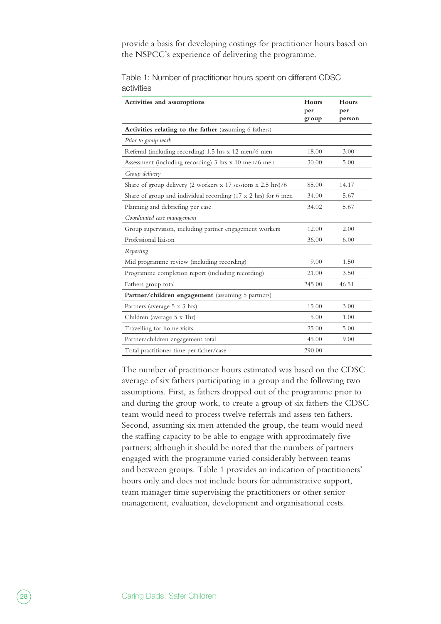provide a basis for developing costings for practitioner hours based on the NSPCC's experience of delivering the programme.

| Activities and assumptions                                     | Hours<br>per<br>group | Hours<br>per<br>person |
|----------------------------------------------------------------|-----------------------|------------------------|
| Activities relating to the father (assuming 6 fathers)         |                       |                        |
| Prior to group work                                            |                       |                        |
| Referral (including recording) 1.5 hrs x 12 men/6 men          | 18.00                 | 3.00                   |
| Assessment (including recording) 3 hrs x 10 men/6 men          | 30.00                 | 5.00                   |
| Group delivery                                                 |                       |                        |
| Share of group delivery (2 workers x 17 sessions x 2.5 hrs)/6  | 85.00                 | 14.17                  |
| Share of group and individual recording (17 x 2 hrs) for 6 men | 34.00                 | 5.67                   |
| Planning and debriefing per case                               | 34.02                 | 5.67                   |
| Coordinated case management                                    |                       |                        |
| Group supervision, including partner engagement workers        | 12.00                 | 2.00                   |
| Professional liaison                                           | 36.00                 | 6.00                   |
| Reporting                                                      |                       |                        |
| Mid programme review (including recording)                     | 9.00                  | 1.50                   |
| Programme completion report (including recording)              | 21.00                 | 3.50                   |
| Fathers group total                                            | 245.00                | 46.51                  |
| Partner/children engagement (assuming 5 partners)              |                       |                        |
| Partners (average 5 x 3 hrs)                                   | 15.00                 | 3.00                   |
| Children (average 5 x 1hr)                                     | 5.00                  | 1.00                   |
| Travelling for home visits                                     | 25.00                 | 5.00                   |
| Partner/children engagement total                              | 45.00                 | 9.00                   |
| Total practitioner time per father/case                        | 290.00                |                        |

Table 1: Number of practitioner hours spent on different CDSC activities

The number of practitioner hours estimated was based on the CDSC average of six fathers participating in a group and the following two assumptions. First, as fathers dropped out of the programme prior to and during the group work, to create a group of six fathers the CDSC team would need to process twelve referrals and assess ten fathers. Second, assuming six men attended the group, the team would need the staffing capacity to be able to engage with approximately five partners; although it should be noted that the numbers of partners engaged with the programme varied considerably between teams and between groups. Table 1 provides an indication of practitioners' hours only and does not include hours for administrative support, team manager time supervising the practitioners or other senior management, evaluation, development and organisational costs.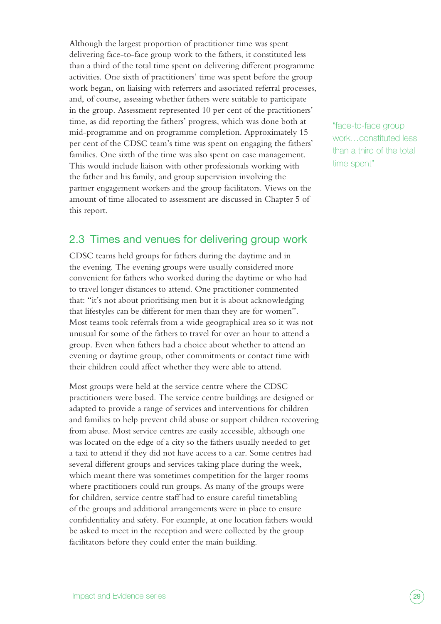<span id="page-28-0"></span>Although the largest proportion of practitioner time was spent delivering face-to-face group work to the fathers, it constituted less than a third of the total time spent on delivering different programme activities. One sixth of practitioners' time was spent before the group work began, on liaising with referrers and associated referral processes, and, of course, assessing whether fathers were suitable to participate in the group. Assessment represented 10 per cent of the practitioners' time, as did reporting the fathers' progress, which was done both at mid-programme and on programme completion. Approximately 15 per cent of the CDSC team's time was spent on engaging the fathers' families. One sixth of the time was also spent on case management. This would include liaison with other professionals working with the father and his family, and group supervision involving the partner engagement workers and the group facilitators. Views on the amount of time allocated to assessment are discussed in Chapter 5 of this report.

### 2.3 Times and venues for delivering group work

CDSC teams held groups for fathers during the daytime and in the evening. The evening groups were usually considered more convenient for fathers who worked during the daytime or who had to travel longer distances to attend. One practitioner commented that: "it's not about prioritising men but it is about acknowledging that lifestyles can be different for men than they are for women". Most teams took referrals from a wide geographical area so it was not unusual for some of the fathers to travel for over an hour to attend a group. Even when fathers had a choice about whether to attend an evening or daytime group, other commitments or contact time with their children could affect whether they were able to attend.

Most groups were held at the service centre where the CDSC practitioners were based. The service centre buildings are designed or adapted to provide a range of services and interventions for children and families to help prevent child abuse or support children recovering from abuse. Most service centres are easily accessible, although one was located on the edge of a city so the fathers usually needed to get a taxi to attend if they did not have access to a car. Some centres had several different groups and services taking place during the week, which meant there was sometimes competition for the larger rooms where practitioners could run groups. As many of the groups were for children, service centre staff had to ensure careful timetabling of the groups and additional arrangements were in place to ensure confidentiality and safety. For example, at one location fathers would be asked to meet in the reception and were collected by the group facilitators before they could enter the main building.

"face-to-face group work…constituted less than a third of the total time spent"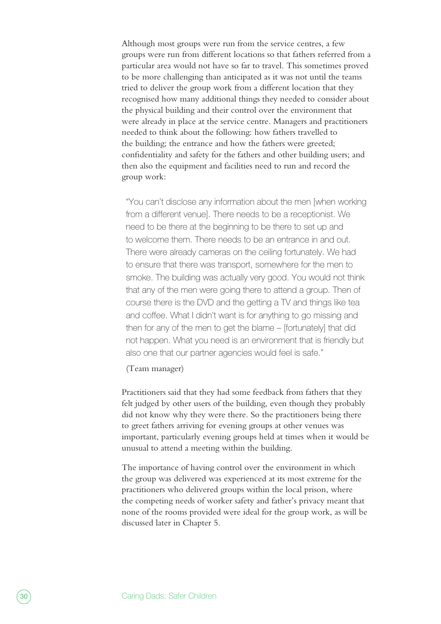Although most groups were run from the service centres, a few groups were run from different locations so that fathers referred from a particular area would not have so far to travel. This sometimes proved to be more challenging than anticipated as it was not until the teams tried to deliver the group work from a different location that they recognised how many additional things they needed to consider about the physical building and their control over the environment that were already in place at the service centre. Managers and practitioners needed to think about the following: how fathers travelled to the building; the entrance and how the fathers were greeted; confidentiality and safety for the fathers and other building users; and then also the equipment and facilities need to run and record the group work:

"You can't disclose any information about the men [when working from a different venue]. There needs to be a receptionist. We need to be there at the beginning to be there to set up and to welcome them. There needs to be an entrance in and out. There were already cameras on the ceiling fortunately. We had to ensure that there was transport, somewhere for the men to smoke. The building was actually very good. You would not think that any of the men were going there to attend a group. Then of course there is the DVD and the getting a TV and things like tea and coffee. What I didn't want is for anything to go missing and then for any of the men to get the blame – [fortunately] that did not happen. What you need is an environment that is friendly but also one that our partner agencies would feel is safe."

(Team manager)

Practitioners said that they had some feedback from fathers that they felt judged by other users of the building, even though they probably did not know why they were there. So the practitioners being there to greet fathers arriving for evening groups at other venues was important, particularly evening groups held at times when it would be unusual to attend a meeting within the building.

The importance of having control over the environment in which the group was delivered was experienced at its most extreme for the practitioners who delivered groups within the local prison, where the competing needs of worker safety and father's privacy meant that none of the rooms provided were ideal for the group work, as will be discussed later in Chapter 5.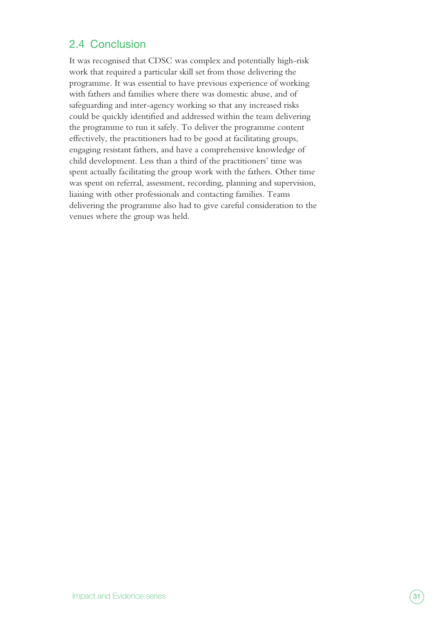## <span id="page-30-0"></span>2.4 Conclusion

It was recognised that CDSC was complex and potentially high-risk work that required a particular skill set from those delivering the programme. It was essential to have previous experience of working with fathers and families where there was domestic abuse, and of safeguarding and inter-agency working so that any increased risks could be quickly identified and addressed within the team delivering the programme to run it safely. To deliver the programme content effectively, the practitioners had to be good at facilitating groups, engaging resistant fathers, and have a comprehensive knowledge of child development. Less than a third of the practitioners' time was spent actually facilitating the group work with the fathers. Other time was spent on referral, assessment, recording, planning and supervision, liaising with other professionals and contacting families. Teams delivering the programme also had to give careful consideration to the venues where the group was held.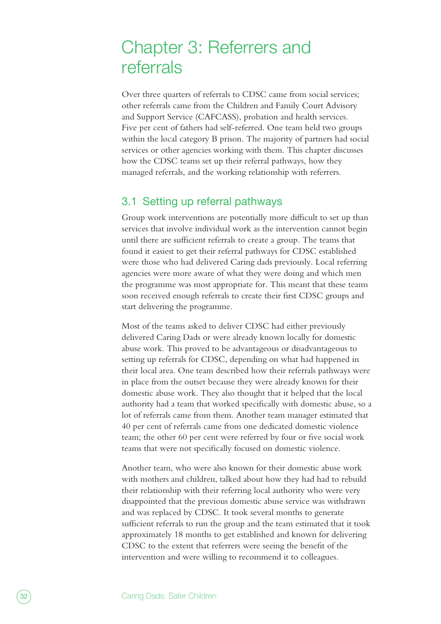# <span id="page-31-0"></span>Chapter 3: Referrers and referrals

Over three quarters of referrals to CDSC came from social services; other referrals came from the Children and Family Court Advisory and Support Service (CAFCASS), probation and health services. Five per cent of fathers had self-referred. One team held two groups within the local category B prison. The majority of partners had social services or other agencies working with them. This chapter discusses how the CDSC teams set up their referral pathways, how they managed referrals, and the working relationship with referrers.

### 3.1 Setting up referral pathways

Group work interventions are potentially more difficult to set up than services that involve individual work as the intervention cannot begin until there are sufficient referrals to create a group. The teams that found it easiest to get their referral pathways for CDSC established were those who had delivered Caring dads previously. Local referring agencies were more aware of what they were doing and which men the programme was most appropriate for. This meant that these teams soon received enough referrals to create their first CDSC groups and start delivering the programme.

Most of the teams asked to deliver CDSC had either previously delivered Caring Dads or were already known locally for domestic abuse work. This proved to be advantageous or disadvantageous to setting up referrals for CDSC, depending on what had happened in their local area. One team described how their referrals pathways were in place from the outset because they were already known for their domestic abuse work. They also thought that it helped that the local authority had a team that worked specifically with domestic abuse, so a lot of referrals came from them. Another team manager estimated that 40 per cent of referrals came from one dedicated domestic violence team; the other 60 per cent were referred by four or five social work teams that were not specifically focused on domestic violence.

Another team, who were also known for their domestic abuse work with mothers and children, talked about how they had had to rebuild their relationship with their referring local authority who were very disappointed that the previous domestic abuse service was withdrawn and was replaced by CDSC. It took several months to generate sufficient referrals to run the group and the team estimated that it took approximately 18 months to get established and known for delivering CDSC to the extent that referrers were seeing the benefit of the intervention and were willing to recommend it to colleagues.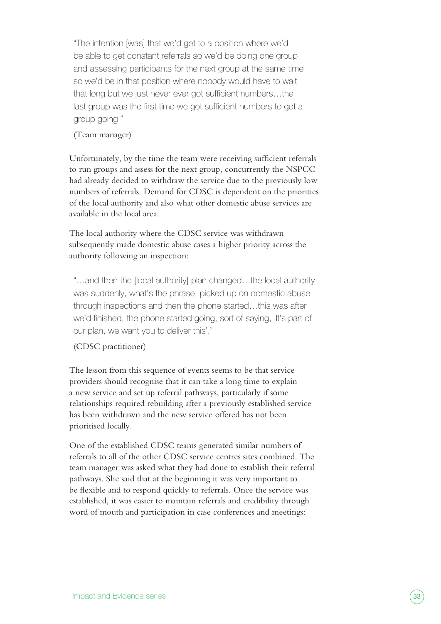"The intention [was] that we'd get to a position where we'd be able to get constant referrals so we'd be doing one group and assessing participants for the next group at the same time so we'd be in that position where nobody would have to wait that long but we just never ever got sufficient numbers…the last group was the first time we got sufficient numbers to get a group going."

#### (Team manager)

Unfortunately, by the time the team were receiving sufficient referrals to run groups and assess for the next group, concurrently the NSPCC had already decided to withdraw the service due to the previously low numbers of referrals. Demand for CDSC is dependent on the priorities of the local authority and also what other domestic abuse services are available in the local area.

The local authority where the CDSC service was withdrawn subsequently made domestic abuse cases a higher priority across the authority following an inspection:

"…and then the [local authority] plan changed…the local authority was suddenly, what's the phrase, picked up on domestic abuse through inspections and then the phone started…this was after we'd finished, the phone started going, sort of saying, 'It's part of our plan, we want you to deliver this'."

#### (CDSC practitioner)

The lesson from this sequence of events seems to be that service providers should recognise that it can take a long time to explain a new service and set up referral pathways, particularly if some relationships required rebuilding after a previously established service has been withdrawn and the new service offered has not been prioritised locally.

One of the established CDSC teams generated similar numbers of referrals to all of the other CDSC service centres sites combined. The team manager was asked what they had done to establish their referral pathways. She said that at the beginning it was very important to be flexible and to respond quickly to referrals. Once the service was established, it was easier to maintain referrals and credibility through word of mouth and participation in case conferences and meetings: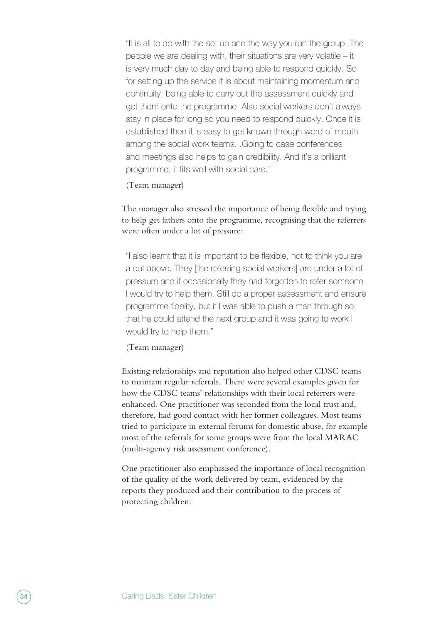"It is all to do with the set up and the way you run the group. The people we are dealing with, their situations are very volatile – it is very much day to day and being able to respond quickly. So for setting up the service it is about maintaining momentum and continuity, being able to carry out the assessment quickly and get them onto the programme. Also social workers don't always stay in place for long so you need to respond quickly. Once it is established then it is easy to get known through word of mouth among the social work teams...Going to case conferences and meetings also helps to gain credibility. And it's a brilliant programme, it fits well with social care."

#### (Team manager)

The manager also stressed the importance of being flexible and trying to help get fathers onto the programme, recognising that the referrers were often under a lot of pressure:

"I also learnt that it is important to be flexible, not to think you are a cut above. They [the referring social workers] are under a lot of pressure and if occasionally they had forgotten to refer someone I would try to help them. Still do a proper assessment and ensure programme fidelity, but if I was able to push a man through so that he could attend the next group and it was going to work I would try to help them."

#### (Team manager)

Existing relationships and reputation also helped other CDSC teams to maintain regular referrals. There were several examples given for how the CDSC teams' relationships with their local referrers were enhanced. One practitioner was seconded from the local trust and, therefore, had good contact with her former colleagues. Most teams tried to participate in external forums for domestic abuse, for example most of the referrals for some groups were from the local MARAC (multi-agency risk assessment conference).

One practitioner also emphasised the importance of local recognition of the quality of the work delivered by team, evidenced by the reports they produced and their contribution to the process of protecting children: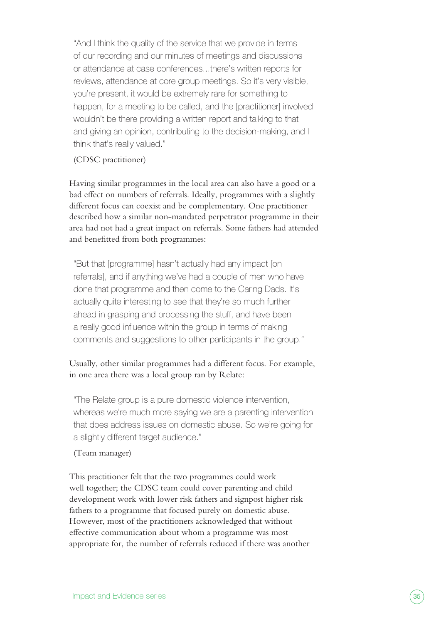"And I think the quality of the service that we provide in terms of our recording and our minutes of meetings and discussions or attendance at case conferences...there's written reports for reviews, attendance at core group meetings. So it's very visible, you're present, it would be extremely rare for something to happen, for a meeting to be called, and the [practitioner] involved wouldn't be there providing a written report and talking to that and giving an opinion, contributing to the decision-making, and I think that's really valued."

#### (CDSC practitioner)

Having similar programmes in the local area can also have a good or a bad effect on numbers of referrals. Ideally, programmes with a slightly different focus can coexist and be complementary. One practitioner described how a similar non-mandated perpetrator programme in their area had not had a great impact on referrals. Some fathers had attended and benefitted from both programmes:

"But that [programme] hasn't actually had any impact [on referrals], and if anything we've had a couple of men who have done that programme and then come to the Caring Dads. It's actually quite interesting to see that they're so much further ahead in grasping and processing the stuff, and have been a really good influence within the group in terms of making comments and suggestions to other participants in the group."

#### Usually, other similar programmes had a different focus. For example, in one area there was a local group ran by Relate:

"The Relate group is a pure domestic violence intervention, whereas we're much more saying we are a parenting intervention that does address issues on domestic abuse. So we're going for a slightly different target audience."

#### (Team manager)

This practitioner felt that the two programmes could work well together; the CDSC team could cover parenting and child development work with lower risk fathers and signpost higher risk fathers to a programme that focused purely on domestic abuse. However, most of the practitioners acknowledged that without effective communication about whom a programme was most appropriate for, the number of referrals reduced if there was another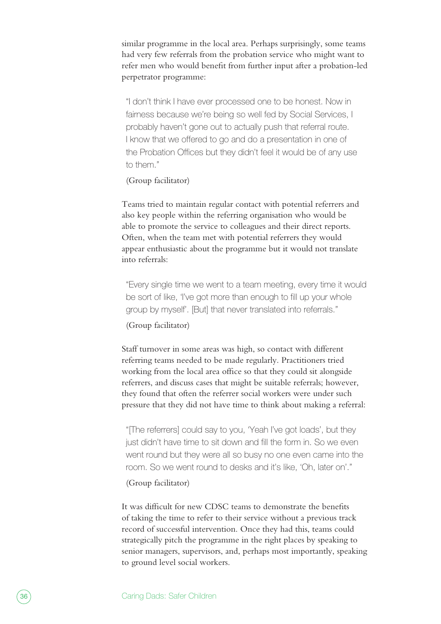similar programme in the local area. Perhaps surprisingly, some teams had very few referrals from the probation service who might want to refer men who would benefit from further input after a probation-led perpetrator programme:

"I don't think I have ever processed one to be honest. Now in fairness because we're being so well fed by Social Services, I probably haven't gone out to actually push that referral route. I know that we offered to go and do a presentation in one of the Probation Offices but they didn't feel it would be of any use to them."

#### (Group facilitator)

Teams tried to maintain regular contact with potential referrers and also key people within the referring organisation who would be able to promote the service to colleagues and their direct reports. Often, when the team met with potential referrers they would appear enthusiastic about the programme but it would not translate into referrals:

"Every single time we went to a team meeting, every time it would be sort of like, 'I've got more than enough to fill up your whole group by myself'. [But] that never translated into referrals."

(Group facilitator)

Staff turnover in some areas was high, so contact with different referring teams needed to be made regularly. Practitioners tried working from the local area office so that they could sit alongside referrers, and discuss cases that might be suitable referrals; however, they found that often the referrer social workers were under such pressure that they did not have time to think about making a referral:

"[The referrers] could say to you, 'Yeah I've got loads', but they just didn't have time to sit down and fill the form in. So we even went round but they were all so busy no one even came into the room. So we went round to desks and it's like, 'Oh, later on'."

#### (Group facilitator)

It was difficult for new CDSC teams to demonstrate the benefits of taking the time to refer to their service without a previous track record of successful intervention. Once they had this, teams could strategically pitch the programme in the right places by speaking to senior managers, supervisors, and, perhaps most importantly, speaking to ground level social workers.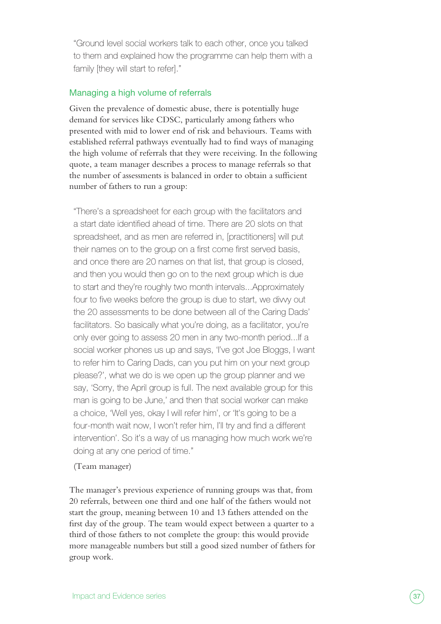"Ground level social workers talk to each other, once you talked to them and explained how the programme can help them with a family [they will start to refer]."

### Managing a high volume of referrals

Given the prevalence of domestic abuse, there is potentially huge demand for services like CDSC, particularly among fathers who presented with mid to lower end of risk and behaviours. Teams with established referral pathways eventually had to find ways of managing the high volume of referrals that they were receiving. In the following quote, a team manager describes a process to manage referrals so that the number of assessments is balanced in order to obtain a sufficient number of fathers to run a group:

"There's a spreadsheet for each group with the facilitators and a start date identified ahead of time. There are 20 slots on that spreadsheet, and as men are referred in, [practitioners] will put their names on to the group on a first come first served basis, and once there are 20 names on that list, that group is closed, and then you would then go on to the next group which is due to start and they're roughly two month intervals...Approximately four to five weeks before the group is due to start, we divvy out the 20 assessments to be done between all of the Caring Dads' facilitators. So basically what you're doing, as a facilitator, you're only ever going to assess 20 men in any two-month period...If a social worker phones us up and says, 'I've got Joe Bloggs, I want to refer him to Caring Dads, can you put him on your next group please?', what we do is we open up the group planner and we say, 'Sorry, the April group is full. The next available group for this man is going to be June,' and then that social worker can make a choice, 'Well yes, okay I will refer him', or 'It's going to be a four-month wait now, I won't refer him, I'll try and find a different intervention'. So it's a way of us managing how much work we're doing at any one period of time."

### (Team manager)

The manager's previous experience of running groups was that, from 20 referrals, between one third and one half of the fathers would not start the group, meaning between 10 and 13 fathers attended on the first day of the group. The team would expect between a quarter to a third of those fathers to not complete the group: this would provide more manageable numbers but still a good sized number of fathers for group work.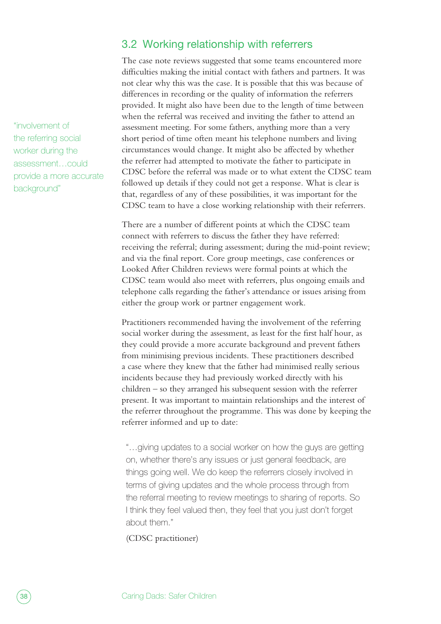"involvement of the referring social worker during the assessment…could provide a more accurate background"

# 3.2 Working relationship with referrers

The case note reviews suggested that some teams encountered more difficulties making the initial contact with fathers and partners. It was not clear why this was the case. It is possible that this was because of differences in recording or the quality of information the referrers provided. It might also have been due to the length of time between when the referral was received and inviting the father to attend an assessment meeting. For some fathers, anything more than a very short period of time often meant his telephone numbers and living circumstances would change. It might also be affected by whether the referrer had attempted to motivate the father to participate in CDSC before the referral was made or to what extent the CDSC team followed up details if they could not get a response. What is clear is that, regardless of any of these possibilities, it was important for the CDSC team to have a close working relationship with their referrers.

There are a number of different points at which the CDSC team connect with referrers to discuss the father they have referred: receiving the referral; during assessment; during the mid-point review; and via the final report. Core group meetings, case conferences or Looked After Children reviews were formal points at which the CDSC team would also meet with referrers, plus ongoing emails and telephone calls regarding the father's attendance or issues arising from either the group work or partner engagement work.

Practitioners recommended having the involvement of the referring social worker during the assessment, as least for the first half hour, as they could provide a more accurate background and prevent fathers from minimising previous incidents. These practitioners described a case where they knew that the father had minimised really serious incidents because they had previously worked directly with his children – so they arranged his subsequent session with the referrer present. It was important to maintain relationships and the interest of the referrer throughout the programme. This was done by keeping the referrer informed and up to date:

"…giving updates to a social worker on how the guys are getting on, whether there's any issues or just general feedback, are things going well. We do keep the referrers closely involved in terms of giving updates and the whole process through from the referral meeting to review meetings to sharing of reports. So I think they feel valued then, they feel that you just don't forget about them."

(CDSC practitioner)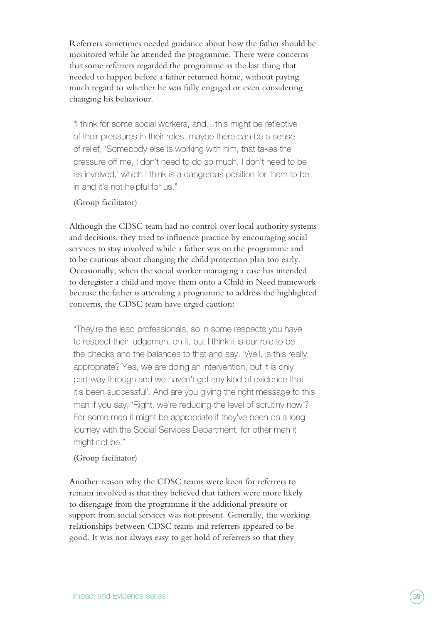Referrers sometimes needed guidance about how the father should be monitored while he attended the programme. There were concerns that some referrers regarded the programme as the last thing that needed to happen before a father returned home, without paying much regard to whether he was fully engaged or even considering changing his behaviour.

"I think for some social workers, and…this might be reflective of their pressures in their roles, maybe there can be a sense of relief, 'Somebody else is working with him, that takes the pressure off me, I don't need to do so much, I don't need to be as involved,' which I think is a dangerous position for them to be in and it's not helpful for us."

### (Group facilitator)

Although the CDSC team had no control over local authority systems and decisions, they tried to influence practice by encouraging social services to stay involved while a father was on the programme and to be cautious about changing the child protection plan too early. Occasionally, when the social worker managing a case has intended to deregister a child and move them onto a Child in Need framework because the father is attending a programme to address the highlighted concerns, the CDSC team have urged caution:

"They're the lead professionals, so in some respects you have to respect their judgement on it, but I think it is our role to be the checks and the balances to that and say, 'Well, is this really appropriate? Yes, we are doing an intervention, but it is only part-way through and we haven't got any kind of evidence that it's been successful'. And are you giving the right message to this man if you say, 'Right, we're reducing the level of scrutiny now'? For some men it might be appropriate if they've been on a long journey with the Social Services Department, for other men it might not be."

### (Group facilitator)

Another reason why the CDSC teams were keen for referrers to remain involved is that they believed that fathers were more likely to disengage from the programme if the additional pressure or support from social services was not present. Generally, the working relationships between CDSC teams and referrers appeared to be good. It was not always easy to get hold of referrers so that they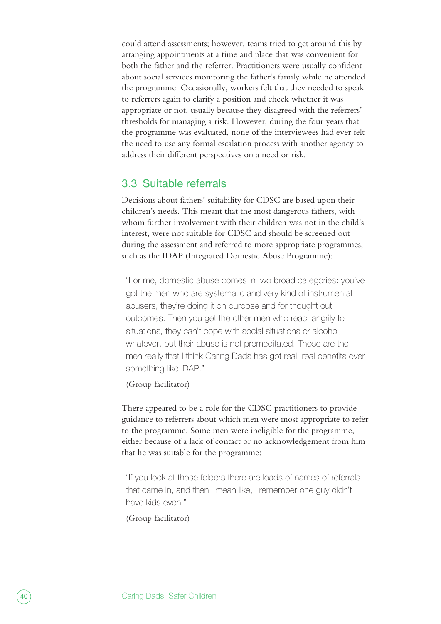could attend assessments; however, teams tried to get around this by arranging appointments at a time and place that was convenient for both the father and the referrer. Practitioners were usually confident about social services monitoring the father's family while he attended the programme. Occasionally, workers felt that they needed to speak to referrers again to clarify a position and check whether it was appropriate or not, usually because they disagreed with the referrers' thresholds for managing a risk. However, during the four years that the programme was evaluated, none of the interviewees had ever felt the need to use any formal escalation process with another agency to address their different perspectives on a need or risk.

# 3.3 Suitable referrals

Decisions about fathers' suitability for CDSC are based upon their children's needs. This meant that the most dangerous fathers, with whom further involvement with their children was not in the child's interest, were not suitable for CDSC and should be screened out during the assessment and referred to more appropriate programmes, such as the IDAP (Integrated Domestic Abuse Programme):

"For me, domestic abuse comes in two broad categories: you've got the men who are systematic and very kind of instrumental abusers, they're doing it on purpose and for thought out outcomes. Then you get the other men who react angrily to situations, they can't cope with social situations or alcohol, whatever, but their abuse is not premeditated. Those are the men really that I think Caring Dads has got real, real benefits over something like IDAP."

(Group facilitator)

There appeared to be a role for the CDSC practitioners to provide guidance to referrers about which men were most appropriate to refer to the programme. Some men were ineligible for the programme, either because of a lack of contact or no acknowledgement from him that he was suitable for the programme:

"If you look at those folders there are loads of names of referrals that came in, and then I mean like, I remember one guy didn't have kids even."

(Group facilitator)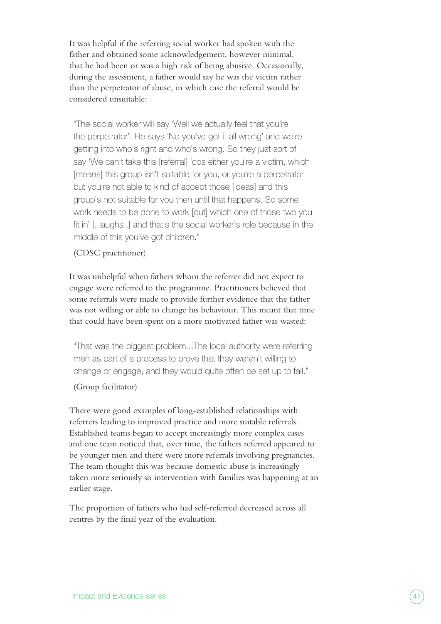It was helpful if the referring social worker had spoken with the father and obtained some acknowledgement, however minimal, that he had been or was a high risk of being abusive. Occasionally, during the assessment, a father would say he was the victim rather than the perpetrator of abuse, in which case the referral would be considered unsuitable:

"The social worker will say 'Well we actually feel that you're the perpetrator'. He says 'No you've got it all wrong' and we're getting into who's right and who's wrong. So they just sort of say 'We can't take this [referral] 'cos either you're a victim, which [means] this group isn't suitable for you, or you're a perpetrator but you're not able to kind of accept those [ideas] and this group's not suitable for you then until that happens. So some work needs to be done to work [out] which one of those two you fit in' [..laughs..] and that's the social worker's role because in the middle of this you've got children."

(CDSC practitioner)

It was unhelpful when fathers whom the referrer did not expect to engage were referred to the programme. Practitioners believed that some referrals were made to provide further evidence that the father was not willing or able to change his behaviour. This meant that time that could have been spent on a more motivated father was wasted:

"That was the biggest problem...The local authority were referring men as part of a process to prove that they weren't willing to change or engage, and they would quite often be set up to fail."

### (Group facilitator)

There were good examples of long-established relationships with referrers leading to improved practice and more suitable referrals. Established teams began to accept increasingly more complex cases and one team noticed that, over time, the fathers referred appeared to be younger men and there were more referrals involving pregnancies. The team thought this was because domestic abuse is increasingly taken more seriously so intervention with families was happening at an earlier stage.

The proportion of fathers who had self-referred decreased across all centres by the final year of the evaluation.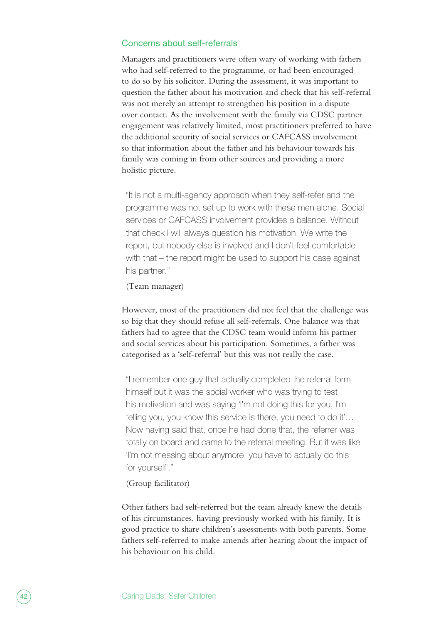#### Concerns about self-referrals

Managers and practitioners were often wary of working with fathers who had self-referred to the programme, or had been encouraged to do so by his solicitor. During the assessment, it was important to question the father about his motivation and check that his self-referral was not merely an attempt to strengthen his position in a dispute over contact. As the involvement with the family via CDSC partner engagement was relatively limited, most practitioners preferred to have the additional security of social services or CAFCASS involvement so that information about the father and his behaviour towards his family was coming in from other sources and providing a more holistic picture.

"It is not a multi-agency approach when they self-refer and the programme was not set up to work with these men alone. Social services or CAFCASS involvement provides a balance. Without that check I will always question his motivation. We write the report, but nobody else is involved and I don't feel comfortable with that – the report might be used to support his case against his partner."

(Team manager)

However, most of the practitioners did not feel that the challenge was so big that they should refuse all self-referrals. One balance was that fathers had to agree that the CDSC team would inform his partner and social services about his participation. Sometimes, a father was categorised as a 'self-referral' but this was not really the case.

"I remember one guy that actually completed the referral form himself but it was the social worker who was trying to test his motivation and was saying 'I'm not doing this for you, I'm telling you, you know this service is there, you need to do it'… Now having said that, once he had done that, the referrer was totally on board and came to the referral meeting. But it was like 'I'm not messing about anymore, you have to actually do this for yourself'."

(Group facilitator)

Other fathers had self-referred but the team already knew the details of his circumstances, having previously worked with his family. It is good practice to share children's assessments with both parents. Some fathers self-referred to make amends after hearing about the impact of his behaviour on his child.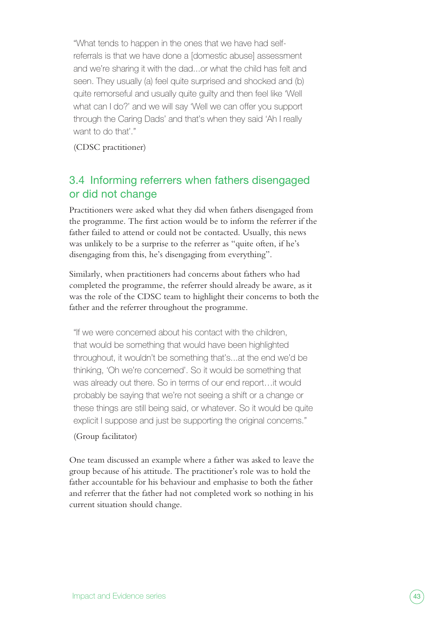"What tends to happen in the ones that we have had selfreferrals is that we have done a [domestic abuse] assessment and we're sharing it with the dad...or what the child has felt and seen. They usually (a) feel quite surprised and shocked and (b) quite remorseful and usually quite guilty and then feel like 'Well what can I do?' and we will say 'Well we can offer you support through the Caring Dads' and that's when they said 'Ah I really want to do that'."

(CDSC practitioner)

# 3.4 Informing referrers when fathers disengaged or did not change

Practitioners were asked what they did when fathers disengaged from the programme. The first action would be to inform the referrer if the father failed to attend or could not be contacted. Usually, this news was unlikely to be a surprise to the referrer as "quite often, if he's disengaging from this, he's disengaging from everything".

Similarly, when practitioners had concerns about fathers who had completed the programme, the referrer should already be aware, as it was the role of the CDSC team to highlight their concerns to both the father and the referrer throughout the programme.

"If we were concerned about his contact with the children, that would be something that would have been highlighted throughout, it wouldn't be something that's...at the end we'd be thinking, 'Oh we're concerned'. So it would be something that was already out there. So in terms of our end report…it would probably be saying that we're not seeing a shift or a change or these things are still being said, or whatever. So it would be quite explicit I suppose and just be supporting the original concerns."

## (Group facilitator)

One team discussed an example where a father was asked to leave the group because of his attitude. The practitioner's role was to hold the father accountable for his behaviour and emphasise to both the father and referrer that the father had not completed work so nothing in his current situation should change.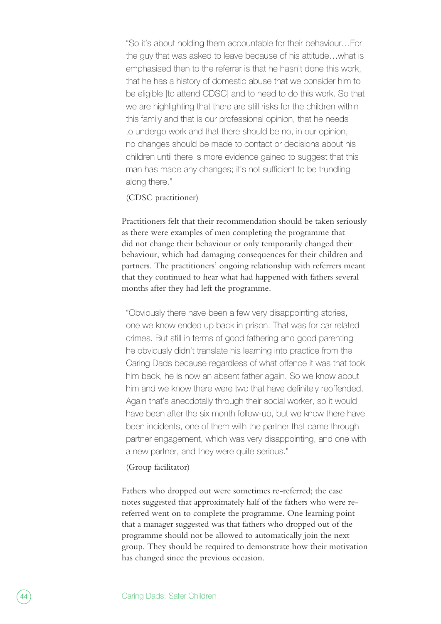"So it's about holding them accountable for their behaviour…For the guy that was asked to leave because of his attitude…what is emphasised then to the referrer is that he hasn't done this work, that he has a history of domestic abuse that we consider him to be eligible [to attend CDSC] and to need to do this work. So that we are highlighting that there are still risks for the children within this family and that is our professional opinion, that he needs to undergo work and that there should be no, in our opinion, no changes should be made to contact or decisions about his children until there is more evidence gained to suggest that this man has made any changes; it's not sufficient to be trundling along there."

### (CDSC practitioner)

Practitioners felt that their recommendation should be taken seriously as there were examples of men completing the programme that did not change their behaviour or only temporarily changed their behaviour, which had damaging consequences for their children and partners. The practitioners' ongoing relationship with referrers meant that they continued to hear what had happened with fathers several months after they had left the programme.

"Obviously there have been a few very disappointing stories, one we know ended up back in prison. That was for car related crimes. But still in terms of good fathering and good parenting he obviously didn't translate his learning into practice from the Caring Dads because regardless of what offence it was that took him back, he is now an absent father again. So we know about him and we know there were two that have definitely reoffended. Again that's anecdotally through their social worker, so it would have been after the six month follow-up, but we know there have been incidents, one of them with the partner that came through partner engagement, which was very disappointing, and one with a new partner, and they were quite serious."

#### (Group facilitator)

Fathers who dropped out were sometimes re-referred; the case notes suggested that approximately half of the fathers who were rereferred went on to complete the programme. One learning point that a manager suggested was that fathers who dropped out of the programme should not be allowed to automatically join the next group. They should be required to demonstrate how their motivation has changed since the previous occasion.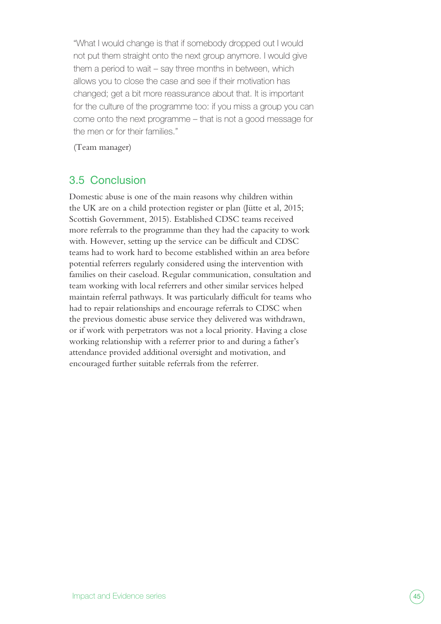"What I would change is that if somebody dropped out I would not put them straight onto the next group anymore. I would give them a period to wait – say three months in between, which allows you to close the case and see if their motivation has changed; get a bit more reassurance about that. It is important for the culture of the programme too: if you miss a group you can come onto the next programme – that is not a good message for the men or for their families."

(Team manager)

# 3.5 Conclusion

Domestic abuse is one of the main reasons why children within the UK are on a child protection register or plan (Jütte et al, 2015; Scottish Government, 2015). Established CDSC teams received more referrals to the programme than they had the capacity to work with. However, setting up the service can be difficult and CDSC teams had to work hard to become established within an area before potential referrers regularly considered using the intervention with families on their caseload. Regular communication, consultation and team working with local referrers and other similar services helped maintain referral pathways. It was particularly difficult for teams who had to repair relationships and encourage referrals to CDSC when the previous domestic abuse service they delivered was withdrawn, or if work with perpetrators was not a local priority. Having a close working relationship with a referrer prior to and during a father's attendance provided additional oversight and motivation, and encouraged further suitable referrals from the referrer.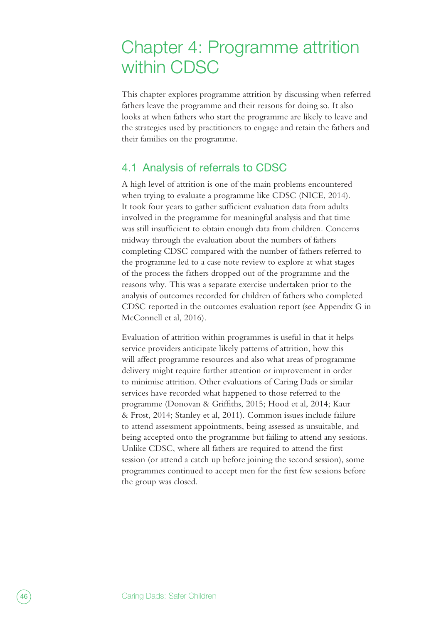# Chapter 4: Programme attrition within CDSC

This chapter explores programme attrition by discussing when referred fathers leave the programme and their reasons for doing so. It also looks at when fathers who start the programme are likely to leave and the strategies used by practitioners to engage and retain the fathers and their families on the programme.

# 4.1 Analysis of referrals to CDSC

A high level of attrition is one of the main problems encountered when trying to evaluate a programme like CDSC (NICE, 2014). It took four years to gather sufficient evaluation data from adults involved in the programme for meaningful analysis and that time was still insufficient to obtain enough data from children. Concerns midway through the evaluation about the numbers of fathers completing CDSC compared with the number of fathers referred to the programme led to a case note review to explore at what stages of the process the fathers dropped out of the programme and the reasons why. This was a separate exercise undertaken prior to the analysis of outcomes recorded for children of fathers who completed CDSC reported in the outcomes evaluation report (see Appendix G in McConnell et al, 2016).

Evaluation of attrition within programmes is useful in that it helps service providers anticipate likely patterns of attrition, how this will affect programme resources and also what areas of programme delivery might require further attention or improvement in order to minimise attrition. Other evaluations of Caring Dads or similar services have recorded what happened to those referred to the programme (Donovan & Griffiths, 2015; Hood et al, 2014; Kaur & Frost, 2014; Stanley et al, 2011). Common issues include failure to attend assessment appointments, being assessed as unsuitable, and being accepted onto the programme but failing to attend any sessions. Unlike CDSC, where all fathers are required to attend the first session (or attend a catch up before joining the second session), some programmes continued to accept men for the first few sessions before the group was closed.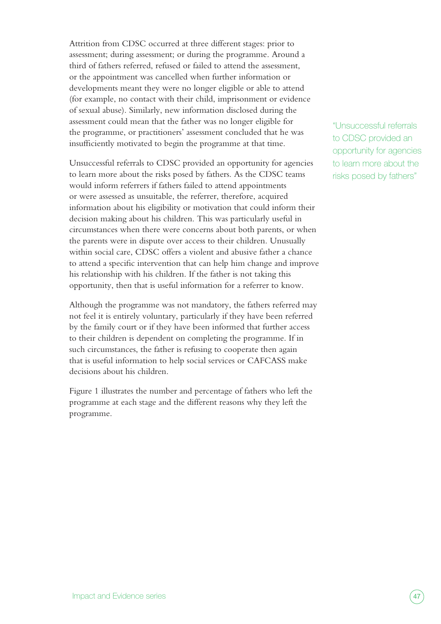Attrition from CDSC occurred at three different stages: prior to assessment; during assessment; or during the programme. Around a third of fathers referred, refused or failed to attend the assessment, or the appointment was cancelled when further information or developments meant they were no longer eligible or able to attend (for example, no contact with their child, imprisonment or evidence of sexual abuse). Similarly, new information disclosed during the assessment could mean that the father was no longer eligible for the programme, or practitioners' assessment concluded that he was insufficiently motivated to begin the programme at that time.

Unsuccessful referrals to CDSC provided an opportunity for agencies to learn more about the risks posed by fathers. As the CDSC teams would inform referrers if fathers failed to attend appointments or were assessed as unsuitable, the referrer, therefore, acquired information about his eligibility or motivation that could inform their decision making about his children. This was particularly useful in circumstances when there were concerns about both parents, or when the parents were in dispute over access to their children. Unusually within social care, CDSC offers a violent and abusive father a chance to attend a specific intervention that can help him change and improve his relationship with his children. If the father is not taking this opportunity, then that is useful information for a referrer to know.

Although the programme was not mandatory, the fathers referred may not feel it is entirely voluntary, particularly if they have been referred by the family court or if they have been informed that further access to their children is dependent on completing the programme. If in such circumstances, the father is refusing to cooperate then again that is useful information to help social services or CAFCASS make decisions about his children.

Figure 1 illustrates the number and percentage of fathers who left the programme at each stage and the different reasons why they left the programme.

"Unsuccessful referrals to CDSC provided an opportunity for agencies to learn more about the risks posed by fathers"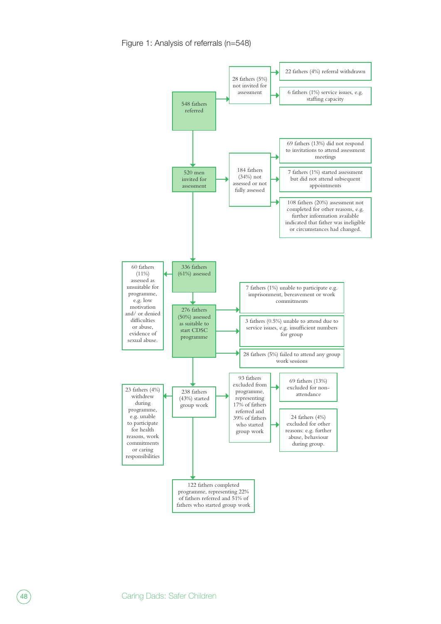Figure 1: Analysis of referrals (n=548)

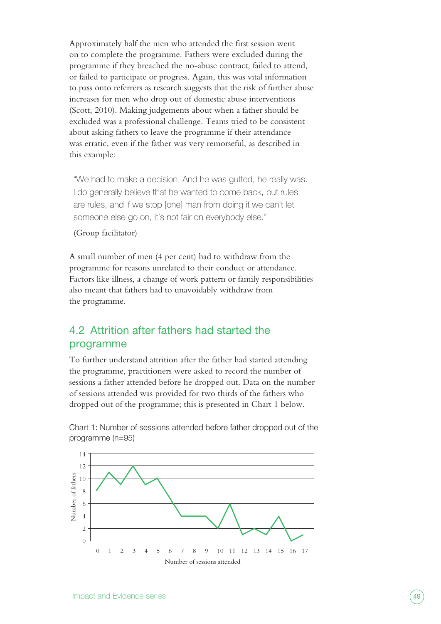Approximately half the men who attended the first session went on to complete the programme. Fathers were excluded during the programme if they breached the no-abuse contract, failed to attend, or failed to participate or progress. Again, this was vital information to pass onto referrers as research suggests that the risk of further abuse increases for men who drop out of domestic abuse interventions (Scott, 2010). Making judgements about when a father should be excluded was a professional challenge. Teams tried to be consistent about asking fathers to leave the programme if their attendance was erratic, even if the father was very remorseful, as described in this example:

"We had to make a decision. And he was gutted, he really was. I do generally believe that he wanted to come back, but rules are rules, and if we stop [one] man from doing it we can't let someone else go on, it's not fair on everybody else."

(Group facilitator)

A small number of men (4 per cent) had to withdraw from the programme for reasons unrelated to their conduct or attendance. Factors like illness, a change of work pattern or family responsibilities also meant that fathers had to unavoidably withdraw from the programme.

# 4.2 Attrition after fathers had started the programme

To further understand attrition after the father had started attending the programme, practitioners were asked to record the number of sessions a father attended before he dropped out. Data on the number of sessions attended was provided for two thirds of the fathers who dropped out of the programme; this is presented in Chart 1 below.



Chart 1: Number of sessions attended before father dropped out of the programme (n=95)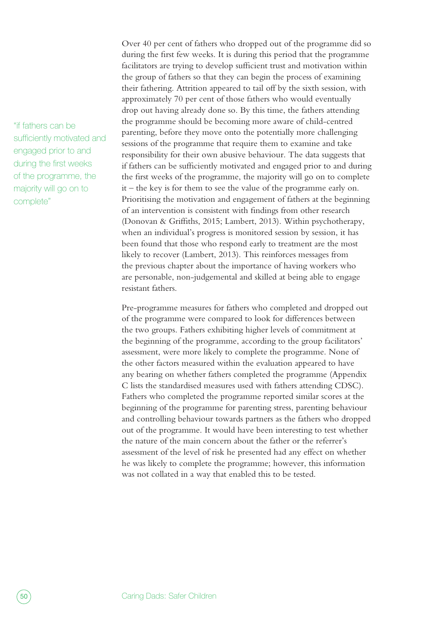"if fathers can be sufficiently motivated and engaged prior to and during the first weeks of the programme, the majority will go on to complete"

Over 40 per cent of fathers who dropped out of the programme did so during the first few weeks. It is during this period that the programme facilitators are trying to develop sufficient trust and motivation within the group of fathers so that they can begin the process of examining their fathering. Attrition appeared to tail off by the sixth session, with approximately 70 per cent of those fathers who would eventually drop out having already done so. By this time, the fathers attending the programme should be becoming more aware of child-centred parenting, before they move onto the potentially more challenging sessions of the programme that require them to examine and take responsibility for their own abusive behaviour. The data suggests that if fathers can be sufficiently motivated and engaged prior to and during the first weeks of the programme, the majority will go on to complete it – the key is for them to see the value of the programme early on. Prioritising the motivation and engagement of fathers at the beginning of an intervention is consistent with findings from other research (Donovan & Griffiths, 2015; Lambert, 2013). Within psychotherapy, when an individual's progress is monitored session by session, it has been found that those who respond early to treatment are the most likely to recover (Lambert, 2013). This reinforces messages from the previous chapter about the importance of having workers who are personable, non-judgemental and skilled at being able to engage resistant fathers.

Pre-programme measures for fathers who completed and dropped out of the programme were compared to look for differences between the two groups. Fathers exhibiting higher levels of commitment at the beginning of the programme, according to the group facilitators' assessment, were more likely to complete the programme. None of the other factors measured within the evaluation appeared to have any bearing on whether fathers completed the programme (Appendix C lists the standardised measures used with fathers attending CDSC). Fathers who completed the programme reported similar scores at the beginning of the programme for parenting stress, parenting behaviour and controlling behaviour towards partners as the fathers who dropped out of the programme. It would have been interesting to test whether the nature of the main concern about the father or the referrer's assessment of the level of risk he presented had any effect on whether he was likely to complete the programme; however, this information was not collated in a way that enabled this to be tested.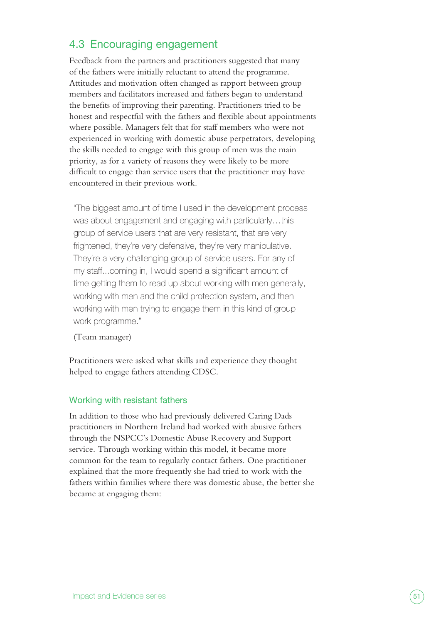# 4.3 Encouraging engagement

Feedback from the partners and practitioners suggested that many of the fathers were initially reluctant to attend the programme. Attitudes and motivation often changed as rapport between group members and facilitators increased and fathers began to understand the benefits of improving their parenting. Practitioners tried to be honest and respectful with the fathers and flexible about appointments where possible. Managers felt that for staff members who were not experienced in working with domestic abuse perpetrators, developing the skills needed to engage with this group of men was the main priority, as for a variety of reasons they were likely to be more difficult to engage than service users that the practitioner may have encountered in their previous work.

"The biggest amount of time I used in the development process was about engagement and engaging with particularly…this group of service users that are very resistant, that are very frightened, they're very defensive, they're very manipulative. They're a very challenging group of service users. For any of my staff...coming in, I would spend a significant amount of time getting them to read up about working with men generally, working with men and the child protection system, and then working with men trying to engage them in this kind of group work programme."

(Team manager)

Practitioners were asked what skills and experience they thought helped to engage fathers attending CDSC.

#### Working with resistant fathers

In addition to those who had previously delivered Caring Dads practitioners in Northern Ireland had worked with abusive fathers through the NSPCC's Domestic Abuse Recovery and Support service. Through working within this model, it became more common for the team to regularly contact fathers. One practitioner explained that the more frequently she had tried to work with the fathers within families where there was domestic abuse, the better she became at engaging them: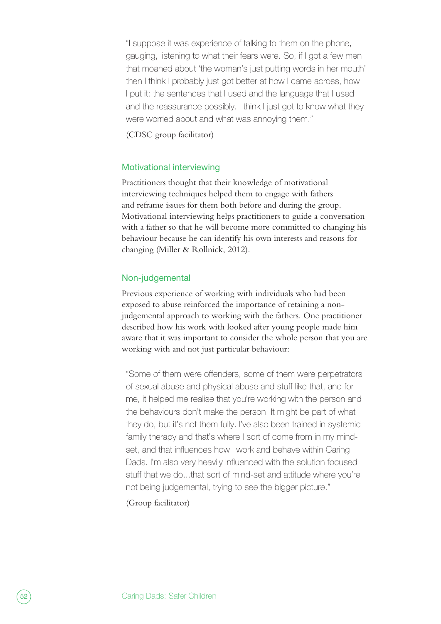"I suppose it was experience of talking to them on the phone, gauging, listening to what their fears were. So, if I got a few men that moaned about 'the woman's just putting words in her mouth' then I think I probably just got better at how I came across, how I put it: the sentences that I used and the language that I used and the reassurance possibly. I think I just got to know what they were worried about and what was annoying them."

(CDSC group facilitator)

### Motivational interviewing

Practitioners thought that their knowledge of motivational interviewing techniques helped them to engage with fathers and reframe issues for them both before and during the group. Motivational interviewing helps practitioners to guide a conversation with a father so that he will become more committed to changing his behaviour because he can identify his own interests and reasons for changing (Miller & Rollnick, 2012).

### Non-judgemental

Previous experience of working with individuals who had been exposed to abuse reinforced the importance of retaining a nonjudgemental approach to working with the fathers. One practitioner described how his work with looked after young people made him aware that it was important to consider the whole person that you are working with and not just particular behaviour:

"Some of them were offenders, some of them were perpetrators of sexual abuse and physical abuse and stuff like that, and for me, it helped me realise that you're working with the person and the behaviours don't make the person. It might be part of what they do, but it's not them fully. I've also been trained in systemic family therapy and that's where I sort of come from in my mindset, and that influences how I work and behave within Caring Dads. I'm also very heavily influenced with the solution focused stuff that we do...that sort of mind-set and attitude where you're not being judgemental, trying to see the bigger picture."

(Group facilitator)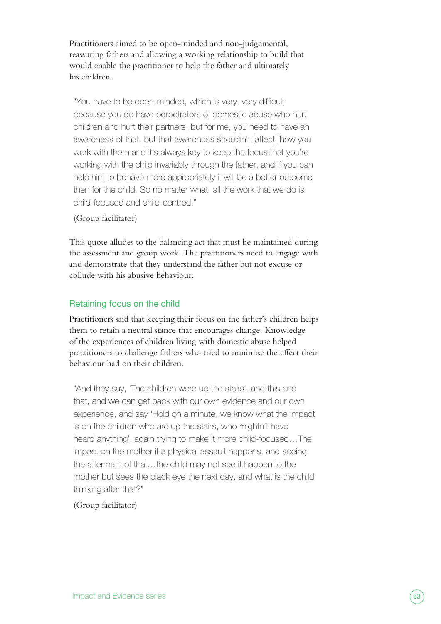Practitioners aimed to be open-minded and non-judgemental, reassuring fathers and allowing a working relationship to build that would enable the practitioner to help the father and ultimately his children.

"You have to be open-minded, which is very, very difficult because you do have perpetrators of domestic abuse who hurt children and hurt their partners, but for me, you need to have an awareness of that, but that awareness shouldn't [affect] how you work with them and it's always key to keep the focus that you're working with the child invariably through the father, and if you can help him to behave more appropriately it will be a better outcome then for the child. So no matter what, all the work that we do is child-focused and child-centred."

### (Group facilitator)

This quote alludes to the balancing act that must be maintained during the assessment and group work. The practitioners need to engage with and demonstrate that they understand the father but not excuse or collude with his abusive behaviour.

### Retaining focus on the child

Practitioners said that keeping their focus on the father's children helps them to retain a neutral stance that encourages change. Knowledge of the experiences of children living with domestic abuse helped practitioners to challenge fathers who tried to minimise the effect their behaviour had on their children.

"And they say, 'The children were up the stairs', and this and that, and we can get back with our own evidence and our own experience, and say 'Hold on a minute, we know what the impact is on the children who are up the stairs, who mightn't have heard anything', again trying to make it more child-focused…The impact on the mother if a physical assault happens, and seeing the aftermath of that…the child may not see it happen to the mother but sees the black eye the next day, and what is the child thinking after that?"

#### (Group facilitator)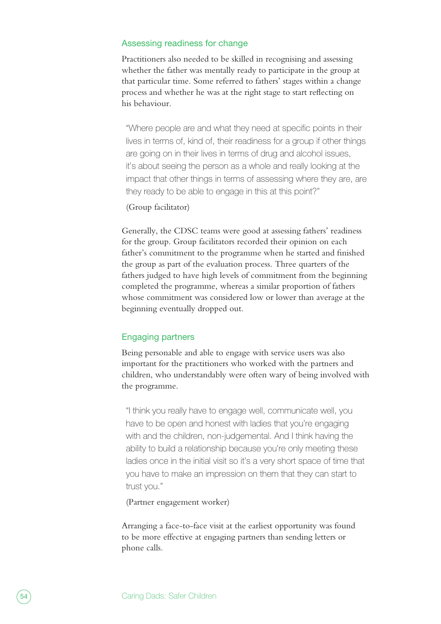#### Assessing readiness for change

Practitioners also needed to be skilled in recognising and assessing whether the father was mentally ready to participate in the group at that particular time. Some referred to fathers' stages within a change process and whether he was at the right stage to start reflecting on his behaviour.

"Where people are and what they need at specific points in their lives in terms of, kind of, their readiness for a group if other things are going on in their lives in terms of drug and alcohol issues, it's about seeing the person as a whole and really looking at the impact that other things in terms of assessing where they are, are they ready to be able to engage in this at this point?"

### (Group facilitator)

Generally, the CDSC teams were good at assessing fathers' readiness for the group. Group facilitators recorded their opinion on each father's commitment to the programme when he started and finished the group as part of the evaluation process. Three quarters of the fathers judged to have high levels of commitment from the beginning completed the programme, whereas a similar proportion of fathers whose commitment was considered low or lower than average at the beginning eventually dropped out.

#### Engaging partners

Being personable and able to engage with service users was also important for the practitioners who worked with the partners and children, who understandably were often wary of being involved with the programme.

"I think you really have to engage well, communicate well, you have to be open and honest with ladies that you're engaging with and the children, non-judgemental. And I think having the ability to build a relationship because you're only meeting these ladies once in the initial visit so it's a very short space of time that you have to make an impression on them that they can start to trust you."

(Partner engagement worker)

Arranging a face-to-face visit at the earliest opportunity was found to be more effective at engaging partners than sending letters or phone calls.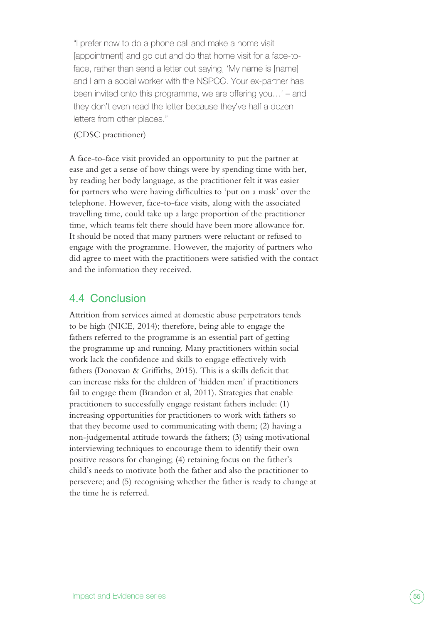"I prefer now to do a phone call and make a home visit [appointment] and go out and do that home visit for a face-toface, rather than send a letter out saying, 'My name is [name] and I am a social worker with the NSPCC. Your ex-partner has been invited onto this programme, we are offering you…' – and they don't even read the letter because they've half a dozen letters from other places."

### (CDSC practitioner)

A face-to-face visit provided an opportunity to put the partner at ease and get a sense of how things were by spending time with her, by reading her body language, as the practitioner felt it was easier for partners who were having difficulties to 'put on a mask' over the telephone. However, face-to-face visits, along with the associated travelling time, could take up a large proportion of the practitioner time, which teams felt there should have been more allowance for. It should be noted that many partners were reluctant or refused to engage with the programme. However, the majority of partners who did agree to meet with the practitioners were satisfied with the contact and the information they received.

# 4.4 Conclusion

Attrition from services aimed at domestic abuse perpetrators tends to be high (NICE, 2014); therefore, being able to engage the fathers referred to the programme is an essential part of getting the programme up and running. Many practitioners within social work lack the confidence and skills to engage effectively with fathers (Donovan & Griffiths, 2015). This is a skills deficit that can increase risks for the children of 'hidden men' if practitioners fail to engage them (Brandon et al, 2011). Strategies that enable practitioners to successfully engage resistant fathers include: (1) increasing opportunities for practitioners to work with fathers so that they become used to communicating with them; (2) having a non-judgemental attitude towards the fathers; (3) using motivational interviewing techniques to encourage them to identify their own positive reasons for changing; (4) retaining focus on the father's child's needs to motivate both the father and also the practitioner to persevere; and (5) recognising whether the father is ready to change at the time he is referred.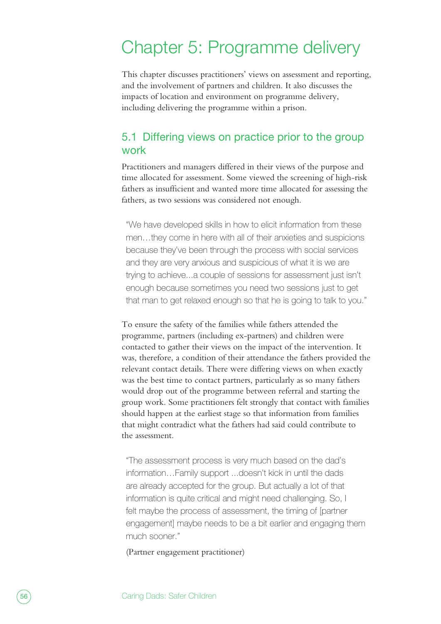# Chapter 5: Programme delivery

This chapter discusses practitioners' views on assessment and reporting, and the involvement of partners and children. It also discusses the impacts of location and environment on programme delivery, including delivering the programme within a prison.

# 5.1 Differing views on practice prior to the group work

Practitioners and managers differed in their views of the purpose and time allocated for assessment. Some viewed the screening of high-risk fathers as insufficient and wanted more time allocated for assessing the fathers, as two sessions was considered not enough.

"We have developed skills in how to elicit information from these men…they come in here with all of their anxieties and suspicions because they've been through the process with social services and they are very anxious and suspicious of what it is we are trying to achieve...a couple of sessions for assessment just isn't enough because sometimes you need two sessions just to get that man to get relaxed enough so that he is going to talk to you."

To ensure the safety of the families while fathers attended the programme, partners (including ex-partners) and children were contacted to gather their views on the impact of the intervention. It was, therefore, a condition of their attendance the fathers provided the relevant contact details. There were differing views on when exactly was the best time to contact partners, particularly as so many fathers would drop out of the programme between referral and starting the group work. Some practitioners felt strongly that contact with families should happen at the earliest stage so that information from families that might contradict what the fathers had said could contribute to the assessment.

"The assessment process is very much based on the dad's information…Family support ...doesn't kick in until the dads are already accepted for the group. But actually a lot of that information is quite critical and might need challenging. So, I felt maybe the process of assessment, the timing of [partner engagement] maybe needs to be a bit earlier and engaging them much sooner."

(Partner engagement practitioner)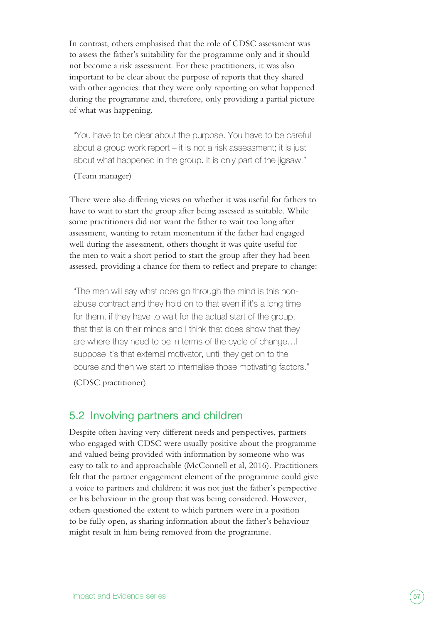In contrast, others emphasised that the role of CDSC assessment was to assess the father's suitability for the programme only and it should not become a risk assessment. For these practitioners, it was also important to be clear about the purpose of reports that they shared with other agencies: that they were only reporting on what happened during the programme and, therefore, only providing a partial picture of what was happening.

"You have to be clear about the purpose. You have to be careful about a group work report – it is not a risk assessment; it is just about what happened in the group. It is only part of the jigsaw."

#### (Team manager)

There were also differing views on whether it was useful for fathers to have to wait to start the group after being assessed as suitable. While some practitioners did not want the father to wait too long after assessment, wanting to retain momentum if the father had engaged well during the assessment, others thought it was quite useful for the men to wait a short period to start the group after they had been assessed, providing a chance for them to reflect and prepare to change:

"The men will say what does go through the mind is this nonabuse contract and they hold on to that even if it's a long time for them, if they have to wait for the actual start of the group, that that is on their minds and I think that does show that they are where they need to be in terms of the cycle of change…I suppose it's that external motivator, until they get on to the course and then we start to internalise those motivating factors."

(CDSC practitioner)

# 5.2 Involving partners and children

Despite often having very different needs and perspectives, partners who engaged with CDSC were usually positive about the programme and valued being provided with information by someone who was easy to talk to and approachable (McConnell et al, 2016). Practitioners felt that the partner engagement element of the programme could give a voice to partners and children: it was not just the father's perspective or his behaviour in the group that was being considered. However, others questioned the extent to which partners were in a position to be fully open, as sharing information about the father's behaviour might result in him being removed from the programme.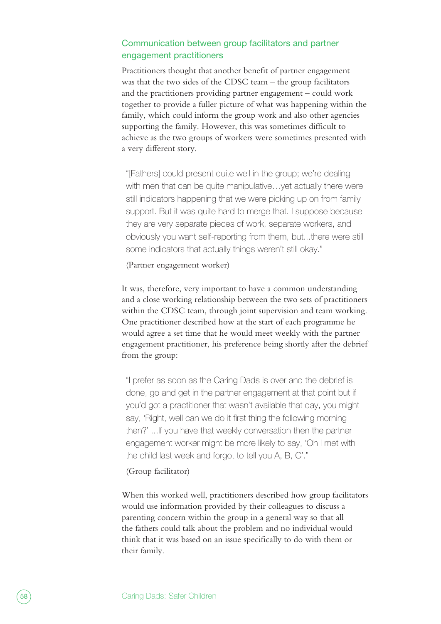### Communication between group facilitators and partner engagement practitioners

Practitioners thought that another benefit of partner engagement was that the two sides of the CDSC team – the group facilitators and the practitioners providing partner engagement – could work together to provide a fuller picture of what was happening within the family, which could inform the group work and also other agencies supporting the family. However, this was sometimes difficult to achieve as the two groups of workers were sometimes presented with a very different story.

"[Fathers] could present quite well in the group; we're dealing with men that can be quite manipulative... yet actually there were still indicators happening that we were picking up on from family support. But it was quite hard to merge that. I suppose because they are very separate pieces of work, separate workers, and obviously you want self-reporting from them, but...there were still some indicators that actually things weren't still okay."

(Partner engagement worker)

It was, therefore, very important to have a common understanding and a close working relationship between the two sets of practitioners within the CDSC team, through joint supervision and team working. One practitioner described how at the start of each programme he would agree a set time that he would meet weekly with the partner engagement practitioner, his preference being shortly after the debrief from the group:

"I prefer as soon as the Caring Dads is over and the debrief is done, go and get in the partner engagement at that point but if you'd got a practitioner that wasn't available that day, you might say, 'Right, well can we do it first thing the following morning then?' ...If you have that weekly conversation then the partner engagement worker might be more likely to say, 'Oh I met with the child last week and forgot to tell you A, B, C'."

#### (Group facilitator)

When this worked well, practitioners described how group facilitators would use information provided by their colleagues to discuss a parenting concern within the group in a general way so that all the fathers could talk about the problem and no individual would think that it was based on an issue specifically to do with them or their family.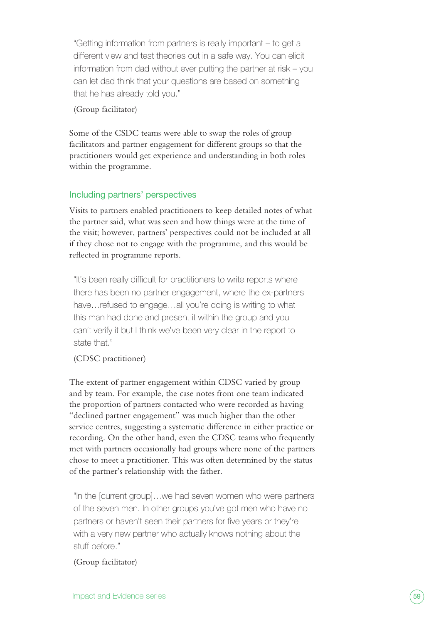"Getting information from partners is really important – to get a different view and test theories out in a safe way. You can elicit information from dad without ever putting the partner at risk – you can let dad think that your questions are based on something that he has already told you."

### (Group facilitator)

Some of the CSDC teams were able to swap the roles of group facilitators and partner engagement for different groups so that the practitioners would get experience and understanding in both roles within the programme.

## Including partners' perspectives

Visits to partners enabled practitioners to keep detailed notes of what the partner said, what was seen and how things were at the time of the visit; however, partners' perspectives could not be included at all if they chose not to engage with the programme, and this would be reflected in programme reports.

"It's been really difficult for practitioners to write reports where there has been no partner engagement, where the ex-partners have…refused to engage…all you're doing is writing to what this man had done and present it within the group and you can't verify it but I think we've been very clear in the report to state that."

## (CDSC practitioner)

The extent of partner engagement within CDSC varied by group and by team. For example, the case notes from one team indicated the proportion of partners contacted who were recorded as having "declined partner engagement" was much higher than the other service centres, suggesting a systematic difference in either practice or recording. On the other hand, even the CDSC teams who frequently met with partners occasionally had groups where none of the partners chose to meet a practitioner. This was often determined by the status of the partner's relationship with the father.

"In the [current group]…we had seven women who were partners of the seven men. In other groups you've got men who have no partners or haven't seen their partners for five years or they're with a very new partner who actually knows nothing about the stuff before."

## (Group facilitator)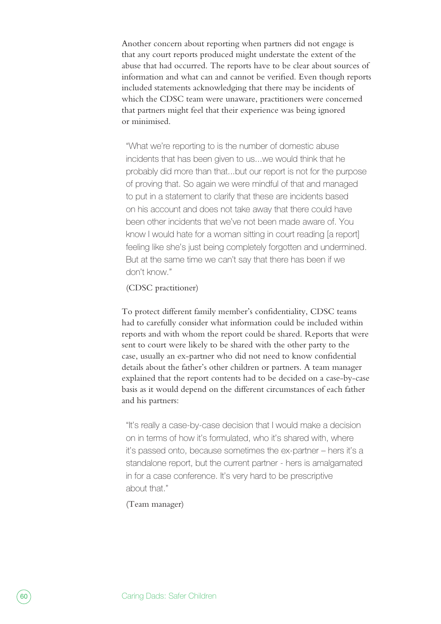Another concern about reporting when partners did not engage is that any court reports produced might understate the extent of the abuse that had occurred. The reports have to be clear about sources of information and what can and cannot be verified. Even though reports included statements acknowledging that there may be incidents of which the CDSC team were unaware, practitioners were concerned that partners might feel that their experience was being ignored or minimised.

"What we're reporting to is the number of domestic abuse incidents that has been given to us...we would think that he probably did more than that...but our report is not for the purpose of proving that. So again we were mindful of that and managed to put in a statement to clarify that these are incidents based on his account and does not take away that there could have been other incidents that we've not been made aware of. You know I would hate for a woman sitting in court reading [a report] feeling like she's just being completely forgotten and undermined. But at the same time we can't say that there has been if we don't know."

### (CDSC practitioner)

To protect different family member's confidentiality, CDSC teams had to carefully consider what information could be included within reports and with whom the report could be shared. Reports that were sent to court were likely to be shared with the other party to the case, usually an ex-partner who did not need to know confidential details about the father's other children or partners. A team manager explained that the report contents had to be decided on a case-by-case basis as it would depend on the different circumstances of each father and his partners:

"It's really a case-by-case decision that I would make a decision on in terms of how it's formulated, who it's shared with, where it's passed onto, because sometimes the ex-partner – hers it's a standalone report, but the current partner - hers is amalgamated in for a case conference. It's very hard to be prescriptive about that."

(Team manager)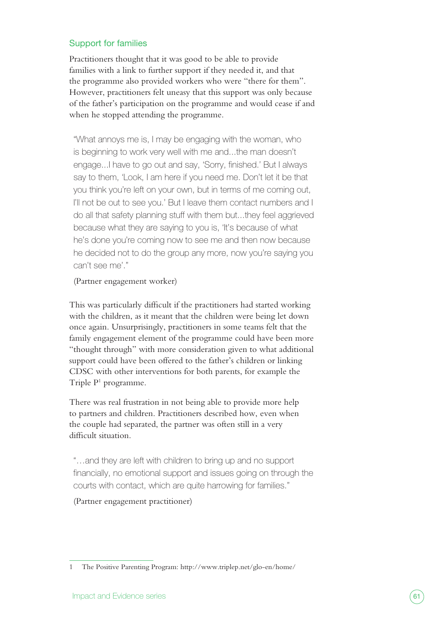## Support for families

Practitioners thought that it was good to be able to provide families with a link to further support if they needed it, and that the programme also provided workers who were "there for them". However, practitioners felt uneasy that this support was only because of the father's participation on the programme and would cease if and when he stopped attending the programme.

"What annoys me is, I may be engaging with the woman, who is beginning to work very well with me and...the man doesn't engage...I have to go out and say, 'Sorry, finished.' But I always say to them, 'Look, I am here if you need me. Don't let it be that you think you're left on your own, but in terms of me coming out, I'll not be out to see you.' But I leave them contact numbers and I do all that safety planning stuff with them but...they feel aggrieved because what they are saying to you is, 'It's because of what he's done you're coming now to see me and then now because he decided not to do the group any more, now you're saying you can't see me'."

(Partner engagement worker)

This was particularly difficult if the practitioners had started working with the children, as it meant that the children were being let down once again. Unsurprisingly, practitioners in some teams felt that the family engagement element of the programme could have been more "thought through" with more consideration given to what additional support could have been offered to the father's children or linking CDSC with other interventions for both parents, for example the Triple P1 programme.

There was real frustration in not being able to provide more help to partners and children. Practitioners described how, even when the couple had separated, the partner was often still in a very difficult situation.

"…and they are left with children to bring up and no support financially, no emotional support and issues going on through the courts with contact, which are quite harrowing for families."

(Partner engagement practitioner)

<sup>1</sup> The Positive Parenting Program: <http://www.triplep.net/glo-en/home/>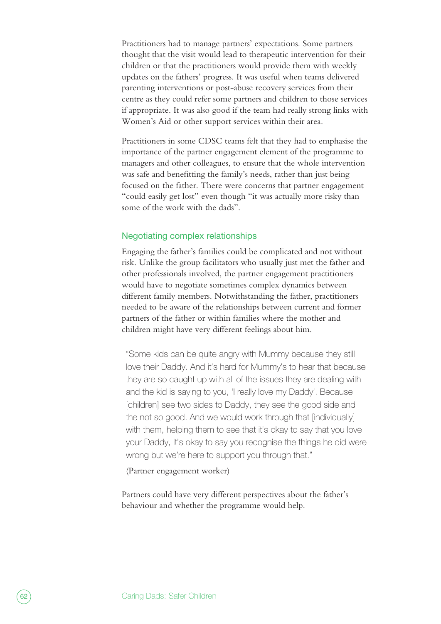Practitioners had to manage partners' expectations. Some partners thought that the visit would lead to therapeutic intervention for their children or that the practitioners would provide them with weekly updates on the fathers' progress. It was useful when teams delivered parenting interventions or post-abuse recovery services from their centre as they could refer some partners and children to those services if appropriate. It was also good if the team had really strong links with Women's Aid or other support services within their area.

Practitioners in some CDSC teams felt that they had to emphasise the importance of the partner engagement element of the programme to managers and other colleagues, to ensure that the whole intervention was safe and benefitting the family's needs, rather than just being focused on the father. There were concerns that partner engagement "could easily get lost" even though "it was actually more risky than some of the work with the dads".

### Negotiating complex relationships

Engaging the father's families could be complicated and not without risk. Unlike the group facilitators who usually just met the father and other professionals involved, the partner engagement practitioners would have to negotiate sometimes complex dynamics between different family members. Notwithstanding the father, practitioners needed to be aware of the relationships between current and former partners of the father or within families where the mother and children might have very different feelings about him.

"Some kids can be quite angry with Mummy because they still love their Daddy. And it's hard for Mummy's to hear that because they are so caught up with all of the issues they are dealing with and the kid is saying to you, 'I really love my Daddy'. Because [children] see two sides to Daddy, they see the good side and the not so good. And we would work through that [individually] with them, helping them to see that it's okay to say that you love your Daddy, it's okay to say you recognise the things he did were wrong but we're here to support you through that."

(Partner engagement worker)

Partners could have very different perspectives about the father's behaviour and whether the programme would help.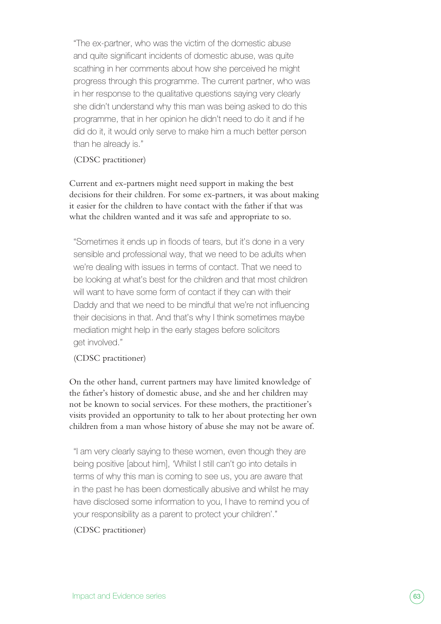"The ex-partner, who was the victim of the domestic abuse and quite significant incidents of domestic abuse, was quite scathing in her comments about how she perceived he might progress through this programme. The current partner, who was in her response to the qualitative questions saying very clearly she didn't understand why this man was being asked to do this programme, that in her opinion he didn't need to do it and if he did do it, it would only serve to make him a much better person than he already is."

(CDSC practitioner)

Current and ex-partners might need support in making the best decisions for their children. For some ex-partners, it was about making it easier for the children to have contact with the father if that was what the children wanted and it was safe and appropriate to so.

"Sometimes it ends up in floods of tears, but it's done in a very sensible and professional way, that we need to be adults when we're dealing with issues in terms of contact. That we need to be looking at what's best for the children and that most children will want to have some form of contact if they can with their Daddy and that we need to be mindful that we're not influencing their decisions in that. And that's why I think sometimes maybe mediation might help in the early stages before solicitors get involved."

(CDSC practitioner)

On the other hand, current partners may have limited knowledge of the father's history of domestic abuse, and she and her children may not be known to social services. For these mothers, the practitioner's visits provided an opportunity to talk to her about protecting her own children from a man whose history of abuse she may not be aware of.

"I am very clearly saying to these women, even though they are being positive [about him], 'Whilst I still can't go into details in terms of why this man is coming to see us, you are aware that in the past he has been domestically abusive and whilst he may have disclosed some information to you, I have to remind you of your responsibility as a parent to protect your children'."

(CDSC practitioner)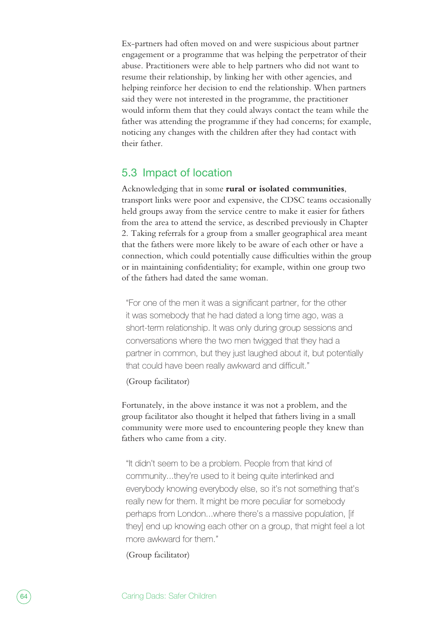Ex-partners had often moved on and were suspicious about partner engagement or a programme that was helping the perpetrator of their abuse. Practitioners were able to help partners who did not want to resume their relationship, by linking her with other agencies, and helping reinforce her decision to end the relationship. When partners said they were not interested in the programme, the practitioner would inform them that they could always contact the team while the father was attending the programme if they had concerns; for example, noticing any changes with the children after they had contact with their father.

# 5.3 Impact of location

Acknowledging that in some **rural or isolated communities**, transport links were poor and expensive, the CDSC teams occasionally held groups away from the service centre to make it easier for fathers from the area to attend the service, as described previously in Chapter 2. Taking referrals for a group from a smaller geographical area meant that the fathers were more likely to be aware of each other or have a connection, which could potentially cause difficulties within the group or in maintaining confidentiality; for example, within one group two of the fathers had dated the same woman.

"For one of the men it was a significant partner, for the other it was somebody that he had dated a long time ago, was a short-term relationship. It was only during group sessions and conversations where the two men twigged that they had a partner in common, but they just laughed about it, but potentially that could have been really awkward and difficult."

(Group facilitator)

Fortunately, in the above instance it was not a problem, and the group facilitator also thought it helped that fathers living in a small community were more used to encountering people they knew than fathers who came from a city.

"It didn't seem to be a problem. People from that kind of community...they're used to it being quite interlinked and everybody knowing everybody else, so it's not something that's really new for them. It might be more peculiar for somebody perhaps from London...where there's a massive population, [if they] end up knowing each other on a group, that might feel a lot more awkward for them."

(Group facilitator)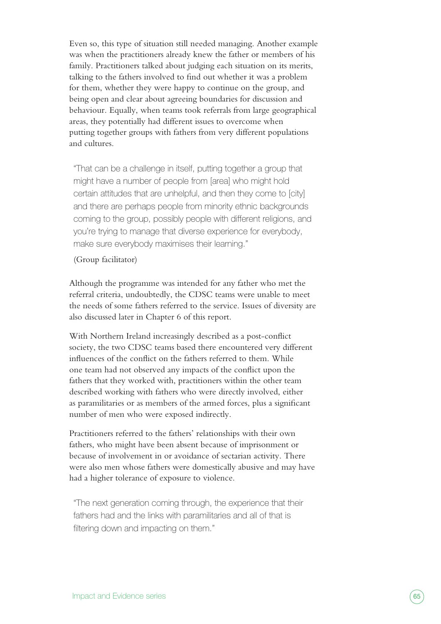Even so, this type of situation still needed managing. Another example was when the practitioners already knew the father or members of his family. Practitioners talked about judging each situation on its merits, talking to the fathers involved to find out whether it was a problem for them, whether they were happy to continue on the group, and being open and clear about agreeing boundaries for discussion and behaviour. Equally, when teams took referrals from large geographical areas, they potentially had different issues to overcome when putting together groups with fathers from very different populations and cultures.

"That can be a challenge in itself, putting together a group that might have a number of people from [area] who might hold certain attitudes that are unhelpful, and then they come to [city] and there are perhaps people from minority ethnic backgrounds coming to the group, possibly people with different religions, and you're trying to manage that diverse experience for everybody, make sure everybody maximises their learning."

#### (Group facilitator)

Although the programme was intended for any father who met the referral criteria, undoubtedly, the CDSC teams were unable to meet the needs of some fathers referred to the service. Issues of diversity are also discussed later in Chapter 6 of this report.

With Northern Ireland increasingly described as a post-conflict society, the two CDSC teams based there encountered very different influences of the conflict on the fathers referred to them. While one team had not observed any impacts of the conflict upon the fathers that they worked with, practitioners within the other team described working with fathers who were directly involved, either as paramilitaries or as members of the armed forces, plus a significant number of men who were exposed indirectly.

Practitioners referred to the fathers' relationships with their own fathers, who might have been absent because of imprisonment or because of involvement in or avoidance of sectarian activity. There were also men whose fathers were domestically abusive and may have had a higher tolerance of exposure to violence.

"The next generation coming through, the experience that their fathers had and the links with paramilitaries and all of that is filtering down and impacting on them."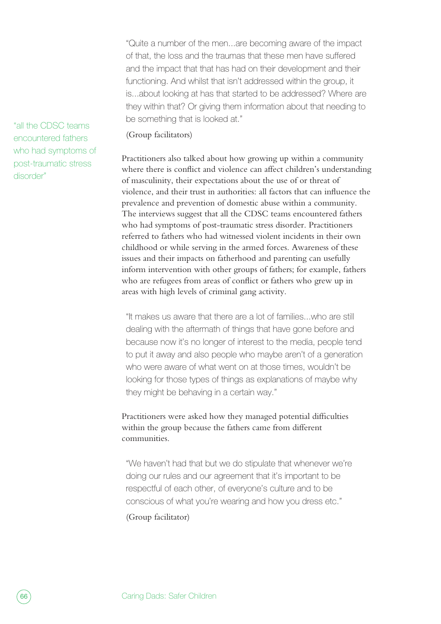"Quite a number of the men...are becoming aware of the impact of that, the loss and the traumas that these men have suffered and the impact that that has had on their development and their functioning. And whilst that isn't addressed within the group, it is...about looking at has that started to be addressed? Where are they within that? Or giving them information about that needing to be something that is looked at."

### (Group facilitators)

Practitioners also talked about how growing up within a community where there is conflict and violence can affect children's understanding of masculinity, their expectations about the use of or threat of violence, and their trust in authorities: all factors that can influence the prevalence and prevention of domestic abuse within a community. The interviews suggest that all the CDSC teams encountered fathers who had symptoms of post-traumatic stress disorder. Practitioners referred to fathers who had witnessed violent incidents in their own childhood or while serving in the armed forces. Awareness of these issues and their impacts on fatherhood and parenting can usefully inform intervention with other groups of fathers; for example, fathers who are refugees from areas of conflict or fathers who grew up in areas with high levels of criminal gang activity.

"It makes us aware that there are a lot of families...who are still dealing with the aftermath of things that have gone before and because now it's no longer of interest to the media, people tend to put it away and also people who maybe aren't of a generation who were aware of what went on at those times, wouldn't be looking for those types of things as explanations of maybe why they might be behaving in a certain way."

Practitioners were asked how they managed potential difficulties within the group because the fathers came from different communities.

"We haven't had that but we do stipulate that whenever we're doing our rules and our agreement that it's important to be respectful of each other, of everyone's culture and to be conscious of what you're wearing and how you dress etc."

(Group facilitator)

"all the CDSC teams encountered fathers who had symptoms of post-traumatic stress disorder"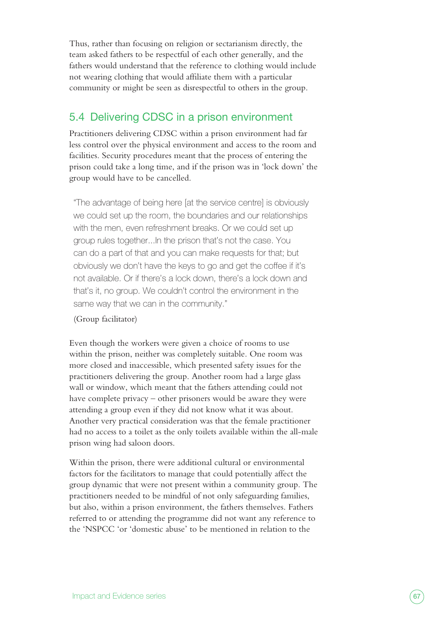Thus, rather than focusing on religion or sectarianism directly, the team asked fathers to be respectful of each other generally, and the fathers would understand that the reference to clothing would include not wearing clothing that would affiliate them with a particular community or might be seen as disrespectful to others in the group.

# 5.4 Delivering CDSC in a prison environment

Practitioners delivering CDSC within a prison environment had far less control over the physical environment and access to the room and facilities. Security procedures meant that the process of entering the prison could take a long time, and if the prison was in 'lock down' the group would have to be cancelled.

"The advantage of being here [at the service centre] is obviously we could set up the room, the boundaries and our relationships with the men, even refreshment breaks. Or we could set up group rules together...In the prison that's not the case. You can do a part of that and you can make requests for that; but obviously we don't have the keys to go and get the coffee if it's not available. Or if there's a lock down, there's a lock down and that's it, no group. We couldn't control the environment in the same way that we can in the community."

#### (Group facilitator)

Even though the workers were given a choice of rooms to use within the prison, neither was completely suitable. One room was more closed and inaccessible, which presented safety issues for the practitioners delivering the group. Another room had a large glass wall or window, which meant that the fathers attending could not have complete privacy – other prisoners would be aware they were attending a group even if they did not know what it was about. Another very practical consideration was that the female practitioner had no access to a toilet as the only toilets available within the all-male prison wing had saloon doors.

Within the prison, there were additional cultural or environmental factors for the facilitators to manage that could potentially affect the group dynamic that were not present within a community group. The practitioners needed to be mindful of not only safeguarding families, but also, within a prison environment, the fathers themselves. Fathers referred to or attending the programme did not want any reference to the 'NSPCC 'or 'domestic abuse' to be mentioned in relation to the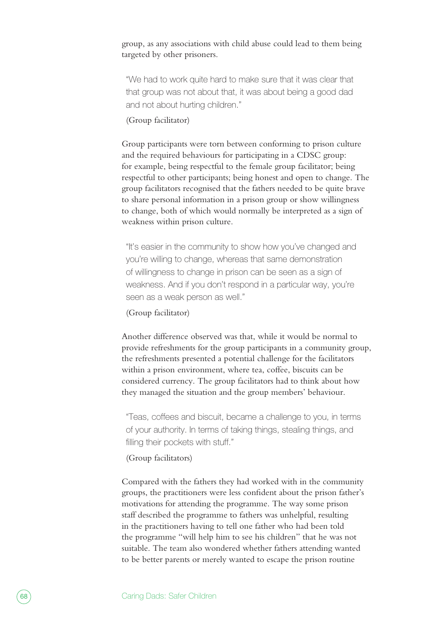group, as any associations with child abuse could lead to them being targeted by other prisoners.

"We had to work quite hard to make sure that it was clear that that group was not about that, it was about being a good dad and not about hurting children."

#### (Group facilitator)

Group participants were torn between conforming to prison culture and the required behaviours for participating in a CDSC group: for example, being respectful to the female group facilitator; being respectful to other participants; being honest and open to change. The group facilitators recognised that the fathers needed to be quite brave to share personal information in a prison group or show willingness to change, both of which would normally be interpreted as a sign of weakness within prison culture.

"It's easier in the community to show how you've changed and you're willing to change, whereas that same demonstration of willingness to change in prison can be seen as a sign of weakness. And if you don't respond in a particular way, you're seen as a weak person as well."

### (Group facilitator)

Another difference observed was that, while it would be normal to provide refreshments for the group participants in a community group, the refreshments presented a potential challenge for the facilitators within a prison environment, where tea, coffee, biscuits can be considered currency. The group facilitators had to think about how they managed the situation and the group members' behaviour.

"Teas, coffees and biscuit, became a challenge to you, in terms of your authority. In terms of taking things, stealing things, and filling their pockets with stuff."

#### (Group facilitators)

Compared with the fathers they had worked with in the community groups, the practitioners were less confident about the prison father's motivations for attending the programme. The way some prison staff described the programme to fathers was unhelpful, resulting in the practitioners having to tell one father who had been told the programme "will help him to see his children" that he was not suitable. The team also wondered whether fathers attending wanted to be better parents or merely wanted to escape the prison routine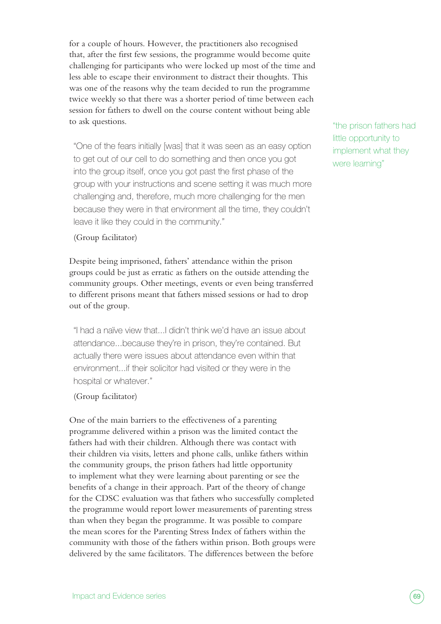for a couple of hours. However, the practitioners also recognised that, after the first few sessions, the programme would become quite challenging for participants who were locked up most of the time and less able to escape their environment to distract their thoughts. This was one of the reasons why the team decided to run the programme twice weekly so that there was a shorter period of time between each session for fathers to dwell on the course content without being able to ask questions.

"One of the fears initially [was] that it was seen as an easy option to get out of our cell to do something and then once you got into the group itself, once you got past the first phase of the group with your instructions and scene setting it was much more challenging and, therefore, much more challenging for the men because they were in that environment all the time, they couldn't leave it like they could in the community."

(Group facilitator)

Despite being imprisoned, fathers' attendance within the prison groups could be just as erratic as fathers on the outside attending the community groups. Other meetings, events or even being transferred to different prisons meant that fathers missed sessions or had to drop out of the group.

"I had a naïve view that...I didn't think we'd have an issue about attendance...because they're in prison, they're contained. But actually there were issues about attendance even within that environment...if their solicitor had visited or they were in the hospital or whatever."

(Group facilitator)

One of the main barriers to the effectiveness of a parenting programme delivered within a prison was the limited contact the fathers had with their children. Although there was contact with their children via visits, letters and phone calls, unlike fathers within the community groups, the prison fathers had little opportunity to implement what they were learning about parenting or see the benefits of a change in their approach. Part of the theory of change for the CDSC evaluation was that fathers who successfully completed the programme would report lower measurements of parenting stress than when they began the programme. It was possible to compare the mean scores for the Parenting Stress Index of fathers within the community with those of the fathers within prison. Both groups were delivered by the same facilitators. The differences between the before

"the prison fathers had little opportunity to implement what they were learning"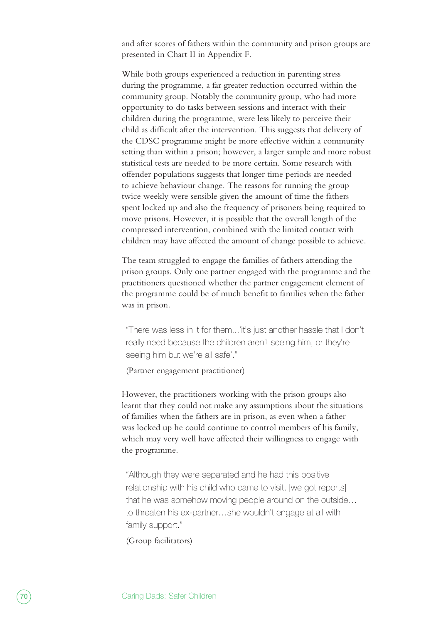and after scores of fathers within the community and prison groups are presented in Chart II in Appendix F.

While both groups experienced a reduction in parenting stress during the programme, a far greater reduction occurred within the community group. Notably the community group, who had more opportunity to do tasks between sessions and interact with their children during the programme, were less likely to perceive their child as difficult after the intervention. This suggests that delivery of the CDSC programme might be more effective within a community setting than within a prison; however, a larger sample and more robust statistical tests are needed to be more certain. Some research with offender populations suggests that longer time periods are needed to achieve behaviour change. The reasons for running the group twice weekly were sensible given the amount of time the fathers spent locked up and also the frequency of prisoners being required to move prisons. However, it is possible that the overall length of the compressed intervention, combined with the limited contact with children may have affected the amount of change possible to achieve.

The team struggled to engage the families of fathers attending the prison groups. Only one partner engaged with the programme and the practitioners questioned whether the partner engagement element of the programme could be of much benefit to families when the father was in prison.

"There was less in it for them...'it's just another hassle that I don't really need because the children aren't seeing him, or they're seeing him but we're all safe'."

(Partner engagement practitioner)

However, the practitioners working with the prison groups also learnt that they could not make any assumptions about the situations of families when the fathers are in prison, as even when a father was locked up he could continue to control members of his family, which may very well have affected their willingness to engage with the programme.

"Although they were separated and he had this positive relationship with his child who came to visit, [we got reports] that he was somehow moving people around on the outside… to threaten his ex-partner…she wouldn't engage at all with family support."

(Group facilitators)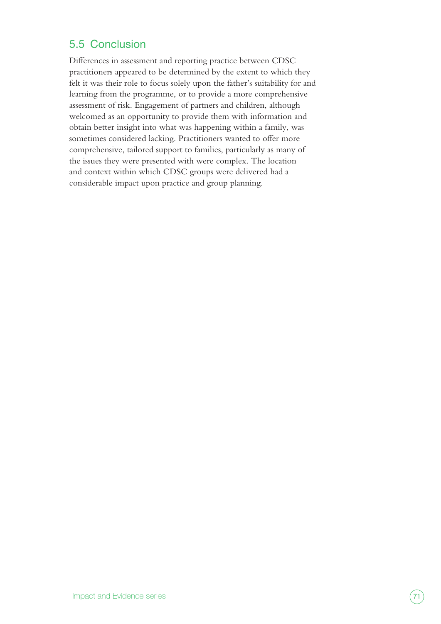# 5.5 Conclusion

Differences in assessment and reporting practice between CDSC practitioners appeared to be determined by the extent to which they felt it was their role to focus solely upon the father's suitability for and learning from the programme, or to provide a more comprehensive assessment of risk. Engagement of partners and children, although welcomed as an opportunity to provide them with information and obtain better insight into what was happening within a family, was sometimes considered lacking. Practitioners wanted to offer more comprehensive, tailored support to families, particularly as many of the issues they were presented with were complex. The location and context within which CDSC groups were delivered had a considerable impact upon practice and group planning.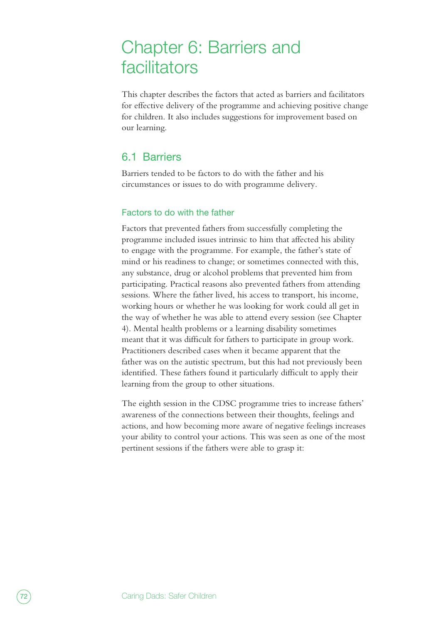# Chapter 6: Barriers and facilitators

This chapter describes the factors that acted as barriers and facilitators for effective delivery of the programme and achieving positive change for children. It also includes suggestions for improvement based on our learning.

# 6.1 Barriers

Barriers tended to be factors to do with the father and his circumstances or issues to do with programme delivery.

### Factors to do with the father

Factors that prevented fathers from successfully completing the programme included issues intrinsic to him that affected his ability to engage with the programme. For example, the father's state of mind or his readiness to change; or sometimes connected with this, any substance, drug or alcohol problems that prevented him from participating. Practical reasons also prevented fathers from attending sessions. Where the father lived, his access to transport, his income, working hours or whether he was looking for work could all get in the way of whether he was able to attend every session (see Chapter 4). Mental health problems or a learning disability sometimes meant that it was difficult for fathers to participate in group work. Practitioners described cases when it became apparent that the father was on the autistic spectrum, but this had not previously been identified. These fathers found it particularly difficult to apply their learning from the group to other situations.

The eighth session in the CDSC programme tries to increase fathers' awareness of the connections between their thoughts, feelings and actions, and how becoming more aware of negative feelings increases your ability to control your actions. This was seen as one of the most pertinent sessions if the fathers were able to grasp it: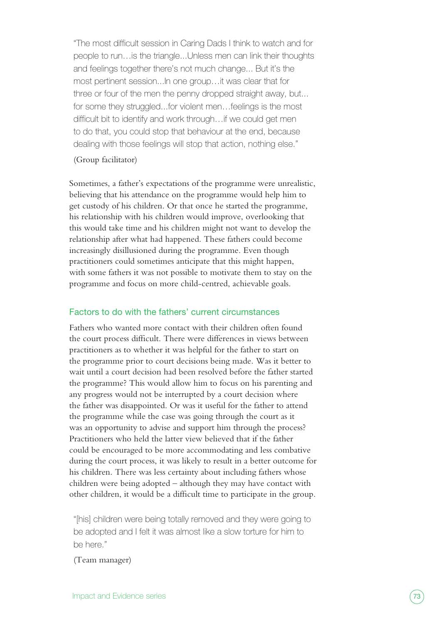"The most difficult session in Caring Dads I think to watch and for people to run…is the triangle...Unless men can link their thoughts and feelings together there's not much change... But it's the most pertinent session...In one group…it was clear that for three or four of the men the penny dropped straight away, but... for some they struggled...for violent men…feelings is the most difficult bit to identify and work through…if we could get men to do that, you could stop that behaviour at the end, because dealing with those feelings will stop that action, nothing else."

#### (Group facilitator)

Sometimes, a father's expectations of the programme were unrealistic, believing that his attendance on the programme would help him to get custody of his children. Or that once he started the programme, his relationship with his children would improve, overlooking that this would take time and his children might not want to develop the relationship after what had happened. These fathers could become increasingly disillusioned during the programme. Even though practitioners could sometimes anticipate that this might happen, with some fathers it was not possible to motivate them to stay on the programme and focus on more child-centred, achievable goals.

#### Factors to do with the fathers' current circumstances

Fathers who wanted more contact with their children often found the court process difficult. There were differences in views between practitioners as to whether it was helpful for the father to start on the programme prior to court decisions being made. Was it better to wait until a court decision had been resolved before the father started the programme? This would allow him to focus on his parenting and any progress would not be interrupted by a court decision where the father was disappointed. Or was it useful for the father to attend the programme while the case was going through the court as it was an opportunity to advise and support him through the process? Practitioners who held the latter view believed that if the father could be encouraged to be more accommodating and less combative during the court process, it was likely to result in a better outcome for his children. There was less certainty about including fathers whose children were being adopted – although they may have contact with other children, it would be a difficult time to participate in the group.

"[his] children were being totally removed and they were going to be adopted and I felt it was almost like a slow torture for him to be here."

(Team manager)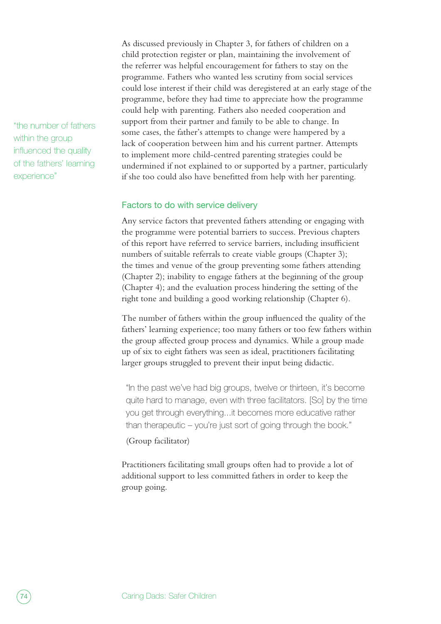"the number of fathers within the group influenced the quality of the fathers' learning experience"

As discussed previously in Chapter 3, for fathers of children on a child protection register or plan, maintaining the involvement of the referrer was helpful encouragement for fathers to stay on the programme. Fathers who wanted less scrutiny from social services could lose interest if their child was deregistered at an early stage of the programme, before they had time to appreciate how the programme could help with parenting. Fathers also needed cooperation and support from their partner and family to be able to change. In some cases, the father's attempts to change were hampered by a lack of cooperation between him and his current partner. Attempts to implement more child-centred parenting strategies could be undermined if not explained to or supported by a partner, particularly if she too could also have benefitted from help with her parenting.

#### Factors to do with service delivery

Any service factors that prevented fathers attending or engaging with the programme were potential barriers to success. Previous chapters of this report have referred to service barriers, including insufficient numbers of suitable referrals to create viable groups (Chapter 3); the times and venue of the group preventing some fathers attending (Chapter 2); inability to engage fathers at the beginning of the group (Chapter 4); and the evaluation process hindering the setting of the right tone and building a good working relationship (Chapter 6).

The number of fathers within the group influenced the quality of the fathers' learning experience; too many fathers or too few fathers within the group affected group process and dynamics. While a group made up of six to eight fathers was seen as ideal, practitioners facilitating larger groups struggled to prevent their input being didactic.

"In the past we've had big groups, twelve or thirteen, it's become quite hard to manage, even with three facilitators. [So] by the time you get through everything...it becomes more educative rather than therapeutic – you're just sort of going through the book."

#### (Group facilitator)

Practitioners facilitating small groups often had to provide a lot of additional support to less committed fathers in order to keep the group going.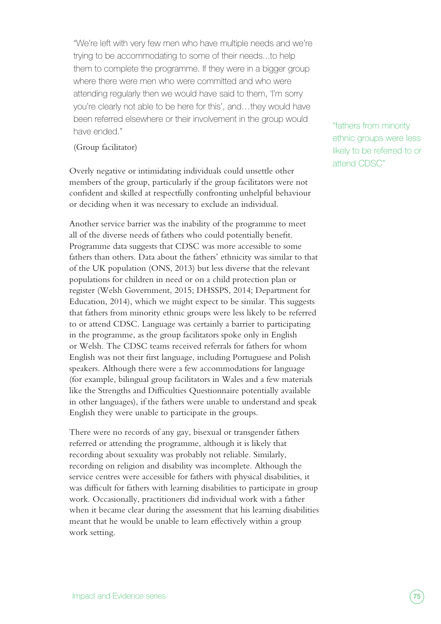"We're left with very few men who have multiple needs and we're trying to be accommodating to some of their needs...to help them to complete the programme. If they were in a bigger group where there were men who were committed and who were attending regularly then we would have said to them, 'I'm sorry you're clearly not able to be here for this', and…they would have been referred elsewhere or their involvement in the group would have ended."

(Group facilitator)

Overly negative or intimidating individuals could unsettle other members of the group, particularly if the group facilitators were not confident and skilled at respectfully confronting unhelpful behaviour or deciding when it was necessary to exclude an individual.

Another service barrier was the inability of the programme to meet all of the diverse needs of fathers who could potentially benefit. Programme data suggests that CDSC was more accessible to some fathers than others. Data about the fathers' ethnicity was similar to that of the UK population (ONS, 2013) but less diverse that the relevant populations for children in need or on a child protection plan or register (Welsh Government, 2015; DHSSPS, 2014; Department for Education, 2014), which we might expect to be similar. This suggests that fathers from minority ethnic groups were less likely to be referred to or attend CDSC. Language was certainly a barrier to participating in the programme, as the group facilitators spoke only in English or Welsh. The CDSC teams received referrals for fathers for whom English was not their first language, including Portuguese and Polish speakers. Although there were a few accommodations for language (for example, bilingual group facilitators in Wales and a few materials like the Strengths and Difficulties Questionnaire potentially available in other languages), if the fathers were unable to understand and speak English they were unable to participate in the groups.

There were no records of any gay, bisexual or transgender fathers referred or attending the programme, although it is likely that recording about sexuality was probably not reliable. Similarly, recording on religion and disability was incomplete. Although the service centres were accessible for fathers with physical disabilities, it was difficult for fathers with learning disabilities to participate in group work. Occasionally, practitioners did individual work with a father when it became clear during the assessment that his learning disabilities meant that he would be unable to learn effectively within a group work setting.

"fathers from minority ethnic groups were less likely to be referred to or attend CDSC"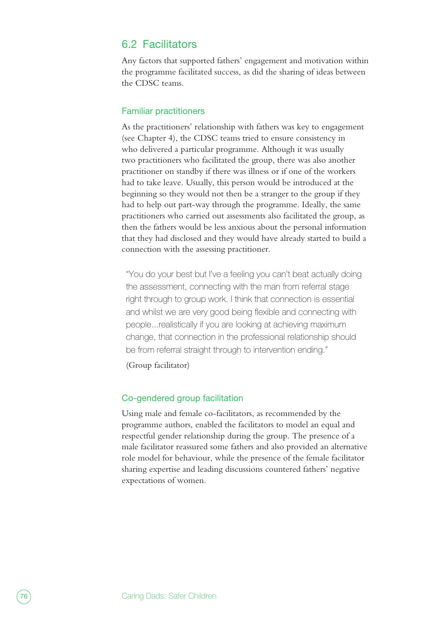### 6.2 Facilitators

Any factors that supported fathers' engagement and motivation within the programme facilitated success, as did the sharing of ideas between the CDSC teams.

#### Familiar practitioners

As the practitioners' relationship with fathers was key to engagement (see Chapter 4), the CDSC teams tried to ensure consistency in who delivered a particular programme. Although it was usually two practitioners who facilitated the group, there was also another practitioner on standby if there was illness or if one of the workers had to take leave. Usually, this person would be introduced at the beginning so they would not then be a stranger to the group if they had to help out part-way through the programme. Ideally, the same practitioners who carried out assessments also facilitated the group, as then the fathers would be less anxious about the personal information that they had disclosed and they would have already started to build a connection with the assessing practitioner.

"You do your best but I've a feeling you can't beat actually doing the assessment, connecting with the man from referral stage right through to group work. I think that connection is essential and whilst we are very good being flexible and connecting with people...realistically if you are looking at achieving maximum change, that connection in the professional relationship should be from referral straight through to intervention ending."

(Group facilitator)

#### Co-gendered group facilitation

Using male and female co-facilitators, as recommended by the programme authors, enabled the facilitators to model an equal and respectful gender relationship during the group. The presence of a male facilitator reassured some fathers and also provided an alternative role model for behaviour, while the presence of the female facilitator sharing expertise and leading discussions countered fathers' negative expectations of women.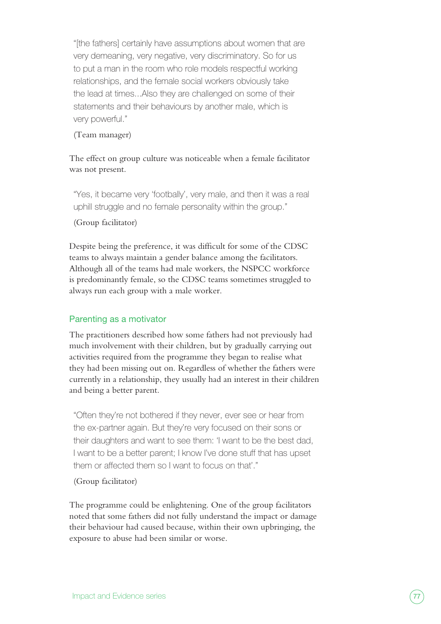"[the fathers] certainly have assumptions about women that are very demeaning, very negative, very discriminatory. So for us to put a man in the room who role models respectful working relationships, and the female social workers obviously take the lead at times...Also they are challenged on some of their statements and their behaviours by another male, which is very powerful."

#### (Team manager)

The effect on group culture was noticeable when a female facilitator was not present.

"Yes, it became very 'footbally', very male, and then it was a real uphill struggle and no female personality within the group."

(Group facilitator)

Despite being the preference, it was difficult for some of the CDSC teams to always maintain a gender balance among the facilitators. Although all of the teams had male workers, the NSPCC workforce is predominantly female, so the CDSC teams sometimes struggled to always run each group with a male worker.

#### Parenting as a motivator

The practitioners described how some fathers had not previously had much involvement with their children, but by gradually carrying out activities required from the programme they began to realise what they had been missing out on. Regardless of whether the fathers were currently in a relationship, they usually had an interest in their children and being a better parent.

"Often they're not bothered if they never, ever see or hear from the ex-partner again. But they're very focused on their sons or their daughters and want to see them: 'I want to be the best dad, I want to be a better parent; I know I've done stuff that has upset them or affected them so I want to focus on that'."

(Group facilitator)

The programme could be enlightening. One of the group facilitators noted that some fathers did not fully understand the impact or damage their behaviour had caused because, within their own upbringing, the exposure to abuse had been similar or worse.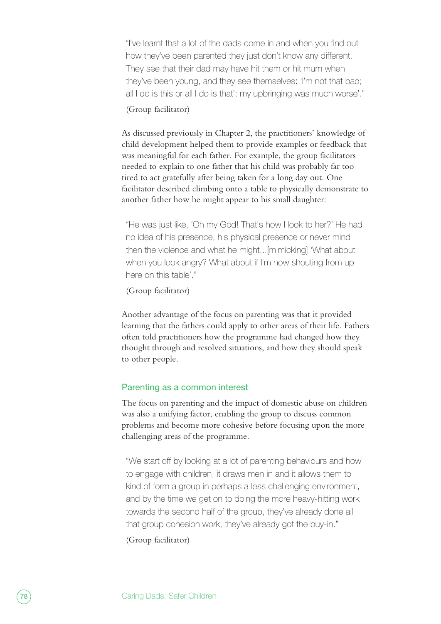"I've learnt that a lot of the dads come in and when you find out how they've been parented they just don't know any different. They see that their dad may have hit them or hit mum when they've been young, and they see themselves: 'I'm not that bad; all I do is this or all I do is that'; my upbringing was much worse'."

#### (Group facilitator)

As discussed previously in Chapter 2, the practitioners' knowledge of child development helped them to provide examples or feedback that was meaningful for each father. For example, the group facilitators needed to explain to one father that his child was probably far too tired to act gratefully after being taken for a long day out. One facilitator described climbing onto a table to physically demonstrate to another father how he might appear to his small daughter:

"He was just like, 'Oh my God! That's how I look to her?' He had no idea of his presence, his physical presence or never mind then the violence and what he might...[mimicking] 'What about when you look angry? What about if I'm now shouting from up here on this table'."

#### (Group facilitator)

Another advantage of the focus on parenting was that it provided learning that the fathers could apply to other areas of their life. Fathers often told practitioners how the programme had changed how they thought through and resolved situations, and how they should speak to other people.

#### Parenting as a common interest

The focus on parenting and the impact of domestic abuse on children was also a unifying factor, enabling the group to discuss common problems and become more cohesive before focusing upon the more challenging areas of the programme.

"We start off by looking at a lot of parenting behaviours and how to engage with children, it draws men in and it allows them to kind of form a group in perhaps a less challenging environment, and by the time we get on to doing the more heavy-hitting work towards the second half of the group, they've already done all that group cohesion work, they've already got the buy-in."

(Group facilitator)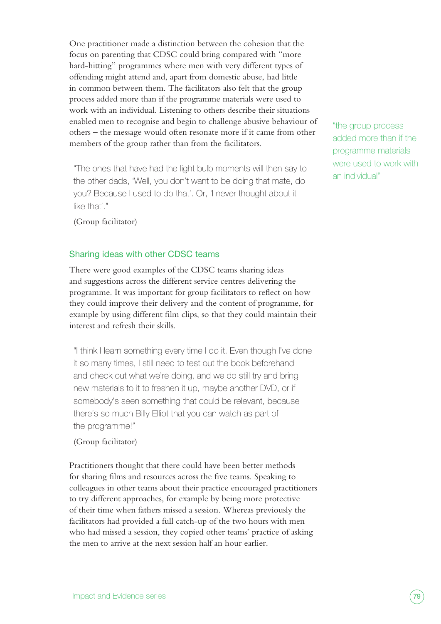One practitioner made a distinction between the cohesion that the focus on parenting that CDSC could bring compared with "more hard-hitting" programmes where men with very different types of offending might attend and, apart from domestic abuse, had little in common between them. The facilitators also felt that the group process added more than if the programme materials were used to work with an individual. Listening to others describe their situations enabled men to recognise and begin to challenge abusive behaviour of others – the message would often resonate more if it came from other members of the group rather than from the facilitators.

"The ones that have had the light bulb moments will then say to the other dads, 'Well, you don't want to be doing that mate, do you? Because I used to do that'. Or, 'I never thought about it like that'."

"the group process added more than if the programme materials were used to work with an individual"

(Group facilitator)

#### Sharing ideas with other CDSC teams

There were good examples of the CDSC teams sharing ideas and suggestions across the different service centres delivering the programme. It was important for group facilitators to reflect on how they could improve their delivery and the content of programme, for example by using different film clips, so that they could maintain their interest and refresh their skills.

"I think I learn something every time I do it. Even though I've done it so many times, I still need to test out the book beforehand and check out what we're doing, and we do still try and bring new materials to it to freshen it up, maybe another DVD, or if somebody's seen something that could be relevant, because there's so much Billy Elliot that you can watch as part of the programme!"

#### (Group facilitator)

Practitioners thought that there could have been better methods for sharing films and resources across the five teams. Speaking to colleagues in other teams about their practice encouraged practitioners to try different approaches, for example by being more protective of their time when fathers missed a session. Whereas previously the facilitators had provided a full catch-up of the two hours with men who had missed a session, they copied other teams' practice of asking the men to arrive at the next session half an hour earlier.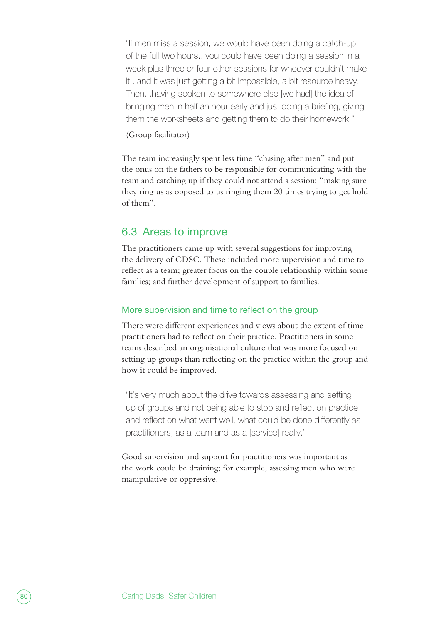"If men miss a session, we would have been doing a catch-up of the full two hours...you could have been doing a session in a week plus three or four other sessions for whoever couldn't make it...and it was just getting a bit impossible, a bit resource heavy. Then...having spoken to somewhere else [we had] the idea of bringing men in half an hour early and just doing a briefing, giving them the worksheets and getting them to do their homework."

#### (Group facilitator)

The team increasingly spent less time "chasing after men" and put the onus on the fathers to be responsible for communicating with the team and catching up if they could not attend a session: "making sure they ring us as opposed to us ringing them 20 times trying to get hold of them".

#### 6.3 Areas to improve

The practitioners came up with several suggestions for improving the delivery of CDSC. These included more supervision and time to reflect as a team; greater focus on the couple relationship within some families; and further development of support to families.

#### More supervision and time to reflect on the group

There were different experiences and views about the extent of time practitioners had to reflect on their practice. Practitioners in some teams described an organisational culture that was more focused on setting up groups than reflecting on the practice within the group and how it could be improved.

"It's very much about the drive towards assessing and setting up of groups and not being able to stop and reflect on practice and reflect on what went well, what could be done differently as practitioners, as a team and as a [service] really."

Good supervision and support for practitioners was important as the work could be draining; for example, assessing men who were manipulative or oppressive.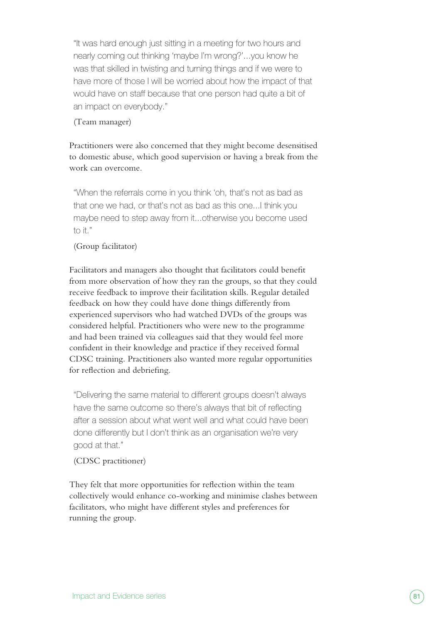"It was hard enough just sitting in a meeting for two hours and nearly coming out thinking 'maybe I'm wrong?'...you know he was that skilled in twisting and turning things and if we were to have more of those I will be worried about how the impact of that would have on staff because that one person had quite a bit of an impact on everybody."

#### (Team manager)

Practitioners were also concerned that they might become desensitised to domestic abuse, which good supervision or having a break from the work can overcome.

"When the referrals come in you think 'oh, that's not as bad as that one we had, or that's not as bad as this one...I think you maybe need to step away from it...otherwise you become used to it."

#### (Group facilitator)

Facilitators and managers also thought that facilitators could benefit from more observation of how they ran the groups, so that they could receive feedback to improve their facilitation skills. Regular detailed feedback on how they could have done things differently from experienced supervisors who had watched DVDs of the groups was considered helpful. Practitioners who were new to the programme and had been trained via colleagues said that they would feel more confident in their knowledge and practice if they received formal CDSC training. Practitioners also wanted more regular opportunities for reflection and debriefing.

"Delivering the same material to different groups doesn't always have the same outcome so there's always that bit of reflecting after a session about what went well and what could have been done differently but I don't think as an organisation we're very good at that."

#### (CDSC practitioner)

They felt that more opportunities for reflection within the team collectively would enhance co-working and minimise clashes between facilitators, who might have different styles and preferences for running the group.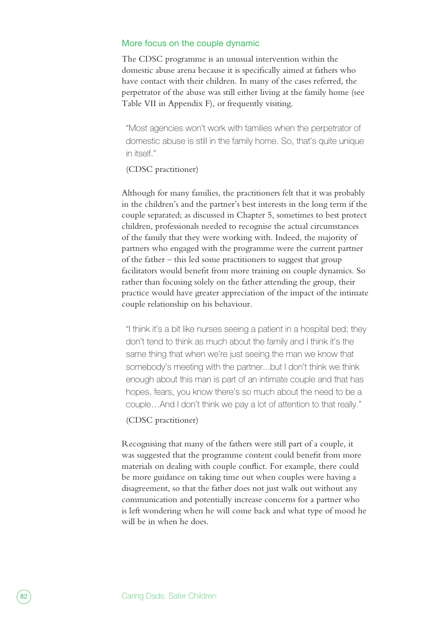#### More focus on the couple dynamic

The CDSC programme is an unusual intervention within the domestic abuse arena because it is specifically aimed at fathers who have contact with their children. In many of the cases referred, the perpetrator of the abuse was still either living at the family home (see Table VII in Appendix F), or frequently visiting.

"Most agencies won't work with families when the perpetrator of domestic abuse is still in the family home. So, that's quite unique in itself."

#### (CDSC practitioner)

Although for many families, the practitioners felt that it was probably in the children's and the partner's best interests in the long term if the couple separated; as discussed in Chapter 5, sometimes to best protect children, professionals needed to recognise the actual circumstances of the family that they were working with. Indeed, the majority of partners who engaged with the programme were the current partner of the father – this led some practitioners to suggest that group facilitators would benefit from more training on couple dynamics. So rather than focusing solely on the father attending the group, their practice would have greater appreciation of the impact of the intimate couple relationship on his behaviour.

"I think it's a bit like nurses seeing a patient in a hospital bed; they don't tend to think as much about the family and I think it's the same thing that when we're just seeing the man we know that somebody's meeting with the partner...but I don't think we think enough about this man is part of an intimate couple and that has hopes, fears, you know there's so much about the need to be a couple…And I don't think we pay a lot of attention to that really."

(CDSC practitioner)

Recognising that many of the fathers were still part of a couple, it was suggested that the programme content could benefit from more materials on dealing with couple conflict. For example, there could be more guidance on taking time out when couples were having a disagreement, so that the father does not just walk out without any communication and potentially increase concerns for a partner who is left wondering when he will come back and what type of mood he will be in when he does.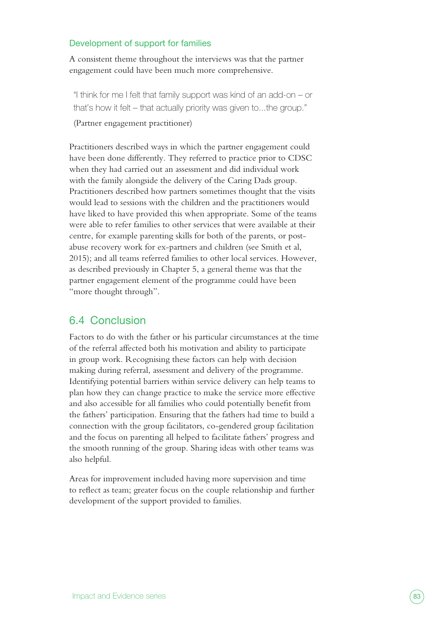#### Development of support for families

A consistent theme throughout the interviews was that the partner engagement could have been much more comprehensive.

"I think for me I felt that family support was kind of an add-on – or that's how it felt – that actually priority was given to...the group."

(Partner engagement practitioner)

Practitioners described ways in which the partner engagement could have been done differently. They referred to practice prior to CDSC when they had carried out an assessment and did individual work with the family alongside the delivery of the Caring Dads group. Practitioners described how partners sometimes thought that the visits would lead to sessions with the children and the practitioners would have liked to have provided this when appropriate. Some of the teams were able to refer families to other services that were available at their centre, for example parenting skills for both of the parents, or postabuse recovery work for ex-partners and children (see Smith et al, 2015); and all teams referred families to other local services. However, as described previously in Chapter 5, a general theme was that the partner engagement element of the programme could have been "more thought through".

#### 6.4 Conclusion

Factors to do with the father or his particular circumstances at the time of the referral affected both his motivation and ability to participate in group work. Recognising these factors can help with decision making during referral, assessment and delivery of the programme. Identifying potential barriers within service delivery can help teams to plan how they can change practice to make the service more effective and also accessible for all families who could potentially benefit from the fathers' participation. Ensuring that the fathers had time to build a connection with the group facilitators, co-gendered group facilitation and the focus on parenting all helped to facilitate fathers' progress and the smooth running of the group. Sharing ideas with other teams was also helpful.

Areas for improvement included having more supervision and time to reflect as team; greater focus on the couple relationship and further development of the support provided to families.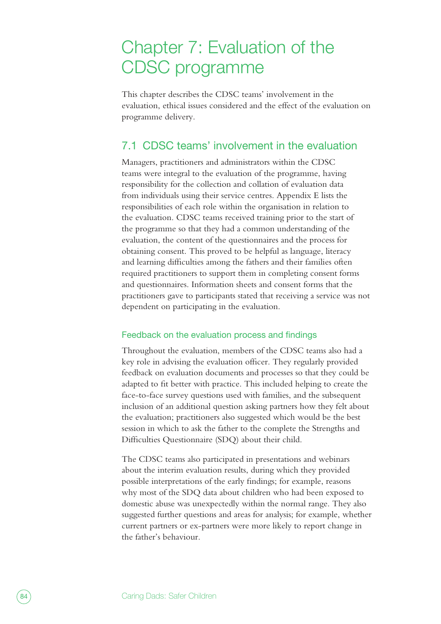## Chapter 7: Evaluation of the CDSC programme

This chapter describes the CDSC teams' involvement in the evaluation, ethical issues considered and the effect of the evaluation on programme delivery.

### 7.1 CDSC teams' involvement in the evaluation

Managers, practitioners and administrators within the CDSC teams were integral to the evaluation of the programme, having responsibility for the collection and collation of evaluation data from individuals using their service centres. Appendix E lists the responsibilities of each role within the organisation in relation to the evaluation. CDSC teams received training prior to the start of the programme so that they had a common understanding of the evaluation, the content of the questionnaires and the process for obtaining consent. This proved to be helpful as language, literacy and learning difficulties among the fathers and their families often required practitioners to support them in completing consent forms and questionnaires. Information sheets and consent forms that the practitioners gave to participants stated that receiving a service was not dependent on participating in the evaluation.

#### Feedback on the evaluation process and findings

Throughout the evaluation, members of the CDSC teams also had a key role in advising the evaluation officer. They regularly provided feedback on evaluation documents and processes so that they could be adapted to fit better with practice. This included helping to create the face-to-face survey questions used with families, and the subsequent inclusion of an additional question asking partners how they felt about the evaluation; practitioners also suggested which would be the best session in which to ask the father to the complete the Strengths and Difficulties Questionnaire (SDQ) about their child.

The CDSC teams also participated in presentations and webinars about the interim evaluation results, during which they provided possible interpretations of the early findings; for example, reasons why most of the SDQ data about children who had been exposed to domestic abuse was unexpectedly within the normal range. They also suggested further questions and areas for analysis; for example, whether current partners or ex-partners were more likely to report change in the father's behaviour.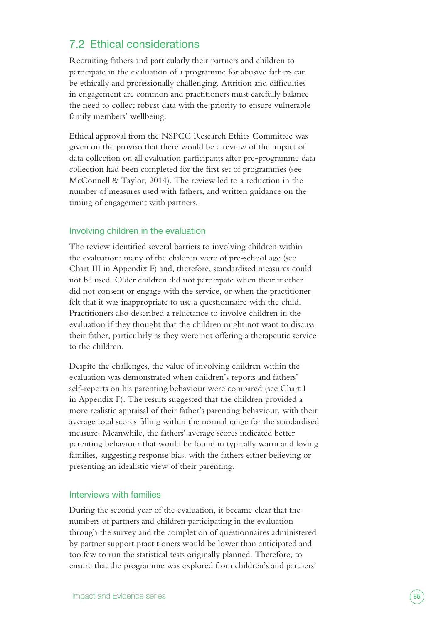### 7.2 Ethical considerations

Recruiting fathers and particularly their partners and children to participate in the evaluation of a programme for abusive fathers can be ethically and professionally challenging. Attrition and difficulties in engagement are common and practitioners must carefully balance the need to collect robust data with the priority to ensure vulnerable family members' wellbeing.

Ethical approval from the NSPCC Research Ethics Committee was given on the proviso that there would be a review of the impact of data collection on all evaluation participants after pre-programme data collection had been completed for the first set of programmes (see McConnell & Taylor, 2014). The review led to a reduction in the number of measures used with fathers, and written guidance on the timing of engagement with partners.

#### Involving children in the evaluation

The review identified several barriers to involving children within the evaluation: many of the children were of pre-school age (see Chart III in Appendix F) and, therefore, standardised measures could not be used. Older children did not participate when their mother did not consent or engage with the service, or when the practitioner felt that it was inappropriate to use a questionnaire with the child. Practitioners also described a reluctance to involve children in the evaluation if they thought that the children might not want to discuss their father, particularly as they were not offering a therapeutic service to the children.

Despite the challenges, the value of involving children within the evaluation was demonstrated when children's reports and fathers' self-reports on his parenting behaviour were compared (see Chart I in Appendix F). The results suggested that the children provided a more realistic appraisal of their father's parenting behaviour, with their average total scores falling within the normal range for the standardised measure. Meanwhile, the fathers' average scores indicated better parenting behaviour that would be found in typically warm and loving families, suggesting response bias, with the fathers either believing or presenting an idealistic view of their parenting.

#### Interviews with families

During the second year of the evaluation, it became clear that the numbers of partners and children participating in the evaluation through the survey and the completion of questionnaires administered by partner support practitioners would be lower than anticipated and too few to run the statistical tests originally planned. Therefore, to ensure that the programme was explored from children's and partners'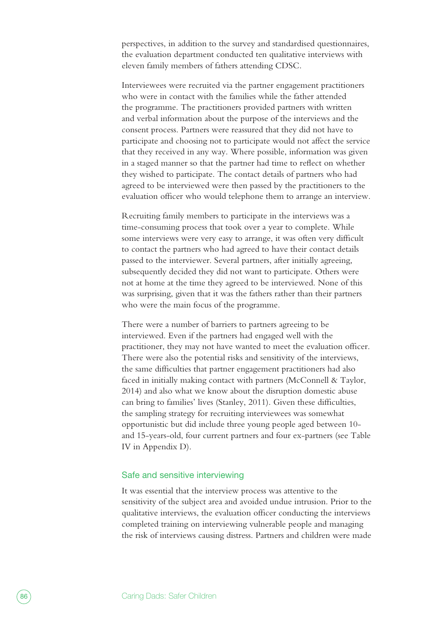perspectives, in addition to the survey and standardised questionnaires, the evaluation department conducted ten qualitative interviews with eleven family members of fathers attending CDSC.

Interviewees were recruited via the partner engagement practitioners who were in contact with the families while the father attended the programme. The practitioners provided partners with written and verbal information about the purpose of the interviews and the consent process. Partners were reassured that they did not have to participate and choosing not to participate would not affect the service that they received in any way. Where possible, information was given in a staged manner so that the partner had time to reflect on whether they wished to participate. The contact details of partners who had agreed to be interviewed were then passed by the practitioners to the evaluation officer who would telephone them to arrange an interview.

Recruiting family members to participate in the interviews was a time-consuming process that took over a year to complete. While some interviews were very easy to arrange, it was often very difficult to contact the partners who had agreed to have their contact details passed to the interviewer. Several partners, after initially agreeing, subsequently decided they did not want to participate. Others were not at home at the time they agreed to be interviewed. None of this was surprising, given that it was the fathers rather than their partners who were the main focus of the programme.

There were a number of barriers to partners agreeing to be interviewed. Even if the partners had engaged well with the practitioner, they may not have wanted to meet the evaluation officer. There were also the potential risks and sensitivity of the interviews, the same difficulties that partner engagement practitioners had also faced in initially making contact with partners (McConnell & Taylor, 2014) and also what we know about the disruption domestic abuse can bring to families' lives (Stanley, 2011). Given these difficulties, the sampling strategy for recruiting interviewees was somewhat opportunistic but did include three young people aged between 10 and 15-years-old, four current partners and four ex-partners (see Table IV in Appendix D).

#### Safe and sensitive interviewing

It was essential that the interview process was attentive to the sensitivity of the subject area and avoided undue intrusion. Prior to the qualitative interviews, the evaluation officer conducting the interviews completed training on interviewing vulnerable people and managing the risk of interviews causing distress. Partners and children were made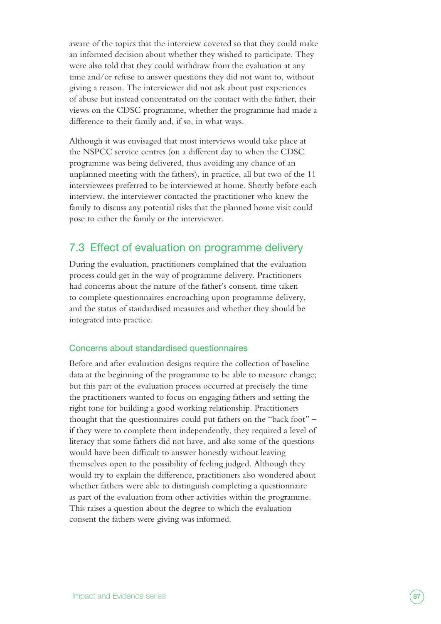aware of the topics that the interview covered so that they could make an informed decision about whether they wished to participate. They were also told that they could withdraw from the evaluation at any time and/or refuse to answer questions they did not want to, without giving a reason. The interviewer did not ask about past experiences of abuse but instead concentrated on the contact with the father, their views on the CDSC programme, whether the programme had made a difference to their family and, if so, in what ways.

Although it was envisaged that most interviews would take place at the NSPCC service centres (on a different day to when the CDSC programme was being delivered, thus avoiding any chance of an unplanned meeting with the fathers), in practice, all but two of the 11 interviewees preferred to be interviewed at home. Shortly before each interview, the interviewer contacted the practitioner who knew the family to discuss any potential risks that the planned home visit could pose to either the family or the interviewer.

### 7.3 Effect of evaluation on programme delivery

During the evaluation, practitioners complained that the evaluation process could get in the way of programme delivery. Practitioners had concerns about the nature of the father's consent, time taken to complete questionnaires encroaching upon programme delivery, and the status of standardised measures and whether they should be integrated into practice.

#### Concerns about standardised questionnaires

Before and after evaluation designs require the collection of baseline data at the beginning of the programme to be able to measure change; but this part of the evaluation process occurred at precisely the time the practitioners wanted to focus on engaging fathers and setting the right tone for building a good working relationship. Practitioners thought that the questionnaires could put fathers on the "back foot" – if they were to complete them independently, they required a level of literacy that some fathers did not have, and also some of the questions would have been difficult to answer honestly without leaving themselves open to the possibility of feeling judged. Although they would try to explain the difference, practitioners also wondered about whether fathers were able to distinguish completing a questionnaire as part of the evaluation from other activities within the programme. This raises a question about the degree to which the evaluation consent the fathers were giving was informed.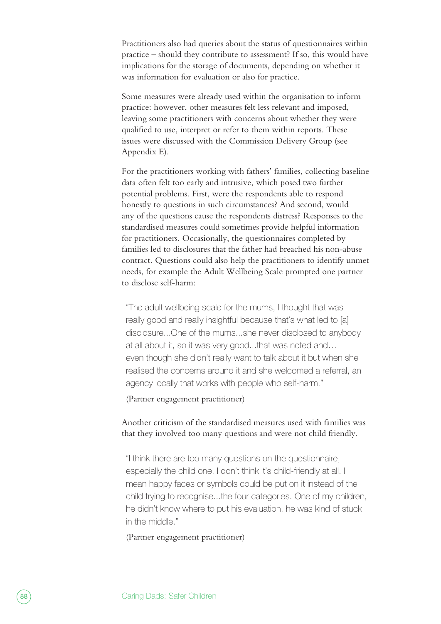Practitioners also had queries about the status of questionnaires within practice – should they contribute to assessment? If so, this would have implications for the storage of documents, depending on whether it was information for evaluation or also for practice.

Some measures were already used within the organisation to inform practice: however, other measures felt less relevant and imposed, leaving some practitioners with concerns about whether they were qualified to use, interpret or refer to them within reports. These issues were discussed with the Commission Delivery Group (see Appendix E).

For the practitioners working with fathers' families, collecting baseline data often felt too early and intrusive, which posed two further potential problems. First, were the respondents able to respond honestly to questions in such circumstances? And second, would any of the questions cause the respondents distress? Responses to the standardised measures could sometimes provide helpful information for practitioners. Occasionally, the questionnaires completed by families led to disclosures that the father had breached his non-abuse contract. Questions could also help the practitioners to identify unmet needs, for example the Adult Wellbeing Scale prompted one partner to disclose self-harm:

"The adult wellbeing scale for the mums, I thought that was really good and really insightful because that's what led to [a] disclosure...One of the mums...she never disclosed to anybody at all about it, so it was very good...that was noted and… even though she didn't really want to talk about it but when she realised the concerns around it and she welcomed a referral, an agency locally that works with people who self-harm."

(Partner engagement practitioner)

Another criticism of the standardised measures used with families was that they involved too many questions and were not child friendly.

"I think there are too many questions on the questionnaire, especially the child one, I don't think it's child-friendly at all. I mean happy faces or symbols could be put on it instead of the child trying to recognise...the four categories. One of my children, he didn't know where to put his evaluation, he was kind of stuck in the middle."

(Partner engagement practitioner)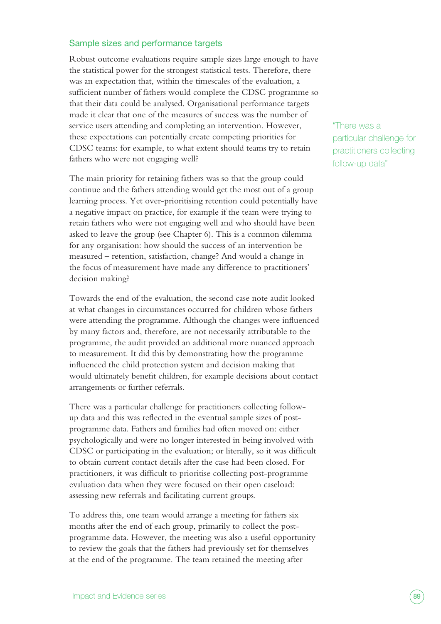#### Sample sizes and performance targets

Robust outcome evaluations require sample sizes large enough to have the statistical power for the strongest statistical tests. Therefore, there was an expectation that, within the timescales of the evaluation, a sufficient number of fathers would complete the CDSC programme so that their data could be analysed. Organisational performance targets made it clear that one of the measures of success was the number of service users attending and completing an intervention. However, these expectations can potentially create competing priorities for CDSC teams: for example, to what extent should teams try to retain fathers who were not engaging well?

The main priority for retaining fathers was so that the group could continue and the fathers attending would get the most out of a group learning process. Yet over-prioritising retention could potentially have a negative impact on practice, for example if the team were trying to retain fathers who were not engaging well and who should have been asked to leave the group (see Chapter 6). This is a common dilemma for any organisation: how should the success of an intervention be measured – retention, satisfaction, change? And would a change in the focus of measurement have made any difference to practitioners' decision making?

Towards the end of the evaluation, the second case note audit looked at what changes in circumstances occurred for children whose fathers were attending the programme. Although the changes were influenced by many factors and, therefore, are not necessarily attributable to the programme, the audit provided an additional more nuanced approach to measurement. It did this by demonstrating how the programme influenced the child protection system and decision making that would ultimately benefit children, for example decisions about contact arrangements or further referrals.

There was a particular challenge for practitioners collecting followup data and this was reflected in the eventual sample sizes of postprogramme data. Fathers and families had often moved on: either psychologically and were no longer interested in being involved with CDSC or participating in the evaluation; or literally, so it was difficult to obtain current contact details after the case had been closed. For practitioners, it was difficult to prioritise collecting post-programme evaluation data when they were focused on their open caseload: assessing new referrals and facilitating current groups.

To address this, one team would arrange a meeting for fathers six months after the end of each group, primarily to collect the postprogramme data. However, the meeting was also a useful opportunity to review the goals that the fathers had previously set for themselves at the end of the programme. The team retained the meeting after

"There was a particular challenge for practitioners collecting follow-up data"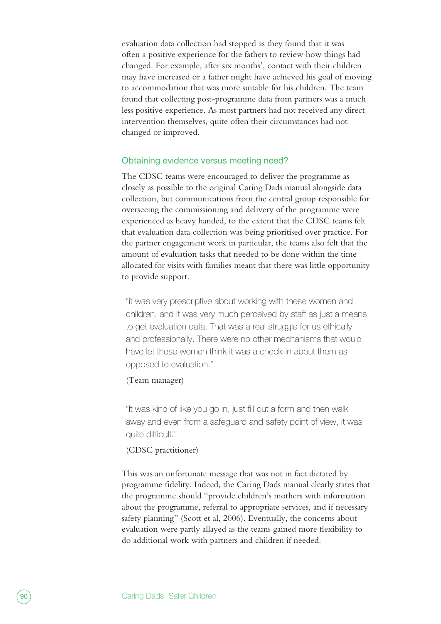evaluation data collection had stopped as they found that it was often a positive experience for the fathers to review how things had changed. For example, after six months', contact with their children may have increased or a father might have achieved his goal of moving to accommodation that was more suitable for his children. The team found that collecting post-programme data from partners was a much less positive experience. As most partners had not received any direct intervention themselves, quite often their circumstances had not changed or improved.

#### Obtaining evidence versus meeting need?

The CDSC teams were encouraged to deliver the programme as closely as possible to the original Caring Dads manual alongside data collection, but communications from the central group responsible for overseeing the commissioning and delivery of the programme were experienced as heavy handed, to the extent that the CDSC teams felt that evaluation data collection was being prioritised over practice. For the partner engagement work in particular, the teams also felt that the amount of evaluation tasks that needed to be done within the time allocated for visits with families meant that there was little opportunity to provide support.

"it was very prescriptive about working with these women and children, and it was very much perceived by staff as just a means to get evaluation data. That was a real struggle for us ethically and professionally. There were no other mechanisms that would have let these women think it was a check-in about them as opposed to evaluation."

#### (Team manager)

"It was kind of like you go in, just fill out a form and then walk away and even from a safeguard and safety point of view, it was quite difficult."

#### (CDSC practitioner)

This was an unfortunate message that was not in fact dictated by programme fidelity. Indeed, the Caring Dads manual clearly states that the programme should "provide children's mothers with information about the programme, referral to appropriate services, and if necessary safety planning" (Scott et al, 2006). Eventually, the concerns about evaluation were partly allayed as the teams gained more flexibility to do additional work with partners and children if needed.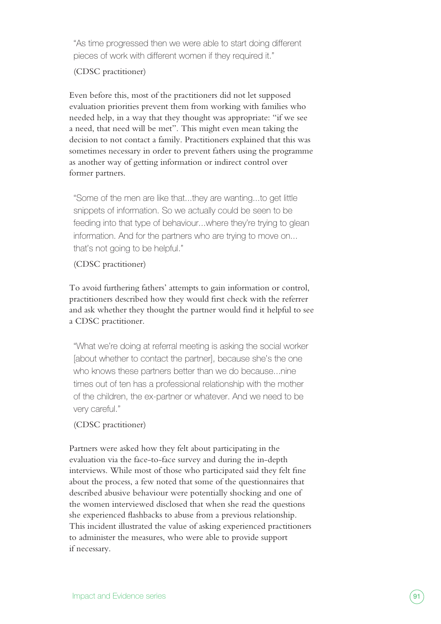"As time progressed then we were able to start doing different pieces of work with different women if they required it."

#### (CDSC practitioner)

Even before this, most of the practitioners did not let supposed evaluation priorities prevent them from working with families who needed help, in a way that they thought was appropriate: "if we see a need, that need will be met". This might even mean taking the decision to not contact a family. Practitioners explained that this was sometimes necessary in order to prevent fathers using the programme as another way of getting information or indirect control over former partners.

"Some of the men are like that...they are wanting...to get little snippets of information. So we actually could be seen to be feeding into that type of behaviour...where they're trying to glean information. And for the partners who are trying to move on... that's not going to be helpful."

#### (CDSC practitioner)

To avoid furthering fathers' attempts to gain information or control, practitioners described how they would first check with the referrer and ask whether they thought the partner would find it helpful to see a CDSC practitioner.

"What we're doing at referral meeting is asking the social worker [about whether to contact the partner], because she's the one who knows these partners better than we do because...nine times out of ten has a professional relationship with the mother of the children, the ex-partner or whatever. And we need to be very careful."

#### (CDSC practitioner)

Partners were asked how they felt about participating in the evaluation via the face-to-face survey and during the in-depth interviews. While most of those who participated said they felt fine about the process, a few noted that some of the questionnaires that described abusive behaviour were potentially shocking and one of the women interviewed disclosed that when she read the questions she experienced flashbacks to abuse from a previous relationship. This incident illustrated the value of asking experienced practitioners to administer the measures, who were able to provide support if necessary.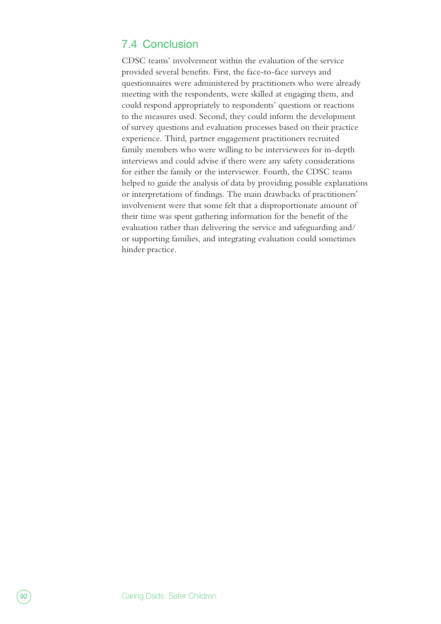### 7.4 Conclusion

CDSC teams' involvement within the evaluation of the service provided several benefits. First, the face-to-face surveys and questionnaires were administered by practitioners who were already meeting with the respondents, were skilled at engaging them, and could respond appropriately to respondents' questions or reactions to the measures used. Second, they could inform the development of survey questions and evaluation processes based on their practice experience. Third, partner engagement practitioners recruited family members who were willing to be interviewees for in-depth interviews and could advise if there were any safety considerations for either the family or the interviewer. Fourth, the CDSC teams helped to guide the analysis of data by providing possible explanations or interpretations of findings. The main drawbacks of practitioners' involvement were that some felt that a disproportionate amount of their time was spent gathering information for the benefit of the evaluation rather than delivering the service and safeguarding and/ or supporting families, and integrating evaluation could sometimes hinder practice.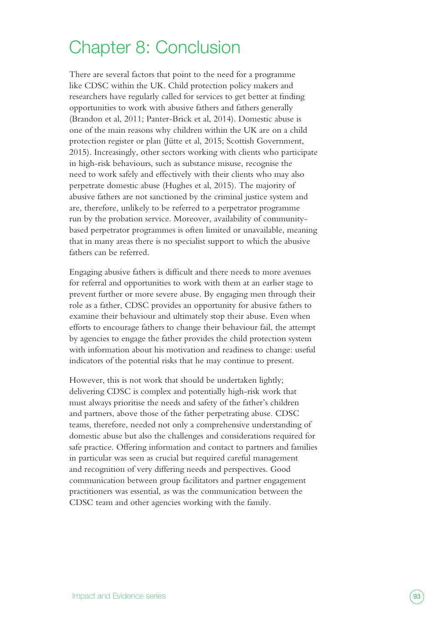## Chapter 8: Conclusion

There are several factors that point to the need for a programme like CDSC within the UK. Child protection policy makers and researchers have regularly called for services to get better at finding opportunities to work with abusive fathers and fathers generally (Brandon et al, 2011; Panter-Brick et al, 2014). Domestic abuse is one of the main reasons why children within the UK are on a child protection register or plan (Jütte et al, 2015; Scottish Government, 2015). Increasingly, other sectors working with clients who participate in high-risk behaviours, such as substance misuse, recognise the need to work safely and effectively with their clients who may also perpetrate domestic abuse (Hughes et al, 2015). The majority of abusive fathers are not sanctioned by the criminal justice system and are, therefore, unlikely to be referred to a perpetrator programme run by the probation service. Moreover, availability of communitybased perpetrator programmes is often limited or unavailable, meaning that in many areas there is no specialist support to which the abusive fathers can be referred.

Engaging abusive fathers is difficult and there needs to more avenues for referral and opportunities to work with them at an earlier stage to prevent further or more severe abuse. By engaging men through their role as a father, CDSC provides an opportunity for abusive fathers to examine their behaviour and ultimately stop their abuse. Even when efforts to encourage fathers to change their behaviour fail, the attempt by agencies to engage the father provides the child protection system with information about his motivation and readiness to change: useful indicators of the potential risks that he may continue to present.

However, this is not work that should be undertaken lightly; delivering CDSC is complex and potentially high-risk work that must always prioritise the needs and safety of the father's children and partners, above those of the father perpetrating abuse. CDSC teams, therefore, needed not only a comprehensive understanding of domestic abuse but also the challenges and considerations required for safe practice. Offering information and contact to partners and families in particular was seen as crucial but required careful management and recognition of very differing needs and perspectives. Good communication between group facilitators and partner engagement practitioners was essential, as was the communication between the CDSC team and other agencies working with the family.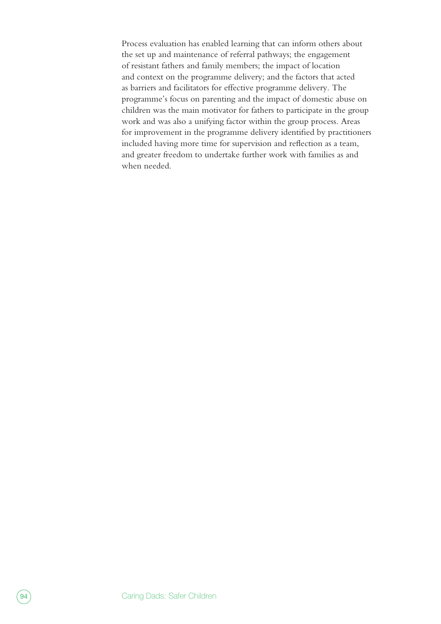Process evaluation has enabled learning that can inform others about the set up and maintenance of referral pathways; the engagement of resistant fathers and family members; the impact of location and context on the programme delivery; and the factors that acted as barriers and facilitators for effective programme delivery. The programme's focus on parenting and the impact of domestic abuse on children was the main motivator for fathers to participate in the group work and was also a unifying factor within the group process. Areas for improvement in the programme delivery identified by practitioners included having more time for supervision and reflection as a team, and greater freedom to undertake further work with families as and when needed.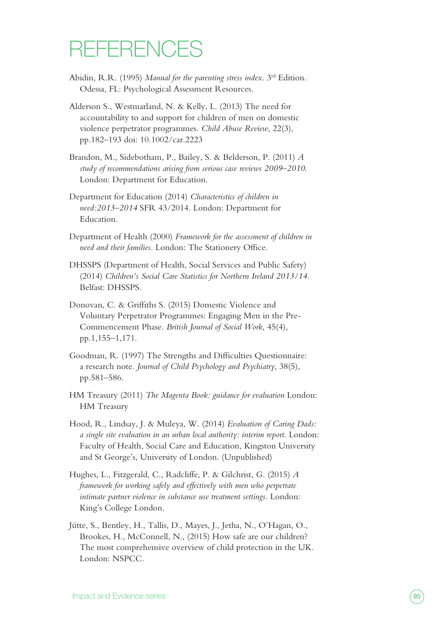# **REFERENCES**

- Abidin, R.R. (1995) *Manual for the parenting stress index*. 3rd Edition. Odessa, FL: Psychological Assessment Resources.
- Alderson S., Westmarland, N. & Kelly, L. (2013) The need for accountability to and support for children of men on domestic violence perpetrator programmes. *Child Abuse Review*, 22(3), pp.182–193 doi: 10.1002/car.2223
- Brandon, M., Sidebotham, P., Bailey, S. & Belderson, P. (2011) *A study of recommendations arising from serious case reviews 2009–2010*. London: Department for Education.
- Department for Education (2014) *Characteristics of children in need:2013–2014* SFR 43/2014. London: Department for Education.
- Department of Health (2000) *Framework for the assessment of children in need and their families*. London: The Stationery Office.
- DHSSPS (Department of Health, Social Services and Public Safety) (2014) *Children's Social Care Statistics for Northern Ireland 2013/14*. Belfast: DHSSPS.
- Donovan, C. & Griffiths S. (2015) Domestic Violence and Voluntary Perpetrator Programmes: Engaging Men in the Pre-Commencement Phase. *British Journal of Social Work*, 45(4), pp.1,155–1,171.
- Goodman, R. (1997) The Strengths and Difficulties Questionnaire: a research note. *Journal of Child Psychology and Psychiatry*, 38(5), pp.581–586.
- HM Treasury (2011) *The Magenta Book: guidance for evaluation* London: HM Treasury
- Hood, R., Lindsay, J. & Muleya, W. (2014) *Evaluation of Caring Dads: a single site evaluation in an urban local authority: interim report*. London: Faculty of Health, Social Care and Education, Kingston University and St George's, University of London. (Unpublished)
- Hughes, L., Fitzgerald, C., Radcliffe, P. & Gilchrist, G. (2015) *A framework for working safely and effectively with men who perpetrate intimate partner violence in substance use treatment settings*. London: King's College London.
- Jütte, S., Bentley, H., Tallis, D., Mayes, J., Jetha, N., O'Hagan, O., Brookes, H., McConnell, N., (2015) How safe are our children? The most comprehensive overview of child protection in the UK. London: NSPCC.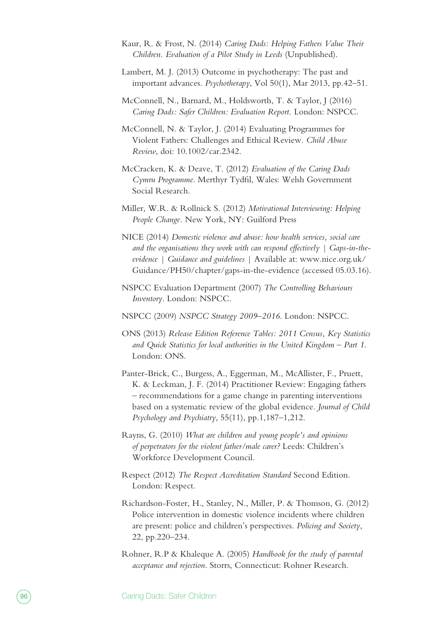- Kaur, R. & Frost, N. (2014) *Caring Dads: Helping Fathers Value Their Children. Evaluation of a Pilot Study in Leeds* (Unpublished).
- Lambert, M. J. (2013) Outcome in psychotherapy: The past and important advances. *Psychotherapy*, Vol 50(1), Mar 2013, pp.42–51.
- McConnell, N., Barnard, M., Holdsworth, T. & Taylor, J (2016) *Caring Dads: Safer Children: Evaluation Report.* London: NSPCC.
- McConnell, N. & Taylor, J. (2014) Evaluating Programmes for Violent Fathers: Challenges and Ethical Review. *Child Abuse Review*, doi: 10.1002/car.2342.
- McCracken, K. & Deave, T. (2012) *Evaluation of the Caring Dads Cymru Programme*. Merthyr Tydfil, Wales: Welsh Government Social Research.
- Miller, W.R. & Rollnick S. (2012) *Motivational Interviewing: Helping People Change.* New York, NY: Guilford Press
- NICE (2014) *Domestic violence and abuse: how health services, social care and the organisations they work with can respond effectively | Gaps-in-theevidence | Guidance and guidelines* | Available at: [www.nice.org.uk/](https://www.nice.org.uk/Guidance/PH50/chapter/gaps-in-the-evidence) [Guidance/PH50/chapter/gaps-in-the-evidence](https://www.nice.org.uk/Guidance/PH50/chapter/gaps-in-the-evidence) (accessed 05.03.16).
- NSPCC Evaluation Department (2007) *The Controlling Behaviours Inventory*. London: NSPCC.
- NSPCC (2009) *NSPCC Strategy 2009–2016*. London: NSPCC.
- ONS (2013) *Release Edition Reference Tables: 2011 Census, Key Statistics and Quick Statistics for local authorities in the United Kingdom – Part 1*. London: ONS.
- Panter-Brick, C., Burgess, A., Eggerman, M., McAllister, F., Pruett, K. & Leckman, J. F. (2014) Practitioner Review: Engaging fathers – recommendations for a game change in parenting interventions based on a systematic review of the global evidence. *Journal of Child Psychology and Psychiatry*, 55(11), pp.1,187–1,212.
- Rayns, G. (2010) *What are children and young people's and opinions of perpetrators for the violent father/male carer?* Leeds: Children's Workforce Development Council.
- Respect (2012) *The Respect Accreditation Standard* Second Edition. London: Respect.
- Richardson-Foster, H., Stanley, N., Miller, P. & Thomson, G. (2012) Police intervention in domestic violence incidents where children are present: police and children's perspectives. *Policing and Society*, 22, pp.220–234.
- Rohner, R.P & Khaleque A. (2005) *Handbook for the study of parental acceptance and rejection*. Storrs, Connecticut: Rohner Research.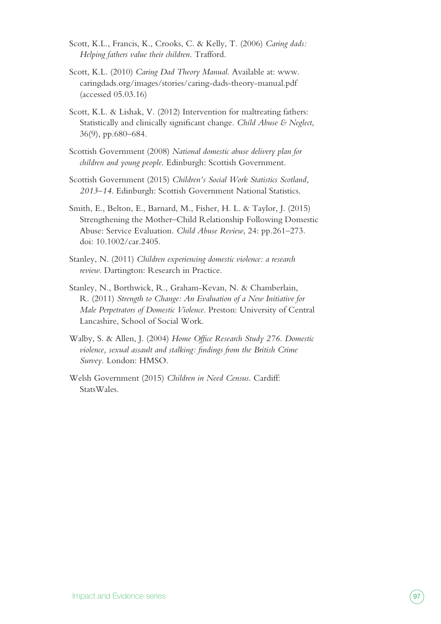- Scott, K.L., Francis, K., Crooks, C. & Kelly, T. (2006) *Caring dads: Helping fathers value their children*. Trafford.
- Scott, K.L. (2010) *Caring Dad Theory Manual*. Available at: [www.](http://www.caringdads.org/images/stories/caring-dads-theory-manual.pdf) [caringdads.org/images/stories/caring-dads-theory-manual.pdf](http://www.caringdads.org/images/stories/caring-dads-theory-manual.pdf)  (accessed 05.03.16)
- Scott, K.L. & Lishak, V. (2012) Intervention for maltreating fathers: Statistically and clinically significant change. *Child Abuse & Neglect*, 36(9), pp.680–684.
- Scottish Government (2008) *National domestic abuse delivery plan for children and young people*. Edinburgh: Scottish Government.
- Scottish Government (2015) *Children's Social Work Statistics Scotland, 2013–14*. Edinburgh: Scottish Government National Statistics.
- Smith, E., Belton, E., Barnard, M., Fisher, H. L. & Taylor, J. (2015) Strengthening the Mother–Child Relationship Following Domestic Abuse: Service Evaluation. *Child Abuse Review*, 24: pp.261–273. doi: 10.1002/car.2405.
- Stanley, N. (2011) *Children experiencing domestic violence: a research review*. Dartington: Research in Practice.
- Stanley, N., Borthwick, R., Graham-Kevan, N. & Chamberlain, R. (2011) *Strength to Change: An Evaluation of a New Initiative for Male Perpetrators of Domestic Violence*. Preston: University of Central Lancashire, School of Social Work.
- Walby, S. & Allen, J. (2004) *Home Office Research Study 276. Domestic violence, sexual assault and stalking: findings from the British Crime Survey.* London: HMSO.
- Welsh Government (2015) *Children in Need Census*. Cardiff: StatsWales.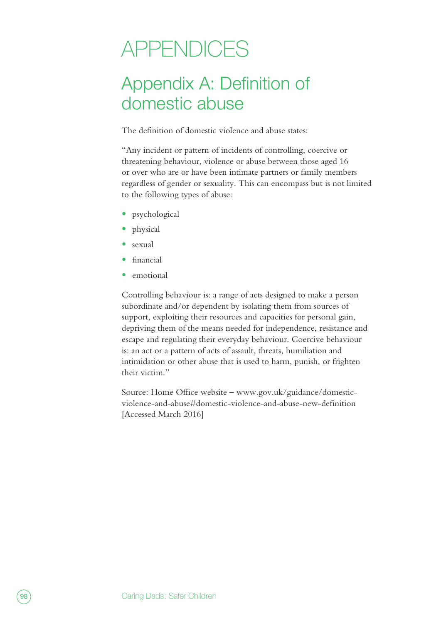# APPENDICES

## Appendix A: Definition of domestic abuse

The definition of domestic violence and abuse states:

"Any incident or pattern of incidents of controlling, coercive or threatening behaviour, violence or abuse between those aged 16 or over who are or have been intimate partners or family members regardless of gender or sexuality. This can encompass but is not limited to the following types of abuse:

- **•** psychological
- **•** physical
- **•** sexual
- **•** financial
- **•** emotional

Controlling behaviour is: a range of acts designed to make a person subordinate and/or dependent by isolating them from sources of support, exploiting their resources and capacities for personal gain, depriving them of the means needed for independence, resistance and escape and regulating their everyday behaviour. Coercive behaviour is: an act or a pattern of acts of assault, threats, humiliation and intimidation or other abuse that is used to harm, punish, or frighten their victim."

Source: Home Office website – [www.gov.uk/guidance/domestic](https://www.gov.uk/guidance/domestic-violence-and-abuse#domestic-violence-and-abuse-new-definition)[violence-and-abuse#domestic-violence-and-abuse-new-definition](https://www.gov.uk/guidance/domestic-violence-and-abuse#domestic-violence-and-abuse-new-definition) [Accessed March 2016]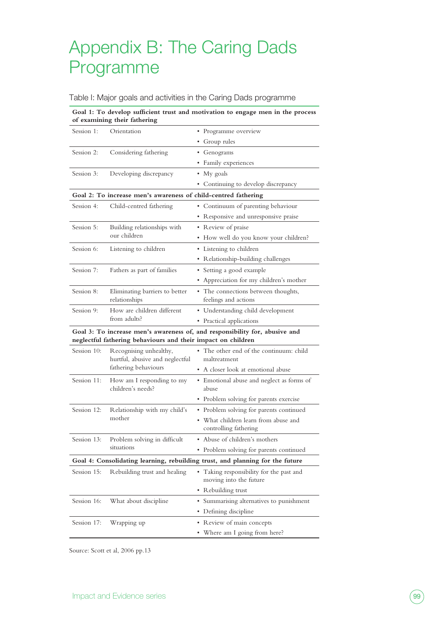## Appendix B: The Caring Dads Programme

#### Table I: Major goals and activities in the Caring Dads programme

| Goal 1: To develop sufficient trust and motivation to engage men in the process<br>of examining their fathering |                                                                                                                                             |                                                                    |  |  |
|-----------------------------------------------------------------------------------------------------------------|---------------------------------------------------------------------------------------------------------------------------------------------|--------------------------------------------------------------------|--|--|
| Session 1:                                                                                                      | Orientation                                                                                                                                 | • Programme overview                                               |  |  |
|                                                                                                                 |                                                                                                                                             | • Group rules                                                      |  |  |
| Session 2:                                                                                                      | Considering fathering                                                                                                                       | • Genograms                                                        |  |  |
|                                                                                                                 |                                                                                                                                             | • Family experiences                                               |  |  |
| Session 3:                                                                                                      | Developing discrepancy                                                                                                                      | • My goals                                                         |  |  |
|                                                                                                                 |                                                                                                                                             | • Continuing to develop discrepancy                                |  |  |
|                                                                                                                 | Goal 2: To increase men's awareness of child-centred fathering                                                                              |                                                                    |  |  |
| Session 4:                                                                                                      | Child-centred fathering                                                                                                                     | • Continuum of parenting behaviour                                 |  |  |
|                                                                                                                 |                                                                                                                                             | • Responsive and unresponsive praise                               |  |  |
| Session 5:                                                                                                      | Building relationships with                                                                                                                 | • Review of praise                                                 |  |  |
|                                                                                                                 | our children                                                                                                                                | • How well do you know your children?                              |  |  |
| Session 6:                                                                                                      | Listening to children                                                                                                                       | • Listening to children                                            |  |  |
|                                                                                                                 |                                                                                                                                             | • Relationship-building challenges                                 |  |  |
| Session 7:                                                                                                      | Fathers as part of families                                                                                                                 | • Setting a good example                                           |  |  |
|                                                                                                                 |                                                                                                                                             | • Appreciation for my children's mother                            |  |  |
| Session 8:                                                                                                      | Eliminating barriers to better<br>relationships                                                                                             | • The connections between thoughts,<br>feelings and actions        |  |  |
| Session 9:                                                                                                      | How are children different<br>from adults?                                                                                                  | • Understanding child development                                  |  |  |
|                                                                                                                 |                                                                                                                                             | • Practical applications                                           |  |  |
|                                                                                                                 | Goal 3: To increase men's awareness of, and responsibility for, abusive and<br>neglectful fathering behaviours and their impact on children |                                                                    |  |  |
| Session 10:                                                                                                     | Recognising unhealthy,<br>hurtful, abusive and neglectful                                                                                   | • The other end of the continuum: child                            |  |  |
|                                                                                                                 |                                                                                                                                             | maltreatment                                                       |  |  |
|                                                                                                                 | fathering behaviours                                                                                                                        | • A closer look at emotional abuse                                 |  |  |
| Session 11:                                                                                                     | How am I responding to my<br>children's needs?                                                                                              | • Emotional abuse and neglect as forms of<br>abuse                 |  |  |
|                                                                                                                 |                                                                                                                                             | • Problem solving for parents exercise                             |  |  |
| Session 12:                                                                                                     | Relationship with my child's                                                                                                                | • Problem solving for parents continued                            |  |  |
|                                                                                                                 | mother                                                                                                                                      | • What children learn from abuse and<br>controlling fathering      |  |  |
| Session 13:                                                                                                     | Problem solving in difficult<br>situations                                                                                                  | Abuse of children's mothers                                        |  |  |
|                                                                                                                 |                                                                                                                                             | • Problem solving for parents continued                            |  |  |
| Goal 4: Consolidating learning, rebuilding trust, and planning for the future                                   |                                                                                                                                             |                                                                    |  |  |
| Session 15:                                                                                                     | Rebuilding trust and healing                                                                                                                | • Taking responsibility for the past and<br>moving into the future |  |  |
|                                                                                                                 |                                                                                                                                             | • Rebuilding trust                                                 |  |  |
| Session 16:                                                                                                     | What about discipline                                                                                                                       | • Summarising alternatives to punishment                           |  |  |
|                                                                                                                 |                                                                                                                                             | • Defining discipline                                              |  |  |
| Session 17:                                                                                                     | Wrapping up                                                                                                                                 | • Review of main concepts                                          |  |  |
|                                                                                                                 |                                                                                                                                             | • Where am I going from here?                                      |  |  |

Source: Scott et al, 2006 pp.13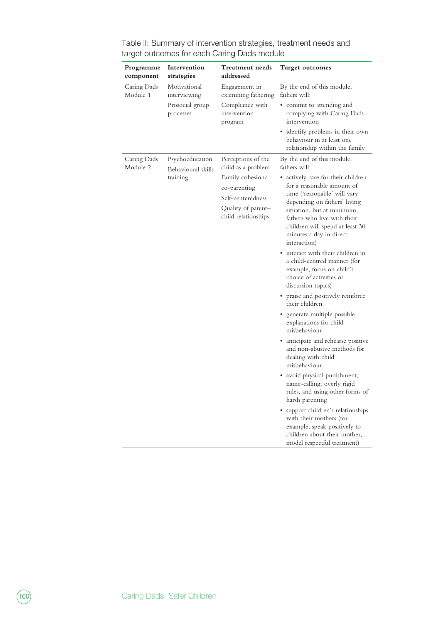| Programme<br>component  | Intervention<br>strategies            | Treatment needs<br>addressed                                                                       | <b>Target outcomes</b>                                                                                                                                                                                                                                                      |
|-------------------------|---------------------------------------|----------------------------------------------------------------------------------------------------|-----------------------------------------------------------------------------------------------------------------------------------------------------------------------------------------------------------------------------------------------------------------------------|
| Caring Dads<br>Module 1 | Motivational<br>interviewing          | Engagement in<br>examining fathering                                                               | By the end of this module,<br>fathers will:                                                                                                                                                                                                                                 |
|                         | Prosocial group<br>processes          | Compliance with<br>intervention<br>program                                                         | • commit to attending and<br>complying with Caring Dads<br>intervention                                                                                                                                                                                                     |
|                         |                                       |                                                                                                    | • identify problems in their own<br>behaviour in at least one<br>relationship within the family                                                                                                                                                                             |
| Caring Dads<br>Module 2 | Psychoeducation<br>Behavioural skills | Perceptions of the<br>child as a problem                                                           | By the end of this module,<br>fathers will:                                                                                                                                                                                                                                 |
|                         | training                              | Family cohesion/<br>co-parenting<br>Self-centeredness<br>Quality of parent-<br>child relationships | • actively care for their children<br>for a reasonable amount of<br>time ('reasonable' will vary<br>depending on fathers' living<br>situation, but at minimum,<br>fathers who live with their<br>children will spend at least 30<br>minutes a day in direct<br>interaction) |
|                         |                                       |                                                                                                    | • interact with their children in<br>a child-centred manner (for<br>example, focus on child's<br>choice of activities or<br>discussion topics)                                                                                                                              |
|                         |                                       |                                                                                                    | • praise and positively reinforce<br>their children                                                                                                                                                                                                                         |
|                         |                                       |                                                                                                    | generate multiple possible<br>explanations for child<br>misbehaviour                                                                                                                                                                                                        |
|                         |                                       |                                                                                                    | • anticipate and rehearse positive<br>and non-abusive methods for<br>dealing with child<br>misbehaviour                                                                                                                                                                     |
|                         |                                       |                                                                                                    | • avoid physical punishment,<br>name-calling, overly rigid<br>rules, and using other forms of<br>harsh parenting                                                                                                                                                            |
|                         |                                       |                                                                                                    | support children's relationships<br>with their mothers (for<br>example, speak positively to<br>children about their mother,<br>model respectful treatment)                                                                                                                  |

Table II: Summary of intervention strategies, treatment needs and target outcomes for each Caring Dads module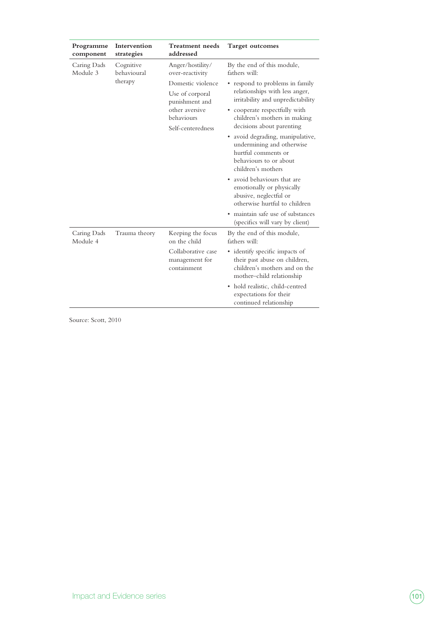| Programme<br>component  | Intervention<br>strategies          | <b>Treatment</b> needs<br>addressed                                                                                                                | <b>Target outcomes</b>                                                                                                                                                                                                                                            |
|-------------------------|-------------------------------------|----------------------------------------------------------------------------------------------------------------------------------------------------|-------------------------------------------------------------------------------------------------------------------------------------------------------------------------------------------------------------------------------------------------------------------|
| Caring Dads<br>Module 3 | Cognitive<br>behavioural<br>therapy | Anger/hostility/<br>over-reactivity<br>Domestic violence<br>Use of corporal<br>punishment and<br>other aversive<br>behaviours<br>Self-centeredness | By the end of this module,<br>fathers will:<br>respond to problems in family<br>relationships with less anger,<br>irritability and unpredictability<br>• cooperate respectfully with<br>children's mothers in making<br>decisions about parenting                 |
|                         |                                     |                                                                                                                                                    | avoid degrading, manipulative,<br>٠<br>undermining and otherwise<br>hurtful comments or<br>behaviours to or about<br>children's mothers<br>avoid behaviours that are<br>٠<br>emotionally or physically<br>abusive, neglectful or<br>otherwise hurtful to children |
|                         |                                     |                                                                                                                                                    | • maintain safe use of substances<br>(specifics will vary by client)                                                                                                                                                                                              |
| Caring Dads<br>Module 4 | Trauma theory                       | Keeping the focus<br>on the child                                                                                                                  | By the end of this module,<br>fathers will:                                                                                                                                                                                                                       |
|                         |                                     | Collaborative case<br>management for<br>containment                                                                                                | • identify specific impacts of<br>their past abuse on children,<br>children's mothers and on the<br>mother-child relationship                                                                                                                                     |
|                         |                                     |                                                                                                                                                    | hold realistic, child-centred<br>٠<br>expectations for their<br>continued relationship                                                                                                                                                                            |

Source: Scott, 2010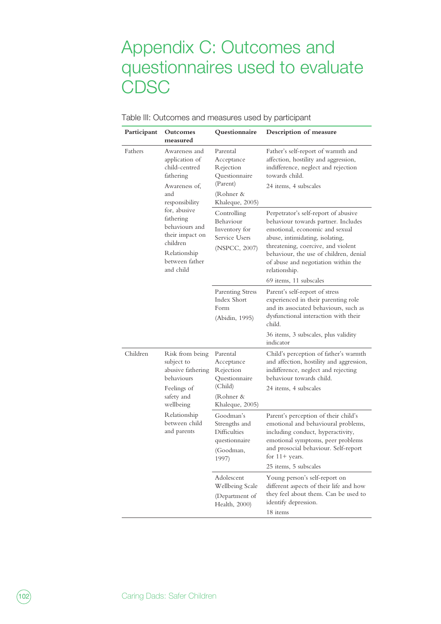## Appendix C: Outcomes and questionnaires used to evaluate **CDSC**

| Participant | Outcomes<br>measured                                                                                                      | Questionnaire                                                                                    | Description of measure                                                                                                                                                                                                                                                                   |
|-------------|---------------------------------------------------------------------------------------------------------------------------|--------------------------------------------------------------------------------------------------|------------------------------------------------------------------------------------------------------------------------------------------------------------------------------------------------------------------------------------------------------------------------------------------|
| Fathers     | Awareness and<br>application of<br>child-centred<br>fathering<br>Awareness of,<br>and<br>responsibility                   | Parental<br>Acceptance<br>Rejection<br>Questionnaire<br>(Parent)<br>(Rohner &<br>Khaleque, 2005) | Father's self-report of warmth and<br>affection, hostility and aggression,<br>indifference, neglect and rejection<br>towards child.<br>24 items, 4 subscales                                                                                                                             |
|             | for, abusive<br>fathering<br>behaviours and<br>their impact on<br>children<br>Relationship<br>between father<br>and child | Controlling<br>Behaviour<br>Inventory for<br>Service Users<br>(NSPCC, 2007)                      | Perpetrator's self-report of abusive<br>behaviour towards partner. Includes<br>emotional, economic and sexual<br>abuse, intimidating, isolating,<br>threatening, coercive, and violent<br>behaviour, the use of children, denial<br>of abuse and negotiation within the<br>relationship. |
|             |                                                                                                                           | <b>Parenting Stress</b><br>Index Short<br>Form<br>(Abidin, 1995)                                 | 69 items, 11 subscales<br>Parent's self-report of stress<br>experienced in their parenting role<br>and its associated behaviours, such as<br>dysfunctional interaction with their<br>child.                                                                                              |
| Children    | Risk from being<br>subject to<br>abusive fathering<br>behaviours<br>Feelings of<br>safety and<br>wellbeing                | Parental<br>Acceptance<br>Rejection<br>Questionnaire<br>(Child)<br>(Rohner &<br>Khaleque, 2005)  | 36 items, 3 subscales, plus validity<br>indicator<br>Child's perception of father's warmth<br>and affection, hostility and aggression,<br>indifference, neglect and rejecting<br>behaviour towards child.<br>24 items, 4 subscales                                                       |
|             | Relationship<br>between child<br>and parents                                                                              | Goodman's<br>Strengths and<br><b>Difficulties</b><br>questionnaire<br>(Goodman,<br>1997)         | Parent's perception of their child's<br>emotional and behavioural problems,<br>including conduct, hyperactivity,<br>emotional symptoms, peer problems<br>and prosocial behaviour. Self-report<br>for $11+$ years.<br>25 items, 5 subscales                                               |
|             |                                                                                                                           | Adolescent<br>Wellbeing Scale<br>(Department of<br>Health, 2000)                                 | Young person's self-report on<br>different aspects of their life and how<br>they feel about them. Can be used to<br>identify depression.<br>18 items                                                                                                                                     |

#### Table III: Outcomes and measures used by participant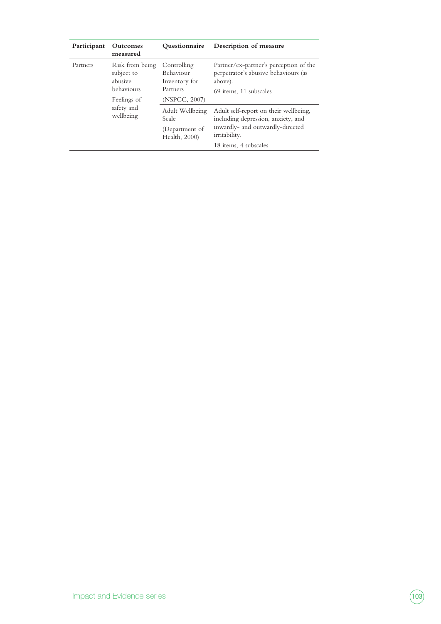| Participant | Outcomes<br>measured                                                                             | <b>Ouestionnaire</b>                                                   | Description of measure                                                                                                                                    |
|-------------|--------------------------------------------------------------------------------------------------|------------------------------------------------------------------------|-----------------------------------------------------------------------------------------------------------------------------------------------------------|
| Partners    | Risk from being<br>subject to<br>abusive<br>behaviours<br>Feelings of<br>safety and<br>wellbeing | Controlling<br>Behaviour<br>Inventory for<br>Partners<br>(NSPCC, 2007) | Partner/ex-partner's perception of the<br>perpetrator's abusive behaviours (as<br>above).<br>69 items, 11 subscales                                       |
|             |                                                                                                  | Adult Wellbeing<br>Scale<br>(Department of<br>Health, 2000)            | Adult self-report on their wellbeing,<br>including depression, anxiety, and<br>inwardly- and outwardly-directed<br>irritability.<br>18 items, 4 subscales |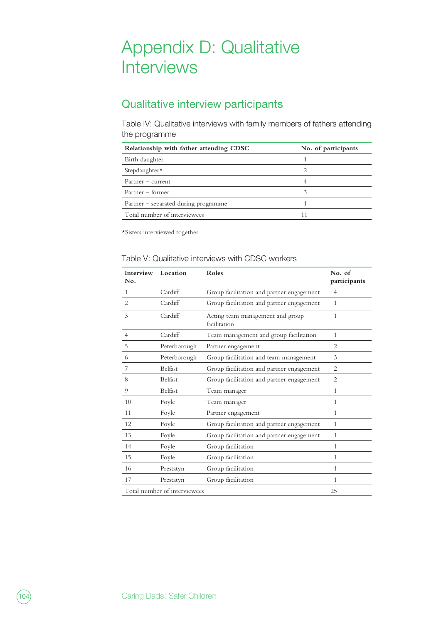## Appendix D: Qualitative **Interviews**

## Qualitative interview participants

Table IV: Qualitative interviews with family members of fathers attending the programme

| Relationship with father attending CDSC | No. of participants |
|-----------------------------------------|---------------------|
| Birth daughter                          |                     |
| Stepdaughter*                           |                     |
| $P$ artner – current                    |                     |
| Partner – former                        |                     |
| Partner - separated during programme    |                     |
| Total number of interviewees            |                     |

\*Sisters interviewed together

| Table V: Qualitative interviews with CDSC workers |  |
|---------------------------------------------------|--|
|---------------------------------------------------|--|

| Interview<br>No.             | Location       | Roles                                            | No. of<br>participants |
|------------------------------|----------------|--------------------------------------------------|------------------------|
| $\mathbf{1}$                 | Cardiff        | Group facilitation and partner engagement        | $\overline{4}$         |
| 2                            | Cardiff        | Group facilitation and partner engagement        | 1                      |
| 3                            | Cardiff        | Acting team management and group<br>facilitation | 1                      |
| $\overline{4}$               | Cardiff        | Team management and group facilitation           | $\mathbf{1}$           |
| 5                            | Peterborough   | Partner engagement                               | $\overline{c}$         |
| 6                            | Peterborough   | Group facilitation and team management           | 3                      |
| 7                            | <b>Belfast</b> | Group facilitation and partner engagement        | 2                      |
| 8                            | <b>Belfast</b> | Group facilitation and partner engagement        | 2                      |
| 9                            | <b>Belfast</b> | Team manager                                     | $\mathbf{1}$           |
| 10                           | Foyle          | Team manager                                     | $\mathbf{1}$           |
| 11                           | Foyle          | Partner engagement                               | $\mathbf{1}$           |
| 12                           | Foyle          | Group facilitation and partner engagement        | 1                      |
| 13                           | Foyle          | Group facilitation and partner engagement        | $\mathbf{1}$           |
| 14                           | Foyle          | Group facilitation                               | $\mathbf{1}$           |
| 15                           | Foyle          | Group facilitation                               | 1                      |
| 16                           | Prestatyn      | Group facilitation                               | 1                      |
| 17                           | Prestatyn      | Group facilitation                               | 1                      |
| Total number of interviewees |                |                                                  | 25                     |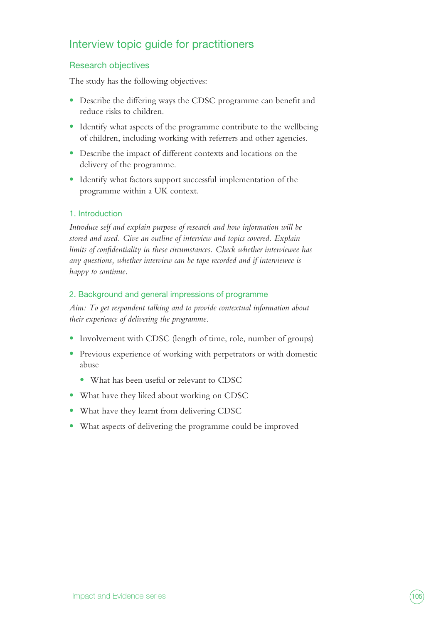### Interview topic guide for practitioners

#### Research objectives

The study has the following objectives:

- **•** Describe the differing ways the CDSC programme can benefit and reduce risks to children.
- Identify what aspects of the programme contribute to the wellbeing of children, including working with referrers and other agencies.
- **•** Describe the impact of different contexts and locations on the delivery of the programme.
- **•** Identify what factors support successful implementation of the programme within a UK context.

#### 1. Introduction

*Introduce self and explain purpose of research and how information will be stored and used. Give an outline of interview and topics covered. Explain limits of confidentiality in these circumstances. Check whether interviewee has any questions, whether interview can be tape recorded and if interviewee is happy to continue.*

#### 2. Background and general impressions of programme

*Aim: To get respondent talking and to provide contextual information about their experience of delivering the programme.*

- Involvement with CDSC (length of time, role, number of groups)
- **•** Previous experience of working with perpetrators or with domestic abuse
	- **•** What has been useful or relevant to CDSC
- **•** What have they liked about working on CDSC
- **•** What have they learnt from delivering CDSC
- **•** What aspects of delivering the programme could be improved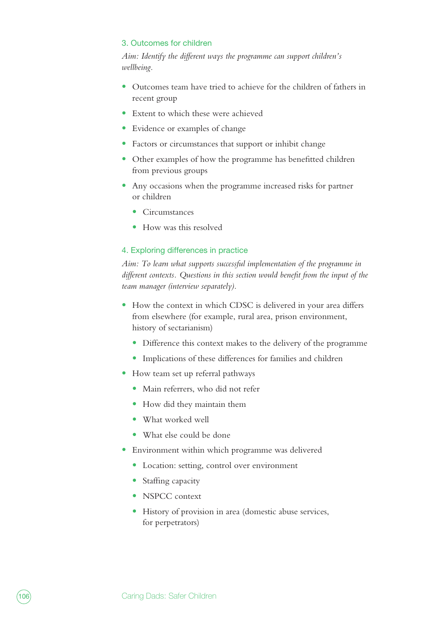#### 3. Outcomes for children

*Aim: Identify the different ways the programme can support children's wellbeing.* 

- **•** Outcomes team have tried to achieve for the children of fathers in recent group
- **•** Extent to which these were achieved
- **•** Evidence or examples of change
- **•** Factors or circumstances that support or inhibit change
- **•** Other examples of how the programme has benefitted children from previous groups
- **•** Any occasions when the programme increased risks for partner or children
	- **•** Circumstances
	- **•** How was this resolved

#### 4. Exploring differences in practice

*Aim: To learn what supports successful implementation of the programme in different contexts. Questions in this section would benefit from the input of the team manager (interview separately).*

- **•** How the context in which CDSC is delivered in your area differs from elsewhere (for example, rural area, prison environment, history of sectarianism)
	- **•** Difference this context makes to the delivery of the programme
	- **•** Implications of these differences for families and children
- **•** How team set up referral pathways
	- **•** Main referrers, who did not refer
	- How did they maintain them
	- **•** What worked well
	- **•** What else could be done
- **•** Environment within which programme was delivered
	- **•** Location: setting, control over environment
	- **•** Staffing capacity
	- **•** NSPCC context
	- **•** History of provision in area (domestic abuse services, for perpetrators)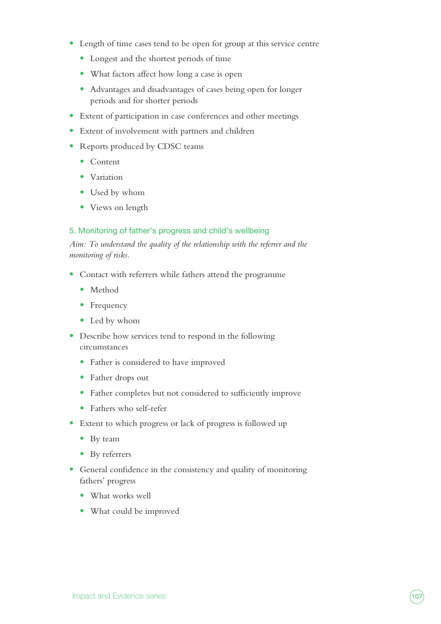- **•** Length of time cases tend to be open for group at this service centre
	- **•** Longest and the shortest periods of time
	- What factors affect how long a case is open
	- **•** Advantages and disadvantages of cases being open for longer periods and for shorter periods
- **•** Extent of participation in case conferences and other meetings
- **•** Extent of involvement with partners and children
- **•** Reports produced by CDSC teams
	- **•** Content
	- **•** Variation
	- **•** Used by whom
	- **•** Views on length

#### 5. Monitoring of father's progress and child's wellbeing

*Aim: To understand the quality of the relationship with the referrer and the monitoring of risks.*

- **•** Contact with referrers while fathers attend the programme
	- **•** Method
	- **•** Frequency
	- **•** Led by whom
- **•** Describe how services tend to respond in the following circumstances
	- **•** Father is considered to have improved
	- **•** Father drops out
	- **•** Father completes but not considered to sufficiently improve
	- **•** Fathers who self-refer
- **•** Extent to which progress or lack of progress is followed up
	- **•** By team
	- **•** By referrers
- **•** General confidence in the consistency and quality of monitoring fathers' progress
	- **•** What works well
	- **•** What could be improved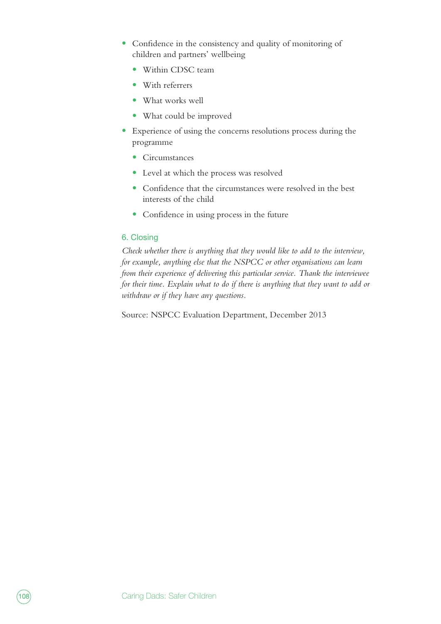- **•** Confidence in the consistency and quality of monitoring of children and partners' wellbeing
	- **•** Within CDSC team
	- **•** With referrers
	- **•** What works well
	- **•** What could be improved
- **•** Experience of using the concerns resolutions process during the programme
	- **•** Circumstances
	- **•** Level at which the process was resolved
	- **•** Confidence that the circumstances were resolved in the best interests of the child
	- **•** Confidence in using process in the future

#### 6. Closing

*Check whether there is anything that they would like to add to the interview, for example, anything else that the NSPCC or other organisations can learn from their experience of delivering this particular service. Thank the interviewee for their time. Explain what to do if there is anything that they want to add or withdraw or if they have any questions.*

Source: NSPCC Evaluation Department, December 2013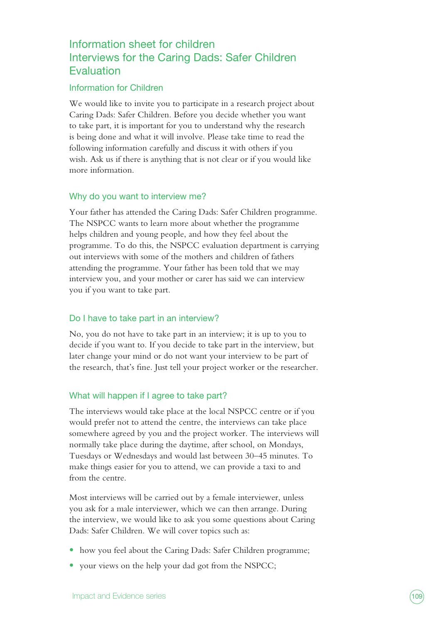## Information sheet for children Interviews for the Caring Dads: Safer Children **Evaluation**

### Information for Children

We would like to invite you to participate in a research project about Caring Dads: Safer Children. Before you decide whether you want to take part, it is important for you to understand why the research is being done and what it will involve. Please take time to read the following information carefully and discuss it with others if you wish. Ask us if there is anything that is not clear or if you would like more information.

#### Why do you want to interview me?

Your father has attended the Caring Dads: Safer Children programme. The NSPCC wants to learn more about whether the programme helps children and young people, and how they feel about the programme. To do this, the NSPCC evaluation department is carrying out interviews with some of the mothers and children of fathers attending the programme. Your father has been told that we may interview you, and your mother or carer has said we can interview you if you want to take part.

#### Do I have to take part in an interview?

No, you do not have to take part in an interview; it is up to you to decide if you want to. If you decide to take part in the interview, but later change your mind or do not want your interview to be part of the research, that's fine. Just tell your project worker or the researcher.

#### What will happen if I agree to take part?

The interviews would take place at the local NSPCC centre or if you would prefer not to attend the centre, the interviews can take place somewhere agreed by you and the project worker. The interviews will normally take place during the daytime, after school, on Mondays, Tuesdays or Wednesdays and would last between 30–45 minutes. To make things easier for you to attend, we can provide a taxi to and from the centre.

Most interviews will be carried out by a female interviewer, unless you ask for a male interviewer, which we can then arrange. During the interview, we would like to ask you some questions about Caring Dads: Safer Children. We will cover topics such as:

- how you feel about the Caring Dads: Safer Children programme;
- **•** your views on the help your dad got from the NSPCC;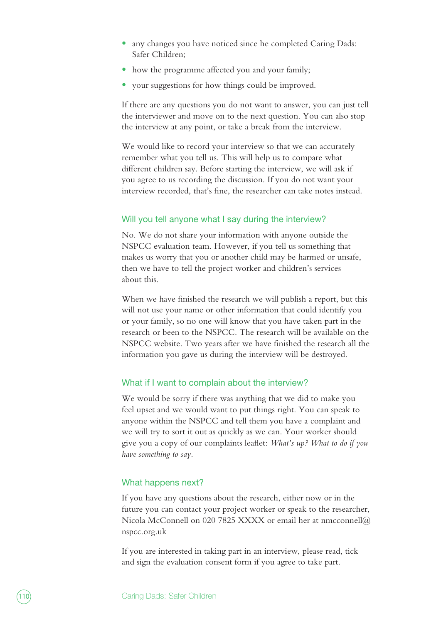- any changes you have noticed since he completed Caring Dads: Safer Children;
- how the programme affected you and your family;
- **•** your suggestions for how things could be improved.

If there are any questions you do not want to answer, you can just tell the interviewer and move on to the next question. You can also stop the interview at any point, or take a break from the interview.

We would like to record your interview so that we can accurately remember what you tell us. This will help us to compare what different children say. Before starting the interview, we will ask if you agree to us recording the discussion. If you do not want your interview recorded, that's fine, the researcher can take notes instead.

#### Will you tell anyone what I say during the interview?

No. We do not share your information with anyone outside the NSPCC evaluation team. However, if you tell us something that makes us worry that you or another child may be harmed or unsafe, then we have to tell the project worker and children's services about this.

When we have finished the research we will publish a report, but this will not use your name or other information that could identify you or your family, so no one will know that you have taken part in the research or been to the NSPCC. The research will be available on the NSPCC website. Two years after we have finished the research all the information you gave us during the interview will be destroyed.

#### What if I want to complain about the interview?

We would be sorry if there was anything that we did to make you feel upset and we would want to put things right. You can speak to anyone within the NSPCC and tell them you have a complaint and we will try to sort it out as quickly as we can. Your worker should give you a copy of our complaints leaflet: *What's up? What to do if you have something to say.*

#### What happens next?

If you have any questions about the research, either now or in the future you can contact your project worker or speak to the researcher, Nicola McConnell on 020 7825 XXXX or email her at nmcconnell@ nspcc.org.uk

If you are interested in taking part in an interview, please read, tick and sign the evaluation consent form if you agree to take part.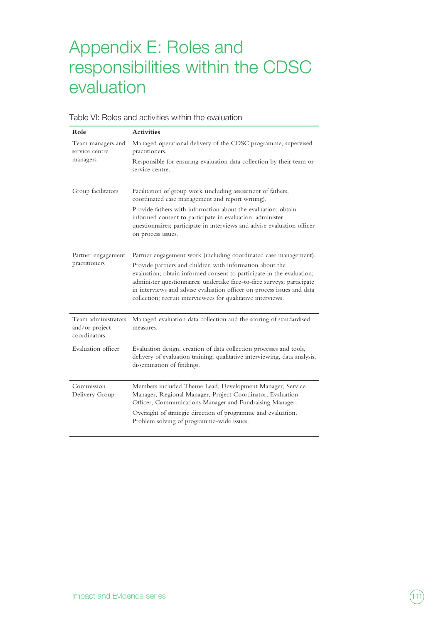# Appendix E: Roles and responsibilities within the CDSC evaluation

| Role                                                  | <b>Activities</b>                                                                                                                                                                                                                                                                                                                                     |  |
|-------------------------------------------------------|-------------------------------------------------------------------------------------------------------------------------------------------------------------------------------------------------------------------------------------------------------------------------------------------------------------------------------------------------------|--|
| Team managers and<br>service centre<br>managers       | Managed operational delivery of the CDSC programme, supervised<br>practitioners.                                                                                                                                                                                                                                                                      |  |
|                                                       | Responsible for ensuring evaluation data collection by their team or<br>service centre.                                                                                                                                                                                                                                                               |  |
| Group facilitators                                    | Facilitation of group work (including assessment of fathers,<br>coordinated case management and report writing).                                                                                                                                                                                                                                      |  |
|                                                       | Provide fathers with information about the evaluation; obtain<br>informed consent to participate in evaluation; administer<br>questionnaires; participate in interviews and advise evaluation officer<br>on process issues.                                                                                                                           |  |
| Partner engagement<br>practitioners                   | Partner engagement work (including coordinated case management).                                                                                                                                                                                                                                                                                      |  |
|                                                       | Provide partners and children with information about the<br>evaluation; obtain informed consent to participate in the evaluation;<br>administer questionnaires; undertake face-to-face surveys; participate<br>in interviews and advise evaluation officer on process issues and data<br>collection; recruit interviewees for qualitative interviews. |  |
| Team administrators<br>and/or project<br>coordinators | Managed evaluation data collection and the scoring of standardised<br>measures.                                                                                                                                                                                                                                                                       |  |
| Evaluation officer                                    | Evaluation design, creation of data collection processes and tools,<br>delivery of evaluation training, qualitative interviewing, data analysis,<br>dissemination of findings.                                                                                                                                                                        |  |
| Commission<br>Delivery Group                          | Members included Theme Lead, Development Manager, Service<br>Manager, Regional Manager, Project Coordinator, Evaluation<br>Officer, Communications Manager and Fundraising Manager.                                                                                                                                                                   |  |
|                                                       | Oversight of strategic direction of programme and evaluation.<br>Problem solving of programme-wide issues.                                                                                                                                                                                                                                            |  |

Table VI: Roles and activities within the evaluation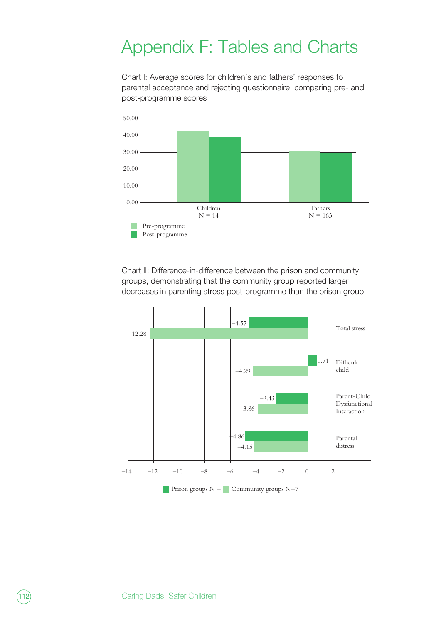## Appendix F: Tables and Charts

Chart I: Average scores for children's and fathers' responses to parental acceptance and rejecting questionnaire, comparing pre- and post-programme scores



Chart II: Difference-in-difference between the prison and community groups, demonstrating that the community group reported larger decreases in parenting stress post-programme than the prison group

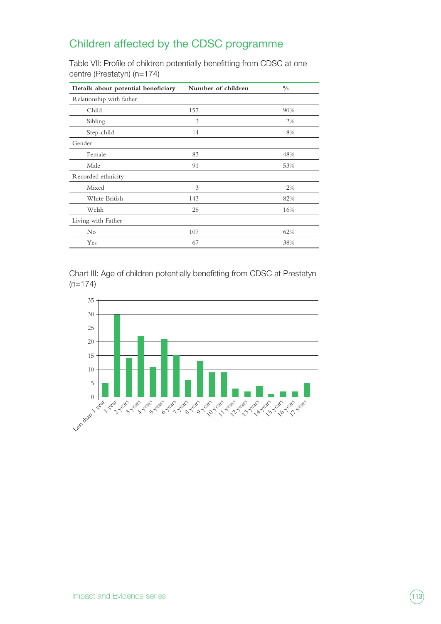## Children affected by the CDSC programme

Table VII: Profile of children potentially benefitting from CDSC at one centre (Prestatyn) (n=174)

| Details about potential beneficiary | Number of children | $\frac{0}{0}$ |  |
|-------------------------------------|--------------------|---------------|--|
| Relationship with father            |                    |               |  |
| Child                               | 157                | 90%           |  |
| Sibling                             | 3                  | $2\%$         |  |
| Step-child                          | 14                 | 8%            |  |
| Gender                              |                    |               |  |
| Female                              | 83                 | 48%           |  |
| Male                                | 91                 | 53%           |  |
| Recorded ethnicity                  |                    |               |  |
| Mixed                               | 3                  | 2%            |  |
| White British                       | 143                | 82%           |  |
| Welsh                               | 28                 | 16%           |  |
| Living with Father                  |                    |               |  |
| $\rm No$                            | 107                | 62%           |  |
| Yes                                 | 67                 | 38%           |  |

Chart III: Age of children potentially benefitting from CDSC at Prestatyn  $(n=174)$